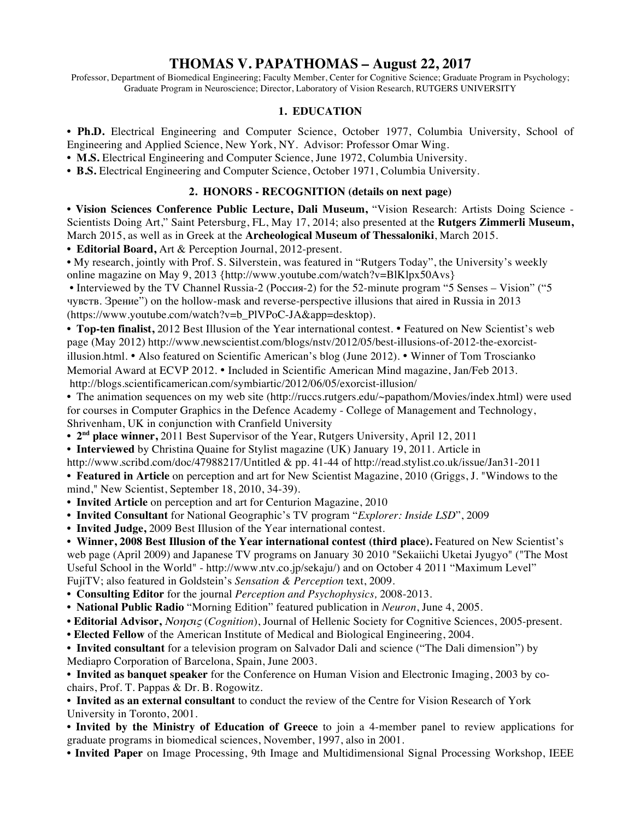# **THOMAS V. PAPATHOMAS – August 22, 2017**

Professor, Department of Biomedical Engineering; Faculty Member, Center for Cognitive Science; Graduate Program in Psychology; Graduate Program in Neuroscience; Director, Laboratory of Vision Research, RUTGERS UNIVERSITY

#### **1. EDUCATION**

**• Ph.D.** Electrical Engineering and Computer Science, October 1977, Columbia University, School of Engineering and Applied Science, New York, NY. Advisor: Professor Omar Wing.

**• M.S.** Electrical Engineering and Computer Science, June 1972, Columbia University.

**• B.S.** Electrical Engineering and Computer Science, October 1971, Columbia University.

#### **2. HONORS - RECOGNITION (details on next page)**

**• Vision Sciences Conference Public Lecture, Dali Museum,** "Vision Research: Artists Doing Science - Scientists Doing Art," Saint Petersburg, FL, May 17, 2014; also presented at the **Rutgers Zimmerli Museum,**  March 2015, as well as in Greek at the **Archeological Museum of Thessaloniki**, March 2015.

**• Editorial Board,** Art & Perception Journal, 2012-present.

**•** My research, jointly with Prof. S. Silverstein, was featured in "Rutgers Today", the University's weekly online magazine on May 9, 2013 {http://www.youtube.com/watch?v=BlKlpx50Avs}

• Interviewed by the TV Channel Russia-2 (Россия-2) for the 52-minute program "5 Senses – Vision" ("5 чувств. Зрение") on the hollow-mask and reverse-perspective illusions that aired in Russia in 2013 (https://www.youtube.com/watch?v=b\_PlVPoC-JA&app=desktop).

**• Top-ten finalist,** 2012 Best Illusion of the Year international contest. • Featured on New Scientist's web page (May 2012) http://www.newscientist.com/blogs/nstv/2012/05/best-illusions-of-2012-the-exorcistillusion.html. • Also featured on Scientific American's blog (June 2012). • Winner of Tom Troscianko Memorial Award at ECVP 2012. • Included in Scientific American Mind magazine, Jan/Feb 2013. http://blogs.scientificamerican.com/symbiartic/2012/06/05/exorcist-illusion/

• The animation sequences on my web site (http://ruccs.rutgers.edu/~papathom/Movies/index.html) were used for courses in Computer Graphics in the Defence Academy - College of Management and Technology, Shrivenham, UK in conjunction with Cranfield University

**• 2nd place winner,** 2011 Best Supervisor of the Year, Rutgers University, April 12, 2011

**• Interviewed** by Christina Quaine for Stylist magazine (UK) January 19, 2011. Article in

http://www.scribd.com/doc/47988217/Untitled & pp. 41-44 of http://read.stylist.co.uk/issue/Jan31-2011

**• Featured in Article** on perception and art for New Scientist Magazine, 2010 (Griggs, J. "Windows to the mind," New Scientist, September 18, 2010, 34-39).

- **Invited Article** on perception and art for Centurion Magazine, 2010
- **Invited Consultant** for National Geographic's TV program "*Explorer: Inside LSD*", 2009

**• Invited Judge,** 2009 Best Illusion of the Year international contest.

• Winner, 2008 Best Illusion of the Year international contest (third place). Featured on New Scientist's web page (April 2009) and Japanese TV programs on January 30 2010 "Sekaiichi Uketai Jyugyo" ("The Most Useful School in the World" - http://www.ntv.co.jp/sekaju/) and on October 4 2011 "Maximum Level" FujiTV; also featured in Goldstein's *Sensation & Perception* text, 2009.

- **Consulting Editor** for the journal *Perception and Psychophysics,* 2008-2013.
- **National Public Radio** "Morning Edition" featured publication in *Neuron*, June 4, 2005.

**• Editorial Advisor,** Νοησις (*Cognition*), Journal of Hellenic Society for Cognitive Sciences, 2005-present.

**• Elected Fellow** of the American Institute of Medical and Biological Engineering, 2004.

**• Invited consultant** for a television program on Salvador Dali and science ("The Dali dimension") by

Mediapro Corporation of Barcelona, Spain, June 2003.

**• Invited as banquet speaker** for the Conference on Human Vision and Electronic Imaging, 2003 by cochairs, Prof. T. Pappas & Dr. B. Rogowitz.

**• Invited as an external consultant** to conduct the review of the Centre for Vision Research of York University in Toronto, 2001.

**• Invited by the Ministry of Education of Greece** to join a 4-member panel to review applications for graduate programs in biomedical sciences, November, 1997, also in 2001.

**• Invited Paper** on Image Processing, 9th Image and Multidimensional Signal Processing Workshop, IEEE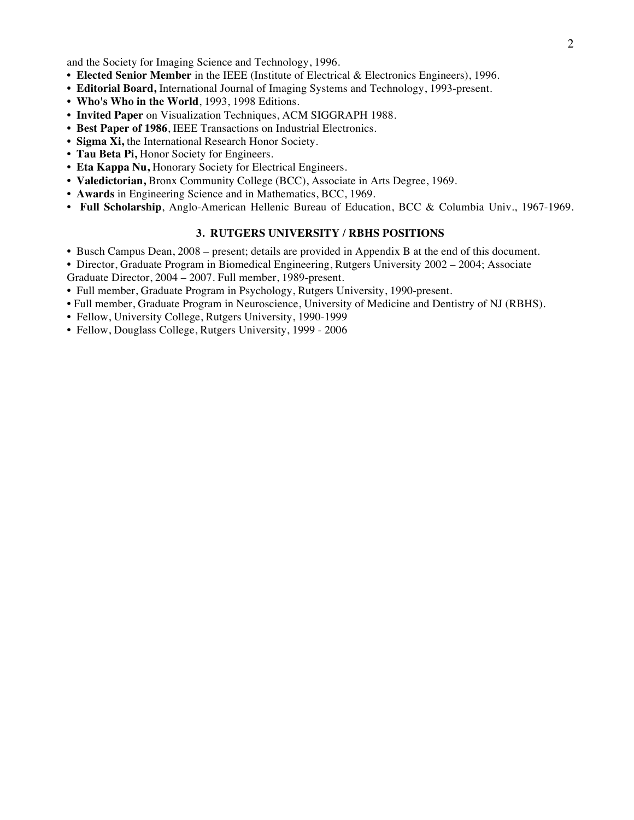and the Society for Imaging Science and Technology, 1996.

- **Elected Senior Member** in the IEEE (Institute of Electrical & Electronics Engineers), 1996.
- **Editorial Board,** International Journal of Imaging Systems and Technology, 1993-present.
- **Who's Who in the World**, 1993, 1998 Editions.
- **Invited Paper** on Visualization Techniques, ACM SIGGRAPH 1988.
- **Best Paper of 1986**, IEEE Transactions on Industrial Electronics.
- **Sigma Xi,** the International Research Honor Society.
- **Tau Beta Pi,** Honor Society for Engineers.
- **Eta Kappa Nu,** Honorary Society for Electrical Engineers.
- **Valedictorian,** Bronx Community College (BCC), Associate in Arts Degree, 1969.
- **Awards** in Engineering Science and in Mathematics, BCC, 1969.
- **Full Scholarship**, Anglo-American Hellenic Bureau of Education, BCC & Columbia Univ., 1967-1969.

#### **3. RUTGERS UNIVERSITY / RBHS POSITIONS**

- Busch Campus Dean, 2008 present; details are provided in Appendix B at the end of this document.
- Director, Graduate Program in Biomedical Engineering, Rutgers University 2002 2004; Associate Graduate Director, 2004 – 2007. Full member, 1989-present.
- Full member, Graduate Program in Psychology, Rutgers University, 1990-present.
- Full member, Graduate Program in Neuroscience, University of Medicine and Dentistry of NJ (RBHS).
- Fellow, University College, Rutgers University, 1990-1999
- **•** Fellow, Douglass College, Rutgers University, 1999 2006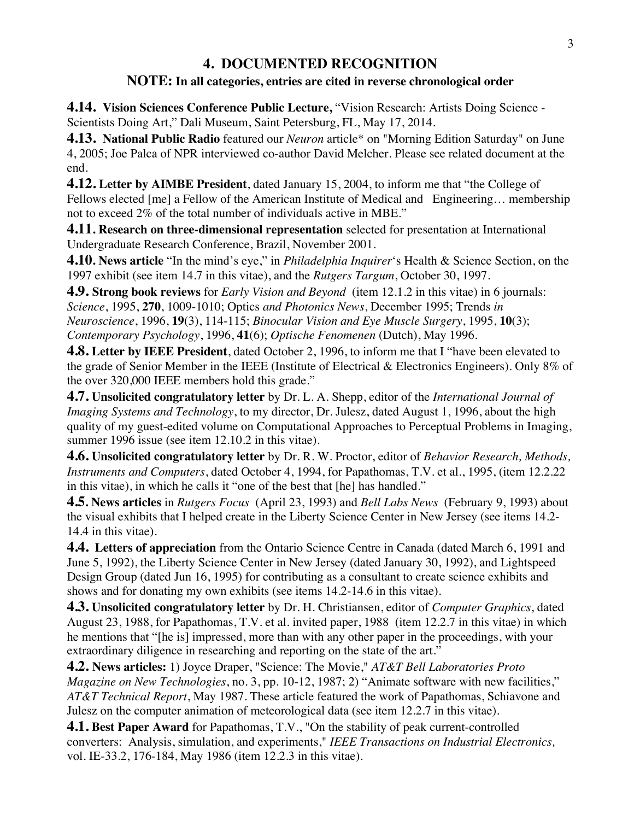# **4. DOCUMENTED RECOGNITION**

### **NOTE: In all categories, entries are cited in reverse chronological order**

**4.14. Vision Sciences Conference Public Lecture, "Vision Research: Artists Doing Science -**Scientists Doing Art," Dali Museum, Saint Petersburg, FL, May 17, 2014.

**4.13. National Public Radio** featured our *Neuron* article\* on "Morning Edition Saturday" on June 4, 2005; Joe Palca of NPR interviewed co-author David Melcher. Please see related document at the end.

**4.12. Letter by AIMBE President**, dated January 15, 2004, to inform me that "the College of Fellows elected [me] a Fellow of the American Institute of Medical and Engineering... membership not to exceed 2% of the total number of individuals active in MBE."

**4.11. Research on three-dimensional representation** selected for presentation at International Undergraduate Research Conference, Brazil, November 2001.

**4.10. News article** "In the mind's eye," in *Philadelphia Inquirer*'s Health & Science Section, on the 1997 exhibit (see item 14.7 in this vitae), and the *Rutgers Targum*, October 30, 1997.

**4.9. Strong book reviews** for *Early Vision and Beyond* (item 12.1.2 in this vitae) in 6 journals: *Science*, 1995, **270**, 1009-1010; Optics *and Photonics News*, December 1995; Trends *in Neuroscience*, 1996, **19**(3), 114-115; *Binocular Vision and Eye Muscle Surgery*, 1995, **10**(3); *Contemporary Psychology*, 1996, **41**(6); *Optische Fenomenen* (Dutch), May 1996.

**4.8. Letter by IEEE President**, dated October 2, 1996, to inform me that I "have been elevated to the grade of Senior Member in the IEEE (Institute of Electrical & Electronics Engineers). Only 8% of the over 320,000 IEEE members hold this grade."

**4.7. Unsolicited congratulatory letter** by Dr. L. A. Shepp, editor of the *International Journal of Imaging Systems and Technology*, to my director, Dr. Julesz, dated August 1, 1996, about the high quality of my guest-edited volume on Computational Approaches to Perceptual Problems in Imaging, summer 1996 issue (see item 12.10.2 in this vitae).

**4.6. Unsolicited congratulatory letter** by Dr. R. W. Proctor, editor of *Behavior Research, Methods, Instruments and Computers*, dated October 4, 1994, for Papathomas, T.V. et al., 1995, (item 12.2.22 in this vitae), in which he calls it "one of the best that [he] has handled."

**4.5. News articles** in *Rutgers Focus* (April 23, 1993) and *Bell Labs News* (February 9, 1993) about the visual exhibits that I helped create in the Liberty Science Center in New Jersey (see items 14.2- 14.4 in this vitae).

**4.4. Letters of appreciation** from the Ontario Science Centre in Canada (dated March 6, 1991 and June 5, 1992), the Liberty Science Center in New Jersey (dated January 30, 1992), and Lightspeed Design Group (dated Jun 16, 1995) for contributing as a consultant to create science exhibits and shows and for donating my own exhibits (see items 14.2-14.6 in this vitae).

**4.3. Unsolicited congratulatory letter** by Dr. H. Christiansen, editor of *Computer Graphics*, dated August 23, 1988, for Papathomas, T.V. et al. invited paper, 1988 (item 12.2.7 in this vitae) in which he mentions that "[he is] impressed, more than with any other paper in the proceedings, with your extraordinary diligence in researching and reporting on the state of the art."

**4.2. News articles:** 1) Joyce Draper, "Science: The Movie," *AT&T Bell Laboratories Proto Magazine on New Technologies*, no. 3, pp. 10-12, 1987; 2) "Animate software with new facilities," *AT&T Technical Report*, May 1987. These article featured the work of Papathomas, Schiavone and Julesz on the computer animation of meteorological data (see item 12.2.7 in this vitae).

**4.1. Best Paper Award** for Papathomas, T.V., "On the stability of peak current-controlled converters: Analysis, simulation, and experiments," *IEEE Transactions on Industrial Electronics,*  vol. IE-33.2, 176-184, May 1986 (item 12.2.3 in this vitae).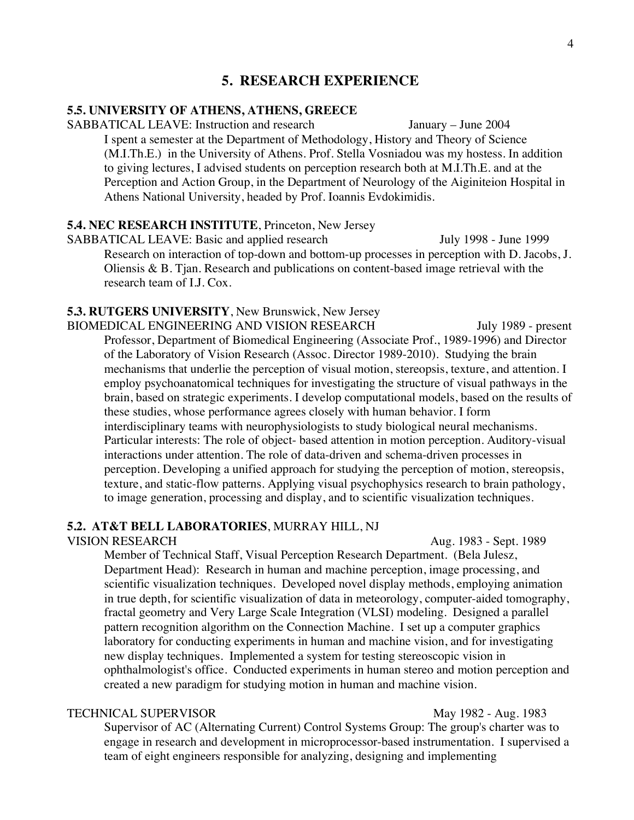### **5. RESEARCH EXPERIENCE**

#### **5.5. UNIVERSITY OF ATHENS, ATHENS, GREECE**

SABBATICAL LEAVE: Instruction and research January – June 2004

I spent a semester at the Department of Methodology, History and Theory of Science (M.I.Th.E.) in the University of Athens. Prof. Stella Vosniadou was my hostess. In addition to giving lectures, I advised students on perception research both at M.I.Th.E. and at the Perception and Action Group, in the Department of Neurology of the Aiginiteion Hospital in Athens National University, headed by Prof. Ioannis Evdokimidis.

#### **5.4. NEC RESEARCH INSTITUTE**, Princeton, New Jersey

SABBATICAL LEAVE: Basic and applied research July 1998 - June 1999 Research on interaction of top-down and bottom-up processes in perception with D. Jacobs, J. Oliensis & B. Tjan. Research and publications on content-based image retrieval with the research team of I.J. Cox.

#### **5.3. RUTGERS UNIVERSITY**, New Brunswick, New Jersey

BIOMEDICAL ENGINEERING AND VISION RESEARCH July 1989 - present Professor, Department of Biomedical Engineering (Associate Prof., 1989-1996) and Director of the Laboratory of Vision Research (Assoc. Director 1989-2010). Studying the brain mechanisms that underlie the perception of visual motion, stereopsis, texture, and attention. I employ psychoanatomical techniques for investigating the structure of visual pathways in the brain, based on strategic experiments. I develop computational models, based on the results of these studies, whose performance agrees closely with human behavior. I form interdisciplinary teams with neurophysiologists to study biological neural mechanisms. Particular interests: The role of object- based attention in motion perception. Auditory-visual interactions under attention. The role of data-driven and schema-driven processes in perception. Developing a unified approach for studying the perception of motion, stereopsis, texture, and static-flow patterns. Applying visual psychophysics research to brain pathology, to image generation, processing and display, and to scientific visualization techniques.

#### **5.2. AT&T BELL LABORATORIES**, MURRAY HILL, NJ

VISION RESEARCH Aug. 1983 - Sept. 1989

Member of Technical Staff, Visual Perception Research Department. (Bela Julesz, Department Head): Research in human and machine perception, image processing, and scientific visualization techniques. Developed novel display methods, employing animation in true depth, for scientific visualization of data in meteorology, computer-aided tomography, fractal geometry and Very Large Scale Integration (VLSI) modeling. Designed a parallel pattern recognition algorithm on the Connection Machine. I set up a computer graphics laboratory for conducting experiments in human and machine vision, and for investigating new display techniques. Implemented a system for testing stereoscopic vision in ophthalmologist's office. Conducted experiments in human stereo and motion perception and created a new paradigm for studying motion in human and machine vision.

#### TECHNICAL SUPERVISOR May 1982 - Aug. 1983

Supervisor of AC (Alternating Current) Control Systems Group: The group's charter was to engage in research and development in microprocessor-based instrumentation. I supervised a team of eight engineers responsible for analyzing, designing and implementing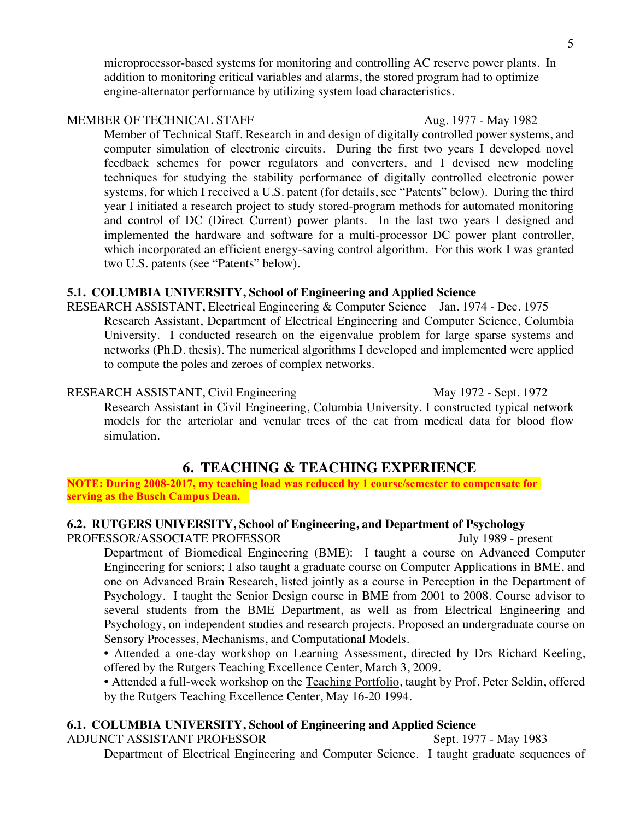microprocessor-based systems for monitoring and controlling AC reserve power plants. In addition to monitoring critical variables and alarms, the stored program had to optimize engine-alternator performance by utilizing system load characteristics.

#### MEMBER OF TECHNICAL STAFF Aug. 1977 - May 1982

Member of Technical Staff. Research in and design of digitally controlled power systems, and computer simulation of electronic circuits. During the first two years I developed novel feedback schemes for power regulators and converters, and I devised new modeling techniques for studying the stability performance of digitally controlled electronic power systems, for which I received a U.S. patent (for details, see "Patents" below). During the third year I initiated a research project to study stored-program methods for automated monitoring and control of DC (Direct Current) power plants. In the last two years I designed and implemented the hardware and software for a multi-processor DC power plant controller, which incorporated an efficient energy-saving control algorithm. For this work I was granted two U.S. patents (see "Patents" below).

#### **5.1. COLUMBIA UNIVERSITY, School of Engineering and Applied Science**

RESEARCH ASSISTANT, Electrical Engineering & Computer Science Jan. 1974 - Dec. 1975 Research Assistant, Department of Electrical Engineering and Computer Science, Columbia University. I conducted research on the eigenvalue problem for large sparse systems and networks (Ph.D. thesis). The numerical algorithms I developed and implemented were applied to compute the poles and zeroes of complex networks.

RESEARCH ASSISTANT, Civil Engineering May 1972 - Sept. 1972 Research Assistant in Civil Engineering, Columbia University. I constructed typical network models for the arteriolar and venular trees of the cat from medical data for blood flow simulation.

### **6. TEACHING & TEACHING EXPERIENCE**

**NOTE: During 2008-2017, my teaching load was reduced by 1 course/semester to compensate for serving as the Busch Campus Dean.** 

#### **6.2. RUTGERS UNIVERSITY, School of Engineering, and Department of Psychology** PROFESSOR/ASSOCIATE PROFESSOR July 1989 - present

Department of Biomedical Engineering (BME): I taught a course on Advanced Computer Engineering for seniors; I also taught a graduate course on Computer Applications in BME, and one on Advanced Brain Research, listed jointly as a course in Perception in the Department of Psychology. I taught the Senior Design course in BME from 2001 to 2008. Course advisor to several students from the BME Department, as well as from Electrical Engineering and Psychology, on independent studies and research projects. Proposed an undergraduate course on Sensory Processes, Mechanisms, and Computational Models.

• Attended a one-day workshop on Learning Assessment, directed by Drs Richard Keeling, offered by the Rutgers Teaching Excellence Center, March 3, 2009.

• Attended a full-week workshop on the Teaching Portfolio, taught by Prof. Peter Seldin, offered by the Rutgers Teaching Excellence Center, May 16-20 1994.

#### **6.1. COLUMBIA UNIVERSITY, School of Engineering and Applied Science**

ADJUNCT ASSISTANT PROFESSOR Sept. 1977 - May 1983

Department of Electrical Engineering and Computer Science. I taught graduate sequences of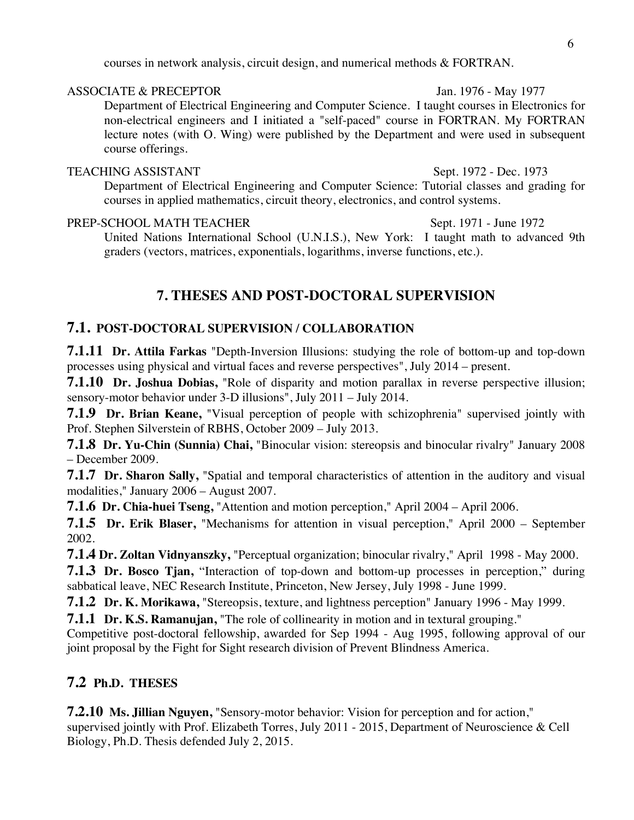courses in network analysis, circuit design, and numerical methods & FORTRAN.

#### ASSOCIATE & PRECEPTOR Jan. 1976 - May 1977

Department of Electrical Engineering and Computer Science. I taught courses in Electronics for non-electrical engineers and I initiated a "self-paced" course in FORTRAN. My FORTRAN lecture notes (with O. Wing) were published by the Department and were used in subsequent course offerings.

### TEACHING ASSISTANT Sept. 1972 - Dec. 1973

Department of Electrical Engineering and Computer Science: Tutorial classes and grading for courses in applied mathematics, circuit theory, electronics, and control systems.

#### PREP-SCHOOL MATH TEACHER Sept. 1971 - June 1972

United Nations International School (U.N.I.S.), New York: I taught math to advanced 9th graders (vectors, matrices, exponentials, logarithms, inverse functions, etc.).

# **7. THESES AND POST-DOCTORAL SUPERVISION**

# **7.1. POST-DOCTORAL SUPERVISION / COLLABORATION**

**7.1.11 Dr. Attila Farkas** "Depth-Inversion Illusions: studying the role of bottom-up and top-down processes using physical and virtual faces and reverse perspectives", July 2014 – present.

**7.1.10 Dr. Joshua Dobias,** "Role of disparity and motion parallax in reverse perspective illusion; sensory-motor behavior under 3-D illusions", July 2011 – July 2014.

**7.1.9 Dr. Brian Keane,** "Visual perception of people with schizophrenia" supervised jointly with Prof. Stephen Silverstein of RBHS, October 2009 – July 2013.

**7.1.8 Dr. Yu-Chin (Sunnia) Chai,** "Binocular vision: stereopsis and binocular rivalry" January 2008 – December 2009.

**7.1.7 Dr. Sharon Sally,** "Spatial and temporal characteristics of attention in the auditory and visual modalities," January 2006 – August 2007.

**7.1.6 Dr. Chia-huei Tseng,** "Attention and motion perception," April 2004 – April 2006.

**7.1.5 Dr. Erik Blaser,** "Mechanisms for attention in visual perception," April 2000 – September 2002.

**7.1.4 Dr. Zoltan Vidnyanszky,** "Perceptual organization; binocular rivalry," April 1998 - May 2000.

**7.1.3 Dr. Bosco Tjan,** "Interaction of top-down and bottom-up processes in perception," during sabbatical leave, NEC Research Institute, Princeton, New Jersey, July 1998 - June 1999.

**7.1.2 Dr. K. Morikawa,** "Stereopsis, texture, and lightness perception" January 1996 - May 1999.

**7.1.1 Dr. K.S. Ramanujan,** "The role of collinearity in motion and in textural grouping."

Competitive post-doctoral fellowship, awarded for Sep 1994 - Aug 1995, following approval of our joint proposal by the Fight for Sight research division of Prevent Blindness America.

# **7.2 Ph.D. THESES**

**7.2.10 Ms. Jillian Nguyen,** "Sensory-motor behavior: Vision for perception and for action," supervised jointly with Prof. Elizabeth Torres, July 2011 - 2015, Department of Neuroscience & Cell Biology, Ph.D. Thesis defended July 2, 2015.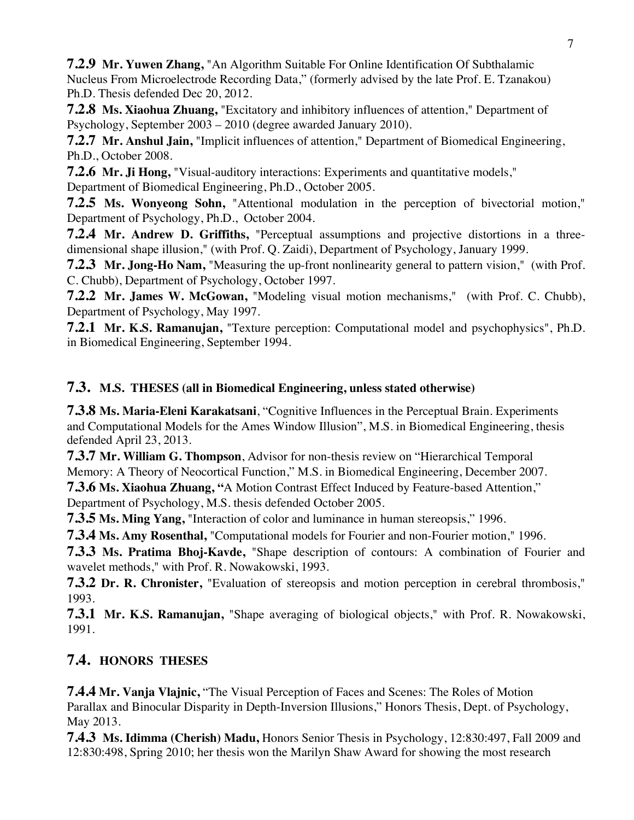**7.2.9 Mr. Yuwen Zhang,** "An Algorithm Suitable For Online Identification Of Subthalamic Nucleus From Microelectrode Recording Data," (formerly advised by the late Prof. E. Tzanakou) Ph.D. Thesis defended Dec 20, 2012.

**7.2.8 Ms. Xiaohua Zhuang,** "Excitatory and inhibitory influences of attention," Department of Psychology, September 2003 – 2010 (degree awarded January 2010).

**7.2.7 Mr. Anshul Jain,** "Implicit influences of attention," Department of Biomedical Engineering, Ph.D., October 2008.

**7.2.6 Mr. Ji Hong,** "Visual-auditory interactions: Experiments and quantitative models," Department of Biomedical Engineering, Ph.D., October 2005.

**7.2.5 Ms. Wonyeong Sohn,** "Attentional modulation in the perception of bivectorial motion," Department of Psychology, Ph.D., October 2004.

**7.2.4 Mr. Andrew D. Griffiths,** "Perceptual assumptions and projective distortions in a threedimensional shape illusion," (with Prof. Q. Zaidi), Department of Psychology, January 1999.

**7.2.3 Mr. Jong-Ho Nam,** "Measuring the up-front nonlinearity general to pattern vision," (with Prof. C. Chubb), Department of Psychology, October 1997.

**7.2.2 Mr. James W. McGowan,** "Modeling visual motion mechanisms," (with Prof. C. Chubb), Department of Psychology, May 1997.

**7.2.1 Mr. K.S. Ramanujan,** "Texture perception: Computational model and psychophysics", Ph.D. in Biomedical Engineering, September 1994.

# **7.3. M.S. THESES (all in Biomedical Engineering, unless stated otherwise)**

**7.3.8 Ms. Maria-Eleni Karakatsani**, "Cognitive Influences in the Perceptual Brain. Experiments and Computational Models for the Ames Window Illusion", M.S. in Biomedical Engineering, thesis defended April 23, 2013.

**7.3.7 Mr. William G. Thompson**, Advisor for non-thesis review on "Hierarchical Temporal Memory: A Theory of Neocortical Function," M.S. in Biomedical Engineering, December 2007.

**7.3.6 Ms. Xiaohua Zhuang, "**A Motion Contrast Effect Induced by Feature-based Attention," Department of Psychology, M.S. thesis defended October 2005.

**7.3.5 Ms. Ming Yang,** "Interaction of color and luminance in human stereopsis," 1996.

**7.3.4 Ms. Amy Rosenthal,** "Computational models for Fourier and non-Fourier motion," 1996.

**7.3.3 Ms. Pratima Bhoj-Kavde,** "Shape description of contours: A combination of Fourier and wavelet methods," with Prof. R. Nowakowski, 1993.

**7.3.2 Dr. R. Chronister,** "Evaluation of stereopsis and motion perception in cerebral thrombosis," 1993.

**7.3.1 Mr. K.S. Ramanujan,** "Shape averaging of biological objects," with Prof. R. Nowakowski, 1991.

# **7.4. HONORS THESES**

**7.4.4 Mr. Vanja Vlajnic,** "The Visual Perception of Faces and Scenes: The Roles of Motion Parallax and Binocular Disparity in Depth-Inversion Illusions," Honors Thesis, Dept. of Psychology, May 2013.

**7.4.3 Ms. Idimma (Cherish) Madu,** Honors Senior Thesis in Psychology, 12:830:497, Fall 2009 and 12:830:498, Spring 2010; her thesis won the Marilyn Shaw Award for showing the most research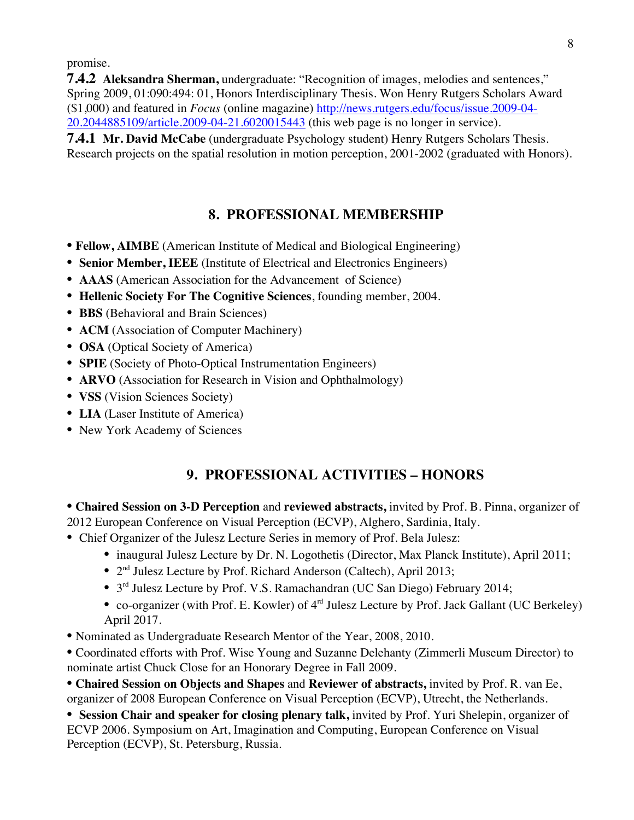promise.

**7.4.2 Aleksandra Sherman,** undergraduate: "Recognition of images, melodies and sentences," Spring 2009, 01:090:494: 01, Honors Interdisciplinary Thesis. Won Henry Rutgers Scholars Award (\$1,000) and featured in *Focus* (online magazine) http://news.rutgers.edu/focus/issue.2009-04- 20.2044885109/article.2009-04-21.6020015443 (this web page is no longer in service).

**7.4.1 Mr. David McCabe** (undergraduate Psychology student) Henry Rutgers Scholars Thesis. Research projects on the spatial resolution in motion perception, 2001-2002 (graduated with Honors).

# **8. PROFESSIONAL MEMBERSHIP**

- **Fellow, AIMBE** (American Institute of Medical and Biological Engineering)
- **Senior Member, IEEE** (Institute of Electrical and Electronics Engineers)
- **AAAS** (American Association for the Advancement of Science)
- **Hellenic Society For The Cognitive Sciences**, founding member, 2004.
- **BBS** (Behavioral and Brain Sciences)
- **ACM** (Association of Computer Machinery)
- **OSA** (Optical Society of America)
- **SPIE** (Society of Photo-Optical Instrumentation Engineers)
- **ARVO** (Association for Research in Vision and Ophthalmology)
- **VSS** (Vision Sciences Society)
- **LIA** (Laser Institute of America)
- New York Academy of Sciences

# **9. PROFESSIONAL ACTIVITIES – HONORS**

**• Chaired Session on 3-D Perception** and **reviewed abstracts,** invited by Prof. B. Pinna, organizer of 2012 European Conference on Visual Perception (ECVP), Alghero, Sardinia, Italy.

- Chief Organizer of the Julesz Lecture Series in memory of Prof. Bela Julesz:
	- inaugural Julesz Lecture by Dr. N. Logothetis (Director, Max Planck Institute), April 2011;
	- 2nd Julesz Lecture by Prof. Richard Anderson (Caltech), April 2013;
	- 3rd Julesz Lecture by Prof. V.S. Ramachandran (UC San Diego) February 2014;
	- co-organizer (with Prof. E. Kowler) of 4<sup>rd</sup> Julesz Lecture by Prof. Jack Gallant (UC Berkeley) April 2017.
- Nominated as Undergraduate Research Mentor of the Year, 2008, 2010.

**•** Coordinated efforts with Prof. Wise Young and Suzanne Delehanty (Zimmerli Museum Director) to nominate artist Chuck Close for an Honorary Degree in Fall 2009.

**• Chaired Session on Objects and Shapes** and **Reviewer of abstracts,** invited by Prof. R. van Ee, organizer of 2008 European Conference on Visual Perception (ECVP), Utrecht, the Netherlands.

• Session Chair and speaker for closing plenary talk, invited by Prof. Yuri Shelepin, organizer of ECVP 2006. Symposium on Art, Imagination and Computing, European Conference on Visual Perception (ECVP), St. Petersburg, Russia.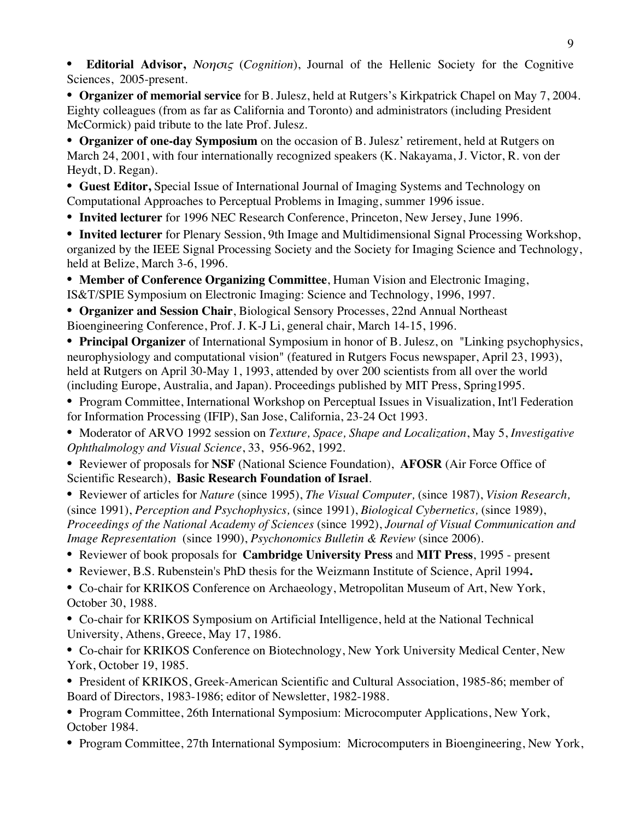**• Editorial Advisor,** Νοησις (*Cognition*), Journal of the Hellenic Society for the Cognitive Sciences, 2005-present.

**• Organizer of memorial service** for B. Julesz, held at Rutgers's Kirkpatrick Chapel on May 7, 2004. Eighty colleagues (from as far as California and Toronto) and administrators (including President McCormick) paid tribute to the late Prof. Julesz.

**• Organizer of one-day Symposium** on the occasion of B. Julesz' retirement, held at Rutgers on March 24, 2001, with four internationally recognized speakers (K. Nakayama, J. Victor, R. von der Heydt, D. Regan).

• **Guest Editor,** Special Issue of International Journal of Imaging Systems and Technology on Computational Approaches to Perceptual Problems in Imaging, summer 1996 issue.

**• Invited lecturer** for 1996 NEC Research Conference, Princeton, New Jersey, June 1996.

**• Invited lecturer** for Plenary Session, 9th Image and Multidimensional Signal Processing Workshop, organized by the IEEE Signal Processing Society and the Society for Imaging Science and Technology, held at Belize, March 3-6, 1996.

**• Member of Conference Organizing Committee**, Human Vision and Electronic Imaging, IS&T/SPIE Symposium on Electronic Imaging: Science and Technology, 1996, 1997.

**• Organizer and Session Chair**, Biological Sensory Processes, 22nd Annual Northeast Bioengineering Conference, Prof. J. K-J Li, general chair, March 14-15, 1996.

**• Principal Organizer** of International Symposium in honor of B. Julesz, on "Linking psychophysics, neurophysiology and computational vision" (featured in Rutgers Focus newspaper, April 23, 1993), held at Rutgers on April 30-May 1, 1993, attended by over 200 scientists from all over the world (including Europe, Australia, and Japan). Proceedings published by MIT Press, Spring1995.

**•** Program Committee, International Workshop on Perceptual Issues in Visualization, Int'l Federation for Information Processing (IFIP), San Jose, California, 23-24 Oct 1993.

**•** Moderator of ARVO 1992 session on *Texture, Space, Shape and Localization*, May 5, *Investigative Ophthalmology and Visual Science*, 33, 956-962, 1992.

**•** Reviewer of proposals for **NSF** (National Science Foundation), **AFOSR** (Air Force Office of Scientific Research), **Basic Research Foundation of Israel**.

**•** Reviewer of articles for *Nature* (since 1995), *The Visual Computer,* (since 1987), *Vision Research,* (since 1991), *Perception and Psychophysics,* (since 1991), *Biological Cybernetics,* (since 1989), *Proceedings of the National Academy of Sciences* (since 1992), *Journal of Visual Communication and Image Representation* (since 1990), *Psychonomics Bulletin & Review* (since 2006).

- Reviewer of book proposals for **Cambridge University Press** and **MIT Press**, 1995 present
- Reviewer, B.S. Rubenstein's PhD thesis for the Weizmann Institute of Science, April 1994**.**

**•** Co-chair for KRIKOS Conference on Archaeology, Metropolitan Museum of Art, New York, October 30, 1988.

**•** Co-chair for KRIKOS Symposium on Artificial Intelligence, held at the National Technical University, Athens, Greece, May 17, 1986.

**•** Co-chair for KRIKOS Conference on Biotechnology, New York University Medical Center, New York, October 19, 1985.

**•** President of KRIKOS, Greek-American Scientific and Cultural Association, 1985-86; member of Board of Directors, 1983-1986; editor of Newsletter, 1982-1988.

**•** Program Committee, 26th International Symposium: Microcomputer Applications, New York, October 1984.

**•** Program Committee, 27th International Symposium: Microcomputers in Bioengineering, New York,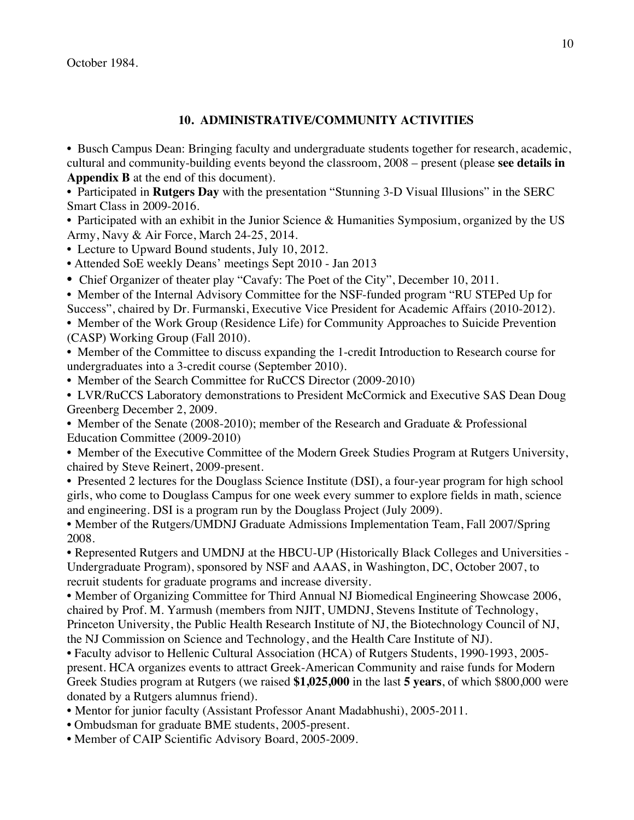October 1984.

#### **10. ADMINISTRATIVE/COMMUNITY ACTIVITIES**

**•** Busch Campus Dean: Bringing faculty and undergraduate students together for research, academic, cultural and community-building events beyond the classroom, 2008 – present (please **see details in Appendix B** at the end of this document).

**•** Participated in **Rutgers Day** with the presentation "Stunning 3-D Visual Illusions" in the SERC Smart Class in 2009-2016.

• Participated with an exhibit in the Junior Science & Humanities Symposium, organized by the US Army, Navy & Air Force, March 24-25, 2014.

**•** Lecture to Upward Bound students, July 10, 2012.

• Attended SoE weekly Deans' meetings Sept 2010 - Jan 2013

• Chief Organizer of theater play "Cavafy: The Poet of the City", December 10, 2011.

**•** Member of the Internal Advisory Committee for the NSF-funded program "RU STEPed Up for Success", chaired by Dr. Furmanski, Executive Vice President for Academic Affairs (2010-2012).

**•** Member of the Work Group (Residence Life) for Community Approaches to Suicide Prevention (CASP) Working Group (Fall 2010).

**•** Member of the Committee to discuss expanding the 1-credit Introduction to Research course for undergraduates into a 3-credit course (September 2010).

• Member of the Search Committee for RuCCS Director (2009-2010)

**•** LVR/RuCCS Laboratory demonstrations to President McCormick and Executive SAS Dean Doug Greenberg December 2, 2009.

**•** Member of the Senate (2008-2010); member of the Research and Graduate & Professional Education Committee (2009-2010)

**•** Member of the Executive Committee of the Modern Greek Studies Program at Rutgers University, chaired by Steve Reinert, 2009-present.

**•** Presented 2 lectures for the Douglass Science Institute (DSI), a four-year program for high school girls, who come to Douglass Campus for one week every summer to explore fields in math, science and engineering. DSI is a program run by the Douglass Project (July 2009).

**•** Member of the Rutgers/UMDNJ Graduate Admissions Implementation Team, Fall 2007/Spring 2008.

**•** Represented Rutgers and UMDNJ at the HBCU-UP (Historically Black Colleges and Universities - Undergraduate Program), sponsored by NSF and AAAS, in Washington, DC, October 2007, to recruit students for graduate programs and increase diversity.

**•** Member of Organizing Committee for Third Annual NJ Biomedical Engineering Showcase 2006, chaired by Prof. M. Yarmush (members from NJIT, UMDNJ, Stevens Institute of Technology, Princeton University, the Public Health Research Institute of NJ, the Biotechnology Council of NJ, the NJ Commission on Science and Technology, and the Health Care Institute of NJ).

**•** Faculty advisor to Hellenic Cultural Association (HCA) of Rutgers Students, 1990-1993, 2005 present. HCA organizes events to attract Greek-American Community and raise funds for Modern Greek Studies program at Rutgers (we raised **\$1,025,000** in the last **5 years**, of which \$800,000 were donated by a Rutgers alumnus friend).

- **•** Mentor for junior faculty (Assistant Professor Anant Madabhushi), 2005-2011.
- Ombudsman for graduate BME students, 2005-present.
- Member of CAIP Scientific Advisory Board, 2005-2009.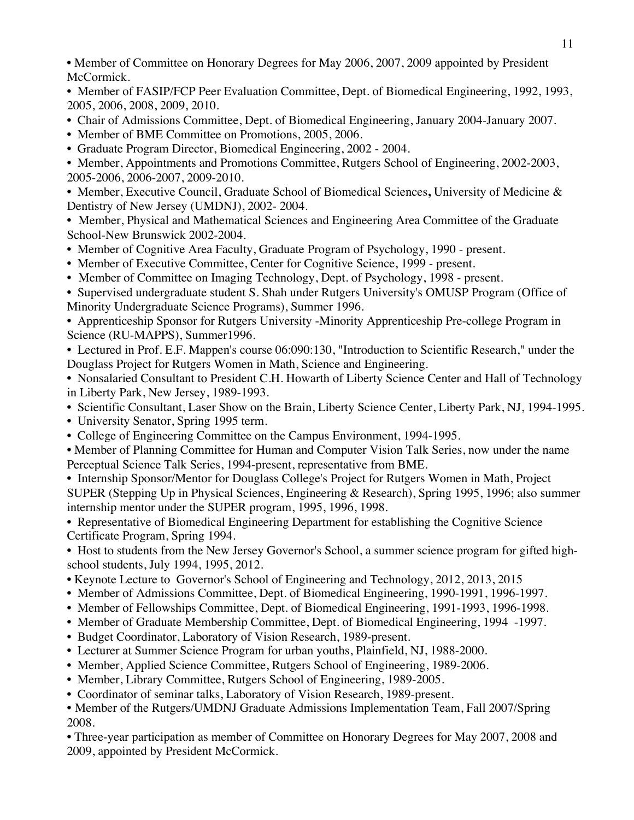• Member of Committee on Honorary Degrees for May 2006, 2007, 2009 appointed by President McCormick.

• Member of FASIP/FCP Peer Evaluation Committee, Dept. of Biomedical Engineering, 1992, 1993, 2005, 2006, 2008, 2009, 2010.

- Chair of Admissions Committee, Dept. of Biomedical Engineering, January 2004-January 2007.
- Member of BME Committee on Promotions, 2005, 2006.
- Graduate Program Director, Biomedical Engineering, 2002 2004.

**•** Member, Appointments and Promotions Committee, Rutgers School of Engineering, 2002-2003, 2005-2006, 2006-2007, 2009-2010.

**•** Member, Executive Council, Graduate School of Biomedical Sciences**,** University of Medicine & Dentistry of New Jersey (UMDNJ), 2002- 2004.

**•** Member, Physical and Mathematical Sciences and Engineering Area Committee of the Graduate School-New Brunswick 2002-2004.

- Member of Cognitive Area Faculty, Graduate Program of Psychology, 1990 present.
- Member of Executive Committee, Center for Cognitive Science, 1999 present.
- Member of Committee on Imaging Technology, Dept. of Psychology, 1998 present.

**•** Supervised undergraduate student S. Shah under Rutgers University's OMUSP Program (Office of Minority Undergraduate Science Programs), Summer 1996.

**•** Apprenticeship Sponsor for Rutgers University -Minority Apprenticeship Pre-college Program in Science (RU-MAPPS), Summer1996.

**•** Lectured in Prof. E.F. Mappen's course 06:090:130, "Introduction to Scientific Research," under the Douglass Project for Rutgers Women in Math, Science and Engineering.

**•** Nonsalaried Consultant to President C.H. Howarth of Liberty Science Center and Hall of Technology in Liberty Park, New Jersey, 1989-1993.

- Scientific Consultant, Laser Show on the Brain, Liberty Science Center, Liberty Park, NJ, 1994-1995.
- University Senator, Spring 1995 term.
- College of Engineering Committee on the Campus Environment, 1994-1995.

• Member of Planning Committee for Human and Computer Vision Talk Series, now under the name Perceptual Science Talk Series, 1994-present, representative from BME.

• Internship Sponsor/Mentor for Douglass College's Project for Rutgers Women in Math, Project SUPER (Stepping Up in Physical Sciences, Engineering & Research), Spring 1995, 1996; also summer internship mentor under the SUPER program, 1995, 1996, 1998.

• Representative of Biomedical Engineering Department for establishing the Cognitive Science Certificate Program, Spring 1994.

• Host to students from the New Jersey Governor's School, a summer science program for gifted highschool students, July 1994, 1995, 2012.

- Keynote Lecture to Governor's School of Engineering and Technology, 2012, 2013, 2015
- Member of Admissions Committee, Dept. of Biomedical Engineering, 1990-1991, 1996-1997.
- Member of Fellowships Committee, Dept. of Biomedical Engineering, 1991-1993, 1996-1998.
- Member of Graduate Membership Committee, Dept. of Biomedical Engineering, 1994 -1997.
- Budget Coordinator, Laboratory of Vision Research, 1989-present.
- Lecturer at Summer Science Program for urban youths, Plainfield, NJ, 1988-2000.
- Member, Applied Science Committee, Rutgers School of Engineering, 1989-2006.
- Member, Library Committee, Rutgers School of Engineering, 1989-2005.
- Coordinator of seminar talks, Laboratory of Vision Research, 1989-present.

**•** Member of the Rutgers/UMDNJ Graduate Admissions Implementation Team, Fall 2007/Spring 2008.

**•** Three-year participation as member of Committee on Honorary Degrees for May 2007, 2008 and 2009, appointed by President McCormick.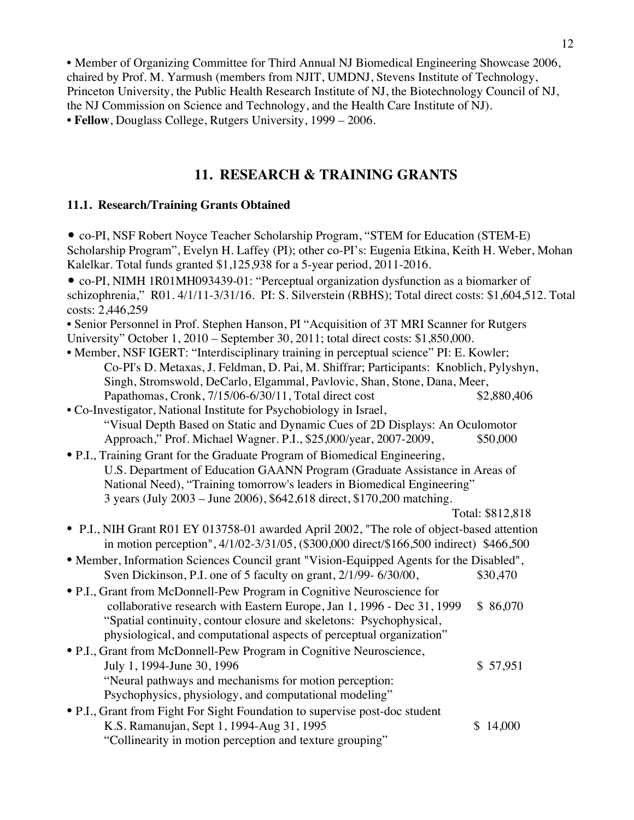**•** Member of Organizing Committee for Third Annual NJ Biomedical Engineering Showcase 2006, chaired by Prof. M. Yarmush (members from NJIT, UMDNJ, Stevens Institute of Technology, Princeton University, the Public Health Research Institute of NJ, the Biotechnology Council of NJ, the NJ Commission on Science and Technology, and the Health Care Institute of NJ). **• Fellow**, Douglass College, Rutgers University, 1999 – 2006.

# **11. RESEARCH & TRAINING GRANTS**

#### **11.1. Research/Training Grants Obtained**

| • co-PI, NSF Robert Noyce Teacher Scholarship Program, "STEM for Education (STEM-E)<br>Scholarship Program", Evelyn H. Laffey (PI); other co-PI's: Eugenia Etkina, Keith H. Weber, Mohan<br>Kalelkar. Total funds granted \$1,125,938 for a 5-year period, 2011-2016. |                  |  |  |  |
|-----------------------------------------------------------------------------------------------------------------------------------------------------------------------------------------------------------------------------------------------------------------------|------------------|--|--|--|
| • co-PI, NIMH 1R01MH093439-01: "Perceptual organization dysfunction as a biomarker of                                                                                                                                                                                 |                  |  |  |  |
| schizophrenia," R01.4/1/11-3/31/16. PI: S. Silverstein (RBHS); Total direct costs: \$1,604,512. Total                                                                                                                                                                 |                  |  |  |  |
| costs: 2,446,259                                                                                                                                                                                                                                                      |                  |  |  |  |
| • Senior Personnel in Prof. Stephen Hanson, PI "Acquisition of 3T MRI Scanner for Rutgers                                                                                                                                                                             |                  |  |  |  |
| University" October 1, 2010 – September 30, 2011; total direct costs: \$1,850,000.                                                                                                                                                                                    |                  |  |  |  |
| • Member, NSF IGERT: "Interdisciplinary training in perceptual science" PI: E. Kowler;                                                                                                                                                                                |                  |  |  |  |
| Co-PI's D. Metaxas, J. Feldman, D. Pai, M. Shiffrar; Participants: Knoblich, Pylyshyn,                                                                                                                                                                                |                  |  |  |  |
| Singh, Stromswold, DeCarlo, Elgammal, Pavlovic, Shan, Stone, Dana, Meer,                                                                                                                                                                                              |                  |  |  |  |
| Papathomas, Cronk, 7/15/06-6/30/11, Total direct cost                                                                                                                                                                                                                 | \$2,880,406      |  |  |  |
| • Co-Investigator, National Institute for Psychobiology in Israel,                                                                                                                                                                                                    |                  |  |  |  |
| "Visual Depth Based on Static and Dynamic Cues of 2D Displays: An Oculomotor                                                                                                                                                                                          |                  |  |  |  |
| Approach," Prof. Michael Wagner. P.I., \$25,000/year, 2007-2009,                                                                                                                                                                                                      | \$50,000         |  |  |  |
| • P.I., Training Grant for the Graduate Program of Biomedical Engineering,                                                                                                                                                                                            |                  |  |  |  |
| U.S. Department of Education GAANN Program (Graduate Assistance in Areas of                                                                                                                                                                                           |                  |  |  |  |
| National Need), "Training tomorrow's leaders in Biomedical Engineering"                                                                                                                                                                                               |                  |  |  |  |
| 3 years (July 2003 – June 2006), \$642,618 direct, \$170,200 matching.                                                                                                                                                                                                |                  |  |  |  |
|                                                                                                                                                                                                                                                                       | Total: \$812,818 |  |  |  |
|                                                                                                                                                                                                                                                                       |                  |  |  |  |
| • P.I., NIH Grant R01 EY 013758-01 awarded April 2002, "The role of object-based attention<br>in motion perception", 4/1/02-3/31/05, (\$300,000 direct/\$166,500 indirect) \$466,500                                                                                  |                  |  |  |  |
| • Member, Information Sciences Council grant "Vision-Equipped Agents for the Disabled",                                                                                                                                                                               |                  |  |  |  |
| Sven Dickinson, P.I. one of 5 faculty on grant, 2/1/99-6/30/00,                                                                                                                                                                                                       | \$30,470         |  |  |  |
| • P.I., Grant from McDonnell-Pew Program in Cognitive Neuroscience for                                                                                                                                                                                                |                  |  |  |  |
| collaborative research with Eastern Europe, Jan 1, 1996 - Dec 31, 1999                                                                                                                                                                                                | \$86,070         |  |  |  |
| "Spatial continuity, contour closure and skeletons: Psychophysical,                                                                                                                                                                                                   |                  |  |  |  |
| physiological, and computational aspects of perceptual organization"                                                                                                                                                                                                  |                  |  |  |  |
| • P.I., Grant from McDonnell-Pew Program in Cognitive Neuroscience,                                                                                                                                                                                                   |                  |  |  |  |
| July 1, 1994-June 30, 1996                                                                                                                                                                                                                                            | \$57,951         |  |  |  |
| "Neural pathways and mechanisms for motion perception:                                                                                                                                                                                                                |                  |  |  |  |
|                                                                                                                                                                                                                                                                       |                  |  |  |  |
| Psychophysics, physiology, and computational modeling"                                                                                                                                                                                                                |                  |  |  |  |
| • P.I., Grant from Fight For Sight Foundation to supervise post-doc student                                                                                                                                                                                           |                  |  |  |  |
| K.S. Ramanujan, Sept 1, 1994-Aug 31, 1995                                                                                                                                                                                                                             | \$14,000         |  |  |  |
| "Collinearity in motion perception and texture grouping"                                                                                                                                                                                                              |                  |  |  |  |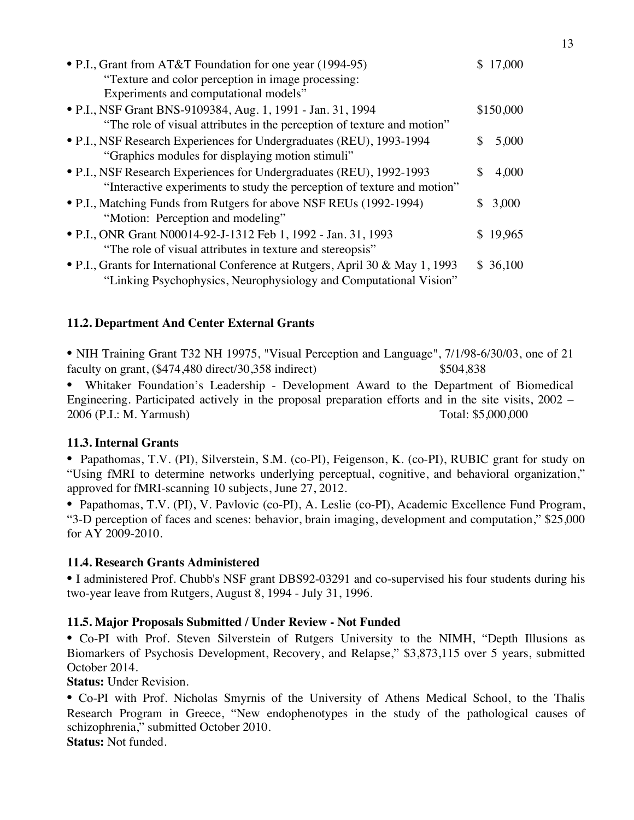| • P.I., Grant from AT&T Foundation for one year (1994-95)                      | 17,000    |
|--------------------------------------------------------------------------------|-----------|
| "Texture and color perception in image processing:                             |           |
| Experiments and computational models"                                          |           |
| • P.I., NSF Grant BNS-9109384, Aug. 1, 1991 - Jan. 31, 1994                    | \$150,000 |
| "The role of visual attributes in the perception of texture and motion"        |           |
| • P.I., NSF Research Experiences for Undergraduates (REU), 1993-1994           | 5,000     |
| "Graphics modules for displaying motion stimuli"                               |           |
| • P.I., NSF Research Experiences for Undergraduates (REU), 1992-1993           | 4,000     |
| "Interactive experiments to study the perception of texture and motion"        |           |
| • P.I., Matching Funds from Rutgers for above NSF REUs (1992-1994)             | 3,000     |
| "Motion: Perception and modeling"                                              |           |
| • P.I., ONR Grant N00014-92-J-1312 Feb 1, 1992 - Jan. 31, 1993                 | \$19,965  |
| "The role of visual attributes in texture and stereopsis"                      |           |
| • P.I., Grants for International Conference at Rutgers, April 30 & May 1, 1993 | \$36,100  |
| "Linking Psychophysics, Neurophysiology and Computational Vision"              |           |

#### **11.2. Department And Center External Grants**

• NIH Training Grant T32 NH 19975, "Visual Perception and Language", 7/1/98-6/30/03, one of 21 faculty on grant, (\$474,480 direct/30,358 indirect) \$504,838

• Whitaker Foundation's Leadership - Development Award to the Department of Biomedical Engineering. Participated actively in the proposal preparation efforts and in the site visits, 2002 – 2006 (P.I.: M. Yarmush) Total: \$5,000,000

#### **11.3. Internal Grants**

• Papathomas, T.V. (PI), Silverstein, S.M. (co-PI), Feigenson, K. (co-PI), RUBIC grant for study on "Using fMRI to determine networks underlying perceptual, cognitive, and behavioral organization," approved for fMRI-scanning 10 subjects, June 27, 2012.

• Papathomas, T.V. (PI), V. Pavlovic (co-PI), A. Leslie (co-PI), Academic Excellence Fund Program, "3-D perception of faces and scenes: behavior, brain imaging, development and computation," \$25,000 for AY 2009-2010.

#### **11.4. Research Grants Administered**

• I administered Prof. Chubb's NSF grant DBS92-03291 and co-supervised his four students during his two-year leave from Rutgers, August 8, 1994 - July 31, 1996.

#### **11.5. Major Proposals Submitted / Under Review - Not Funded**

• Co-PI with Prof. Steven Silverstein of Rutgers University to the NIMH, "Depth Illusions as Biomarkers of Psychosis Development, Recovery, and Relapse," \$3,873,115 over 5 years, submitted October 2014.

**Status:** Under Revision.

• Co-PI with Prof. Nicholas Smyrnis of the University of Athens Medical School, to the Thalis Research Program in Greece, "New endophenotypes in the study of the pathological causes of schizophrenia," submitted October 2010.

**Status:** Not funded.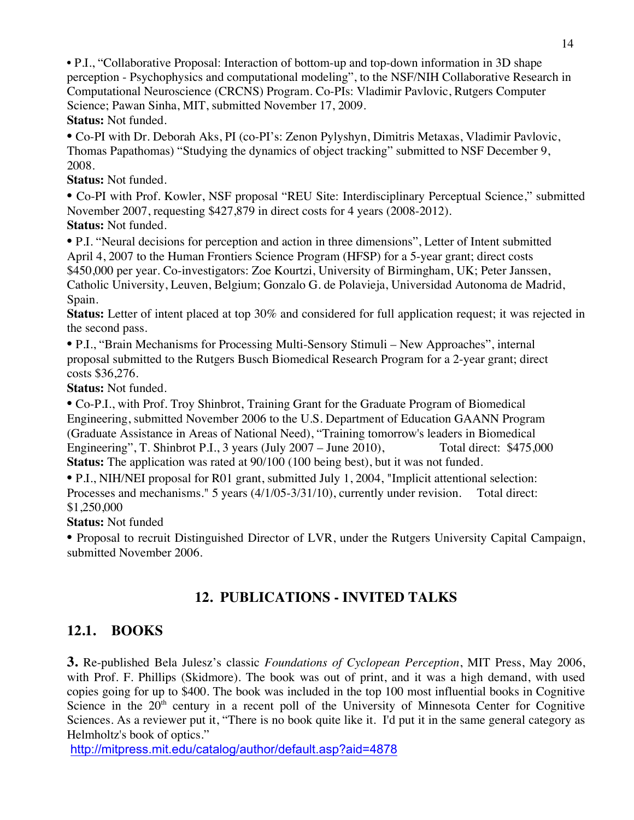• P.I., "Collaborative Proposal: Interaction of bottom-up and top-down information in 3D shape perception - Psychophysics and computational modeling", to the NSF/NIH Collaborative Research in Computational Neuroscience (CRCNS) Program. Co-PIs: Vladimir Pavlovic, Rutgers Computer Science; Pawan Sinha, MIT, submitted November 17, 2009. **Status:** Not funded.

• Co-PI with Dr. Deborah Aks, PI (co-PI's: Zenon Pylyshyn, Dimitris Metaxas, Vladimir Pavlovic, Thomas Papathomas) "Studying the dynamics of object tracking" submitted to NSF December 9, 2008.

**Status:** Not funded.

• Co-PI with Prof. Kowler, NSF proposal "REU Site: Interdisciplinary Perceptual Science," submitted November 2007, requesting \$427,879 in direct costs for 4 years (2008-2012). **Status:** Not funded.

• P.I. "Neural decisions for perception and action in three dimensions", Letter of Intent submitted April 4, 2007 to the Human Frontiers Science Program (HFSP) for a 5-year grant; direct costs \$450,000 per year. Co-investigators: Zoe Kourtzi, University of Birmingham, UK; Peter Janssen, Catholic University, Leuven, Belgium; Gonzalo G. de Polavieja, Universidad Autonoma de Madrid, Spain.

**Status:** Letter of intent placed at top 30% and considered for full application request; it was rejected in the second pass.

• P.I., "Brain Mechanisms for Processing Multi-Sensory Stimuli – New Approaches", internal proposal submitted to the Rutgers Busch Biomedical Research Program for a 2-year grant; direct costs \$36,276.

**Status:** Not funded.

• Co-P.I., with Prof. Troy Shinbrot, Training Grant for the Graduate Program of Biomedical Engineering, submitted November 2006 to the U.S. Department of Education GAANN Program (Graduate Assistance in Areas of National Need), "Training tomorrow's leaders in Biomedical Engineering", T. Shinbrot P.I., 3 years (July 2007 – June 2010), Total direct: \$475,000 **Status:** The application was rated at 90/100 (100 being best), but it was not funded.

• P.I., NIH/NEI proposal for R01 grant, submitted July 1, 2004, "Implicit attentional selection: Processes and mechanisms." 5 years (4/1/05-3/31/10), currently under revision. Total direct: \$1,250,000

**Status:** Not funded

• Proposal to recruit Distinguished Director of LVR, under the Rutgers University Capital Campaign, submitted November 2006.

# **12. PUBLICATIONS - INVITED TALKS**

# **12.1. BOOKS**

**3.** Re-published Bela Julesz's classic *Foundations of Cyclopean Perception*, MIT Press, May 2006, with Prof. F. Phillips (Skidmore). The book was out of print, and it was a high demand, with used copies going for up to \$400. The book was included in the top 100 most influential books in Cognitive Science in the  $20<sup>th</sup>$  century in a recent poll of the University of Minnesota Center for Cognitive Sciences. As a reviewer put it, "There is no book quite like it. I'd put it in the same general category as Helmholtz's book of optics."

http://mitpress.mit.edu/catalog/author/default.asp?aid=4878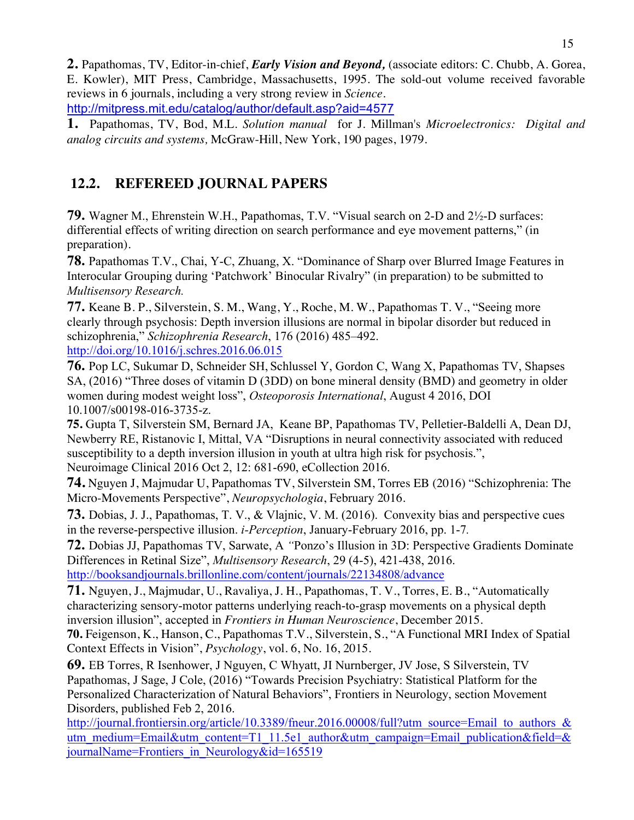**2.** Papathomas, TV, Editor-in-chief, *Early Vision and Beyond,* (associate editors: C. Chubb, A. Gorea, E. Kowler), MIT Press, Cambridge, Massachusetts, 1995. The sold-out volume received favorable reviews in 6 journals, including a very strong review in *Science*. http://mitpress.mit.edu/catalog/author/default.asp?aid=4577

**1.** Papathomas, TV, Bod, M.L. *Solution manual* for J. Millman's *Microelectronics: Digital and analog circuits and systems,* McGraw-Hill, New York, 190 pages, 1979.

# **12.2. REFEREED JOURNAL PAPERS**

**79.** Wagner M., Ehrenstein W.H., Papathomas, T.V. "Visual search on 2-D and 2½-D surfaces: differential effects of writing direction on search performance and eye movement patterns," (in preparation).

**78.** Papathomas T.V., Chai, Y-C, Zhuang, X. "Dominance of Sharp over Blurred Image Features in Interocular Grouping during 'Patchwork' Binocular Rivalry" (in preparation) to be submitted to *Multisensory Research.*

**77.** Keane B. P., Silverstein, S. M., Wang, Y., Roche, M. W., Papathomas T. V., "Seeing more clearly through psychosis: Depth inversion illusions are normal in bipolar disorder but reduced in schizophrenia," *Schizophrenia Research*, 176 (2016) 485–492. http://doi.org/10.1016/j.schres.2016.06.015

**76.** Pop LC, Sukumar D, Schneider SH, Schlussel Y, Gordon C, Wang X, Papathomas TV, Shapses SA, (2016) "Three doses of vitamin D (3DD) on bone mineral density (BMD) and geometry in older women during modest weight loss", *Osteoporosis International*, August 4 2016, DOI 10.1007/s00198-016-3735-z.

**75.** Gupta T, Silverstein SM, Bernard JA, Keane BP, Papathomas TV, Pelletier-Baldelli A, Dean DJ, Newberry RE, Ristanovic I, Mittal, VA "Disruptions in neural connectivity associated with reduced susceptibility to a depth inversion illusion in youth at ultra high risk for psychosis.", Neuroimage Clinical 2016 Oct 2, 12: 681-690, eCollection 2016.

**74.** Nguyen J, Majmudar U, Papathomas TV, Silverstein SM, Torres EB (2016) "Schizophrenia: The Micro-Movements Perspective", *Neuropsychologia*, February 2016.

**73.** Dobias, J. J., Papathomas, T. V., & Vlajnic, V. M. (2016). Convexity bias and perspective cues in the reverse-perspective illusion. *i-Perception*, January-February 2016, pp. 1-7*.*

**72.** Dobias JJ, Papathomas TV, Sarwate, A *"*Ponzo's Illusion in 3D: Perspective Gradients Dominate Differences in Retinal Size", *Multisensory Research*, 29 (4-5), 421-438, 2016. http://booksandjournals.brillonline.com/content/journals/22134808/advance

**71.** Nguyen, J., Majmudar, U., Ravaliya, J. H., Papathomas, T. V., Torres, E. B., "Automatically characterizing sensory-motor patterns underlying reach-to-grasp movements on a physical depth inversion illusion", accepted in *Frontiers in Human Neuroscience*, December 2015.

**70.** Feigenson, K., Hanson, C., Papathomas T.V., Silverstein, S., "A Functional MRI Index of Spatial Context Effects in Vision", *Psychology*, vol. 6, No. 16, 2015.

**69.** EB Torres, R Isenhower, J Nguyen, C Whyatt, JI Nurnberger, JV Jose, S Silverstein, TV Papathomas, J Sage, J Cole, (2016) "Towards Precision Psychiatry: Statistical Platform for the Personalized Characterization of Natural Behaviors", Frontiers in Neurology, section Movement Disorders, published Feb 2, 2016.

http://journal.frontiersin.org/article/10.3389/fneur.2016.00008/full?utm\_source=Email\_to\_authors\_& utm\_medium=Email&utm\_content=T1\_11.5e1\_author&utm\_campaign=Email\_publication&field=& journalName=Frontiers\_in\_Neurology&id=165519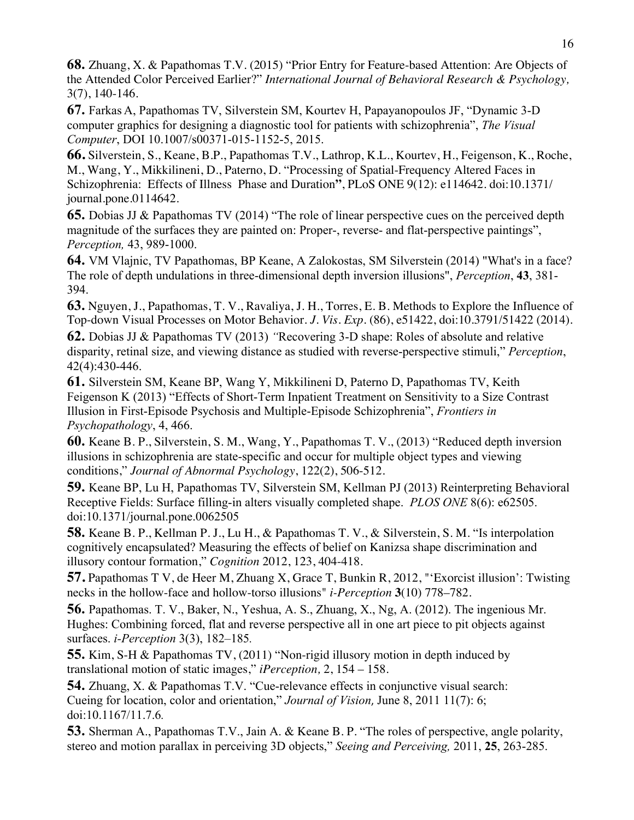**68.** Zhuang, X. & Papathomas T.V. (2015) "Prior Entry for Feature-based Attention: Are Objects of the Attended Color Perceived Earlier?" *International Journal of Behavioral Research & Psychology,*  3(7), 140-146.

**67.** Farkas A, Papathomas TV, Silverstein SM, Kourtev H, Papayanopoulos JF, "Dynamic 3-D computer graphics for designing a diagnostic tool for patients with schizophrenia", *The Visual Computer*, DOI 10.1007/s00371-015-1152-5, 2015.

**66.** Silverstein, S., Keane, B.P., Papathomas T.V., Lathrop, K.L., Kourtev, H., Feigenson, K., Roche, M., Wang, Y., Mikkilineni, D., Paterno, D. "Processing of Spatial-Frequency Altered Faces in Schizophrenia: Effects of Illness Phase and Duration**"**, PLoS ONE 9(12): e114642. doi:10.1371/ journal.pone.0114642.

**65.** Dobias JJ & Papathomas TV (2014) "The role of linear perspective cues on the perceived depth magnitude of the surfaces they are painted on: Proper-, reverse- and flat-perspective paintings", *Perception,* 43, 989-1000.

**64.** VM Vlajnic, TV Papathomas, BP Keane, A Zalokostas, SM Silverstein (2014) "What's in a face? The role of depth undulations in three-dimensional depth inversion illusions", *Perception*, **43**, 381- 394.

**63.** Nguyen, J., Papathomas, T. V., Ravaliya, J. H., Torres, E. B. Methods to Explore the Influence of Top-down Visual Processes on Motor Behavior. *J. Vis. Exp.* (86), e51422, doi:10.3791/51422 (2014).

**62.** Dobias JJ & Papathomas TV (2013) *"*Recovering 3-D shape: Roles of absolute and relative disparity, retinal size, and viewing distance as studied with reverse-perspective stimuli," *Perception*, 42(4):430-446.

**61.** Silverstein SM, Keane BP, Wang Y, Mikkilineni D, Paterno D, Papathomas TV, Keith Feigenson K (2013) "Effects of Short-Term Inpatient Treatment on Sensitivity to a Size Contrast Illusion in First-Episode Psychosis and Multiple-Episode Schizophrenia", *Frontiers in Psychopathology*, 4, 466.

**60.** Keane B. P., Silverstein, S. M., Wang, Y., Papathomas T. V., (2013) "Reduced depth inversion illusions in schizophrenia are state-specific and occur for multiple object types and viewing conditions," *Journal of Abnormal Psychology*, 122(2), 506-512.

**59.** Keane BP, Lu H, Papathomas TV, Silverstein SM, Kellman PJ (2013) Reinterpreting Behavioral Receptive Fields: Surface filling-in alters visually completed shape. *PLOS ONE* 8(6): e62505. doi:10.1371/journal.pone.0062505

**58.** Keane B. P., Kellman P. J., Lu H., & Papathomas T. V., & Silverstein, S. M. "Is interpolation cognitively encapsulated? Measuring the effects of belief on Kanizsa shape discrimination and illusory contour formation," *Cognition* 2012, 123, 404-418.

**57.** Papathomas T V, de Heer M, Zhuang X, Grace T, Bunkin R, 2012, "'Exorcist illusion': Twisting necks in the hollow-face and hollow-torso illusions" *i-Perception* **3**(10) 778–782.

**56.** Papathomas. T. V., Baker, N., Yeshua, A. S., Zhuang, X., Ng, A. (2012). The ingenious Mr. Hughes: Combining forced, flat and reverse perspective all in one art piece to pit objects against surfaces. *i-Perception* 3(3), 182–185*.*

**55.** Kim, S-H & Papathomas TV, (2011) "Non-rigid illusory motion in depth induced by translational motion of static images," *iPerception,* 2, 154 – 158.

**54.** Zhuang, X. & Papathomas T.V. "Cue-relevance effects in conjunctive visual search: Cueing for location, color and orientation," *Journal of Vision*, June 8, 2011 11(7): 6; doi:10.1167/11.7.6*.*

**53.** Sherman A., Papathomas T.V., Jain A. & Keane B. P. "The roles of perspective, angle polarity, stereo and motion parallax in perceiving 3D objects," *Seeing and Perceiving,* 2011, **25**, 263-285.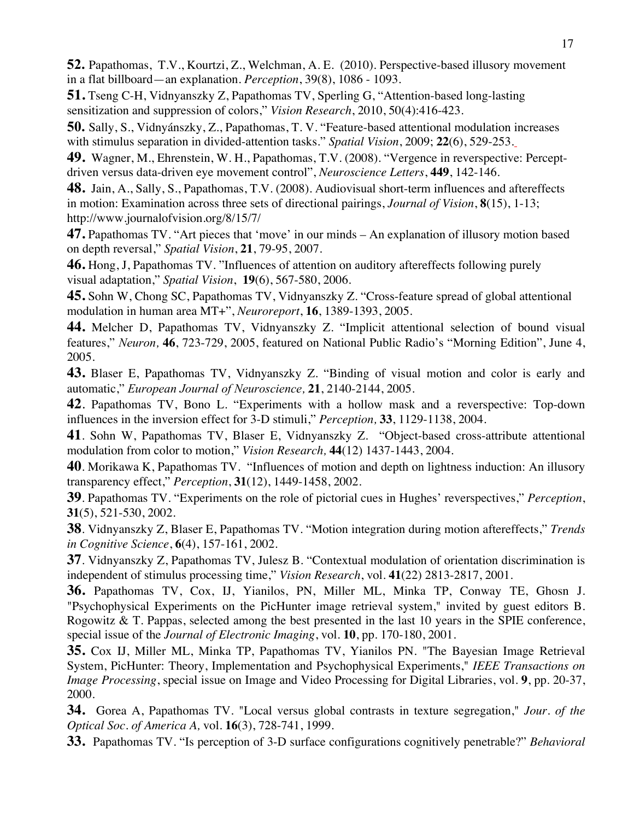**52.** Papathomas, T.V., Kourtzi, Z., Welchman, A. E. (2010). Perspective-based illusory movement in a flat billboard—an explanation. *Perception*, 39(8), 1086 - 1093.

**51.** Tseng C-H, Vidnyanszky Z, Papathomas TV, Sperling G, "Attention-based long-lasting sensitization and suppression of colors," *Vision Research*, 2010, 50(4):416-423.

**50.** Sally, S., Vidnyánszky, Z., Papathomas, T. V. "Feature-based attentional modulation increases with stimulus separation in divided-attention tasks." *Spatial Vision*, 2009; **22**(6), 529-253.

**49.** Wagner, M., Ehrenstein, W. H., Papathomas, T.V. (2008). "Vergence in reverspective: Perceptdriven versus data-driven eye movement control", *Neuroscience Letters*, **449**, 142-146.

**48.** Jain, A., Sally, S., Papathomas, T.V. (2008). Audiovisual short-term influences and aftereffects in motion: Examination across three sets of directional pairings, *Journal of Vision*, **8**(15), 1-13; http://www.journalofvision.org/8/15/7/

**47.** Papathomas TV. "Art pieces that 'move' in our minds – An explanation of illusory motion based on depth reversal," *Spatial Vision*, **21**, 79-95, 2007.

**46.** Hong, J, Papathomas TV. "Influences of attention on auditory aftereffects following purely visual adaptation," *Spatial Vision*, **19**(6), 567-580, 2006.

**45.** Sohn W, Chong SC, Papathomas TV, Vidnyanszky Z. "Cross-feature spread of global attentional modulation in human area MT+", *Neuroreport*, **16**, 1389-1393, 2005.

**44.** Melcher D, Papathomas TV, Vidnyanszky Z. "Implicit attentional selection of bound visual features," *Neuron,* **46**, 723-729, 2005, featured on National Public Radio's "Morning Edition", June 4, 2005.

**43.** Blaser E, Papathomas TV, Vidnyanszky Z. "Binding of visual motion and color is early and automatic," *European Journal of Neuroscience,* **21**, 2140-2144, 2005.

**42**. Papathomas TV, Bono L. "Experiments with a hollow mask and a reverspective: Top-down influences in the inversion effect for 3-D stimuli," *Perception,* **33**, 1129-1138, 2004.

**41**. Sohn W, Papathomas TV, Blaser E, Vidnyanszky Z. "Object-based cross-attribute attentional modulation from color to motion," *Vision Research,* **44**(12) 1437-1443, 2004.

**40**. Morikawa K, Papathomas TV. "Influences of motion and depth on lightness induction: An illusory transparency effect," *Perception*, **31**(12), 1449-1458, 2002.

**39**. Papathomas TV. "Experiments on the role of pictorial cues in Hughes' reverspectives," *Perception*, **31**(5), 521-530, 2002.

**38**. Vidnyanszky Z, Blaser E, Papathomas TV. "Motion integration during motion aftereffects," *Trends in Cognitive Science*, **6**(4), 157-161, 2002.

**37**. Vidnyanszky Z, Papathomas TV, Julesz B. "Contextual modulation of orientation discrimination is independent of stimulus processing time," *Vision Research*, vol. **41**(22) 2813-2817, 2001.

**36.** Papathomas TV, Cox, IJ, Yianilos, PN, Miller ML, Minka TP, Conway TE, Ghosn J. "Psychophysical Experiments on the PicHunter image retrieval system," invited by guest editors B. Rogowitz & T. Pappas, selected among the best presented in the last 10 years in the SPIE conference, special issue of the *Journal of Electronic Imaging*, vol. **10**, pp. 170-180, 2001.

**35.** Cox IJ, Miller ML, Minka TP, Papathomas TV, Yianilos PN. "The Bayesian Image Retrieval System, PicHunter: Theory, Implementation and Psychophysical Experiments," *IEEE Transactions on Image Processing*, special issue on Image and Video Processing for Digital Libraries, vol. **9**, pp. 20-37, 2000.

**34.** Gorea A, Papathomas TV. "Local versus global contrasts in texture segregation," *Jour. of the Optical Soc. of America A,* vol. **16**(3), 728-741, 1999.

**33.** Papathomas TV. "Is perception of 3-D surface configurations cognitively penetrable?" *Behavioral*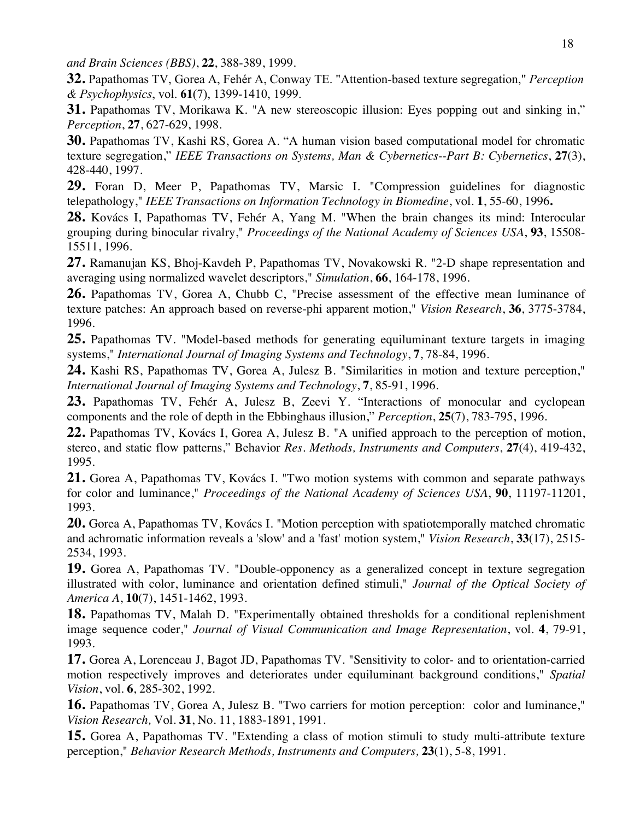*and Brain Sciences (BBS)*, **22**, 388-389, 1999.

**32.** Papathomas TV, Gorea A, Fehér A, Conway TE. "Attention-based texture segregation," *Perception & Psychophysics*, vol. **61**(7), 1399-1410, 1999.

**31.** Papathomas TV, Morikawa K. "A new stereoscopic illusion: Eyes popping out and sinking in," *Perception*, **27**, 627-629, 1998.

**30.** Papathomas TV, Kashi RS, Gorea A. "A human vision based computational model for chromatic texture segregation," *IEEE Transactions on Systems, Man & Cybernetics--Part B: Cybernetics*, **27**(3), 428-440, 1997.

**29.** Foran D, Meer P, Papathomas TV, Marsic I. "Compression guidelines for diagnostic telepathology," *IEEE Transactions on Information Technology in Biomedine*, vol. **1**, 55-60, 1996**.**

**28.** Kovács I, Papathomas TV, Fehér A, Yang M. "When the brain changes its mind: Interocular grouping during binocular rivalry," *Proceedings of the National Academy of Sciences USA*, **93**, 15508- 15511, 1996.

**27.** Ramanujan KS, Bhoj-Kavdeh P, Papathomas TV, Novakowski R. "2-D shape representation and averaging using normalized wavelet descriptors," *Simulation*, **66**, 164-178, 1996.

26. Papathomas TV, Gorea A, Chubb C, "Precise assessment of the effective mean luminance of texture patches: An approach based on reverse-phi apparent motion," *Vision Research*, **36**, 3775-3784, 1996.

**25.** Papathomas TV. "Model-based methods for generating equiluminant texture targets in imaging systems," *International Journal of Imaging Systems and Technology*, **7**, 78-84, 1996.

**24.** Kashi RS, Papathomas TV, Gorea A, Julesz B. "Similarities in motion and texture perception," *International Journal of Imaging Systems and Technology*, **7**, 85-91, 1996.

**23.** Papathomas TV, Fehér A, Julesz B, Zeevi Y. "Interactions of monocular and cyclopean components and the role of depth in the Ebbinghaus illusion," *Perception*, **25**(7), 783-795, 1996.

**22.** Papathomas TV, Kovács I, Gorea A, Julesz B. "A unified approach to the perception of motion, stereo, and static flow patterns," Behavior *Res. Methods, Instruments and Computers*, **27**(4), 419-432, 1995.

**21.** Gorea A, Papathomas TV, Kovács I. "Two motion systems with common and separate pathways for color and luminance," *Proceedings of the National Academy of Sciences USA*, **90**, 11197-11201, 1993.

**20.** Gorea A, Papathomas TV, Kovács I. "Motion perception with spatiotemporally matched chromatic and achromatic information reveals a 'slow' and a 'fast' motion system," *Vision Research*, **33**(17), 2515- 2534, 1993.

**19.** Gorea A, Papathomas TV. "Double-opponency as a generalized concept in texture segregation illustrated with color, luminance and orientation defined stimuli," *Journal of the Optical Society of America A*, **10**(7), 1451-1462, 1993.

**18.** Papathomas TV, Malah D. "Experimentally obtained thresholds for a conditional replenishment image sequence coder," *Journal of Visual Communication and Image Representation*, vol. **4**, 79-91, 1993.

**17.** Gorea A, Lorenceau J, Bagot JD, Papathomas TV. "Sensitivity to color- and to orientation-carried motion respectively improves and deteriorates under equiluminant background conditions," *Spatial Vision*, vol. **6**, 285-302, 1992.

**16.** Papathomas TV, Gorea A, Julesz B. "Two carriers for motion perception: color and luminance," *Vision Research,* Vol. **31**, No. 11, 1883-1891, 1991.

**15.** Gorea A, Papathomas TV. "Extending a class of motion stimuli to study multi-attribute texture perception," *Behavior Research Methods, Instruments and Computers,* **23**(1), 5-8, 1991.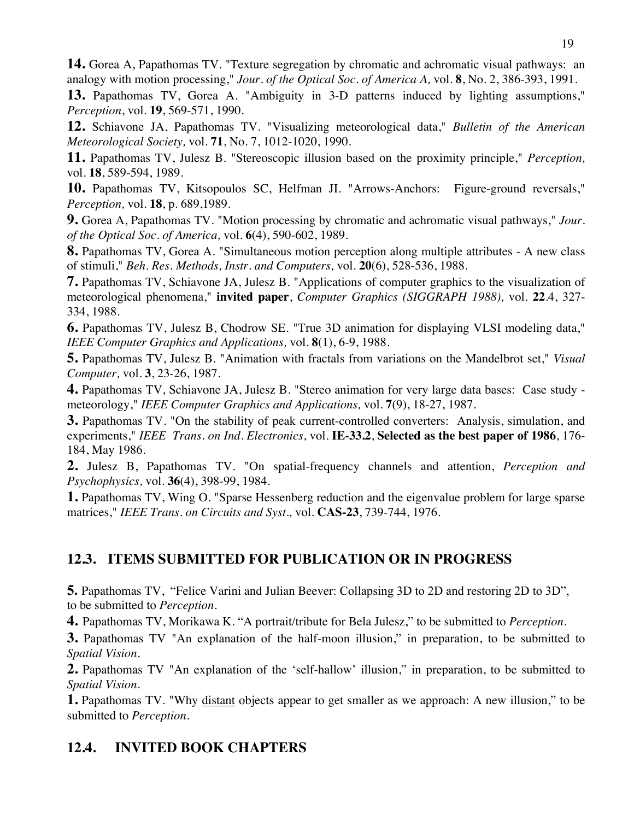**14.** Gorea A, Papathomas TV. "Texture segregation by chromatic and achromatic visual pathways: an analogy with motion processing," *Jour. of the Optical Soc. of America A,* vol. **8**, No. 2, 386-393, 1991.

**13.** Papathomas TV, Gorea A. "Ambiguity in 3-D patterns induced by lighting assumptions," *Perception*, vol. **19**, 569-571, 1990.

**12.** Schiavone JA, Papathomas TV. "Visualizing meteorological data," *Bulletin of the American Meteorological Society,* vol. **71**, No. 7, 1012-1020, 1990.

**11.** Papathomas TV, Julesz B. "Stereoscopic illusion based on the proximity principle," *Perception,* vol. **18**, 589-594, 1989.

**10.** Papathomas TV, Kitsopoulos SC, Helfman JI. "Arrows-Anchors: Figure-ground reversals," *Perception,* vol. **18**, p. 689,1989.

**9.** Gorea A, Papathomas TV. "Motion processing by chromatic and achromatic visual pathways," *Jour. of the Optical Soc. of America,* vol. **6**(4), 590-602, 1989.

**8.** Papathomas TV, Gorea A. "Simultaneous motion perception along multiple attributes - A new class of stimuli," *Beh. Res. Methods, Instr. and Computers,* vol. **20**(6), 528-536, 1988.

**7.** Papathomas TV, Schiavone JA, Julesz B. "Applications of computer graphics to the visualization of meteorological phenomena," **invited paper**, *Computer Graphics (SIGGRAPH 1988),* vol. **22**.4, 327- 334, 1988.

**6.** Papathomas TV, Julesz B, Chodrow SE. "True 3D animation for displaying VLSI modeling data," *IEEE Computer Graphics and Applications,* vol. **8**(1), 6-9, 1988.

**5.** Papathomas TV, Julesz B. "Animation with fractals from variations on the Mandelbrot set," *Visual Computer,* vol. **3**, 23-26, 1987.

**4.** Papathomas TV, Schiavone JA, Julesz B. "Stereo animation for very large data bases: Case study meteorology," *IEEE Computer Graphics and Applications,* vol. **7**(9), 18-27, 1987.

**3.** Papathomas TV. "On the stability of peak current-controlled converters: Analysis, simulation, and experiments," *IEEE Trans. on Ind. Electronics*, vol. **IE-33.2**, **Selected as the best paper of 1986**, 176- 184, May 1986.

**2.** Julesz B, Papathomas TV. "On spatial-frequency channels and attention, *Perception and Psychophysics,* vol. **36**(4), 398-99, 1984.

**1.** Papathomas TV, Wing O. "Sparse Hessenberg reduction and the eigenvalue problem for large sparse matrices," *IEEE Trans. on Circuits and Syst.,* vol. **CAS-23**, 739-744, 1976.

# **12.3. ITEMS SUBMITTED FOR PUBLICATION OR IN PROGRESS**

**5.** Papathomas TV, "Felice Varini and Julian Beever: Collapsing 3D to 2D and restoring 2D to 3D", to be submitted to *Perception*.

**4.** Papathomas TV, Morikawa K. "A portrait/tribute for Bela Julesz," to be submitted to *Perception*.

**3.** Papathomas TV "An explanation of the half-moon illusion," in preparation, to be submitted to *Spatial Vision*.

**2.** Papathomas TV "An explanation of the 'self-hallow' illusion," in preparation, to be submitted to *Spatial Vision*.

**1.** Papathomas TV. "Why distant objects appear to get smaller as we approach: A new illusion," to be submitted to *Perception*.

# **12.4. INVITED BOOK CHAPTERS**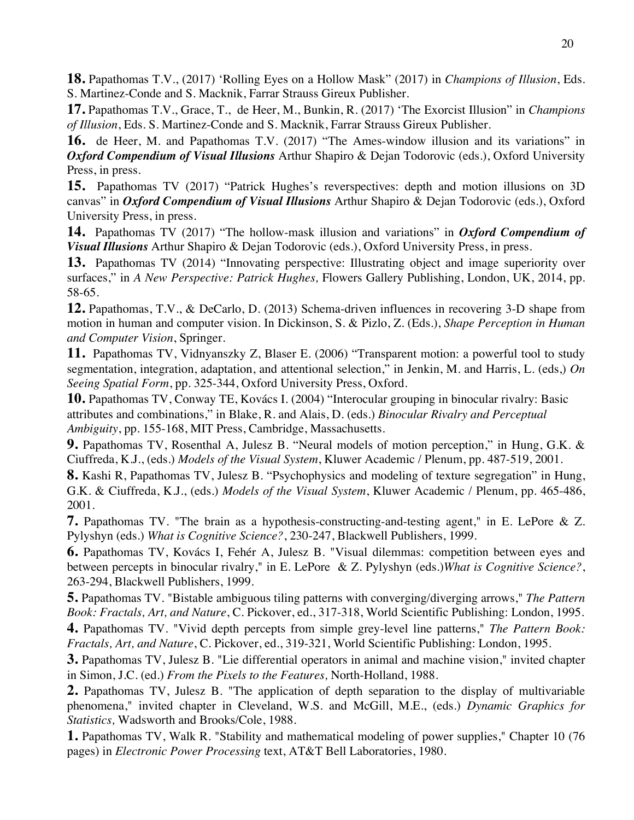**18.** Papathomas T.V., (2017) 'Rolling Eyes on a Hollow Mask" (2017) in *Champions of Illusion*, Eds. S. Martinez-Conde and S. Macknik, Farrar Strauss Gireux Publisher.

**17.** Papathomas T.V., Grace, T., de Heer, M., Bunkin, R. (2017) 'The Exorcist Illusion" in *Champions of Illusion*, Eds. S. Martinez-Conde and S. Macknik, Farrar Strauss Gireux Publisher.

**16.** de Heer, M. and Papathomas T.V. (2017) "The Ames-window illusion and its variations" in *Oxford Compendium of Visual Illusions* Arthur Shapiro & Dejan Todorovic (eds.), Oxford University Press, in press.

**15.** Papathomas TV (2017) "Patrick Hughes's reverspectives: depth and motion illusions on 3D canvas" in *Oxford Compendium of Visual Illusions* Arthur Shapiro & Dejan Todorovic (eds.), Oxford University Press, in press.

**14.** Papathomas TV (2017) "The hollow-mask illusion and variations" in *Oxford Compendium of Visual Illusions* Arthur Shapiro & Dejan Todorovic (eds.), Oxford University Press, in press.

**13.** Papathomas TV (2014) "Innovating perspective: Illustrating object and image superiority over surfaces," in *A New Perspective: Patrick Hughes,* Flowers Gallery Publishing, London, UK, 2014, pp. 58-65.

**12.** Papathomas, T.V., & DeCarlo, D. (2013) Schema-driven influences in recovering 3-D shape from motion in human and computer vision. In Dickinson, S. & Pizlo, Z. (Eds.), *Shape Perception in Human and Computer Vision*, Springer.

**11.** Papathomas TV, Vidnyanszky Z, Blaser E. (2006) "Transparent motion: a powerful tool to study segmentation, integration, adaptation, and attentional selection," in Jenkin, M. and Harris, L. (eds,) *On Seeing Spatial Form*, pp. 325-344, Oxford University Press, Oxford.

**10.** Papathomas TV, Conway TE, Kovács I. (2004) "Interocular grouping in binocular rivalry: Basic attributes and combinations," in Blake, R. and Alais, D. (eds.) *Binocular Rivalry and Perceptual Ambiguity*, pp. 155-168, MIT Press, Cambridge, Massachusetts.

**9.** Papathomas TV, Rosenthal A, Julesz B. "Neural models of motion perception," in Hung, G.K. & Ciuffreda, K.J., (eds.) *Models of the Visual System*, Kluwer Academic / Plenum, pp. 487-519, 2001.

**8.** Kashi R, Papathomas TV, Julesz B. "Psychophysics and modeling of texture segregation" in Hung, G.K. & Ciuffreda, K.J., (eds.) *Models of the Visual System*, Kluwer Academic / Plenum, pp. 465-486, 2001.

**7.** Papathomas TV. "The brain as a hypothesis-constructing-and-testing agent," in E. LePore & Z. Pylyshyn (eds.) *What is Cognitive Science?*, 230-247, Blackwell Publishers, 1999.

**6.** Papathomas TV, Kovács I, Fehér A, Julesz B. "Visual dilemmas: competition between eyes and between percepts in binocular rivalry," in E. LePore & Z. Pylyshyn (eds.)*What is Cognitive Science?*, 263-294, Blackwell Publishers, 1999.

**5.** Papathomas TV. "Bistable ambiguous tiling patterns with converging/diverging arrows," *The Pattern Book: Fractals, Art, and Nature*, C. Pickover, ed., 317-318, World Scientific Publishing: London, 1995. **4.** Papathomas TV. "Vivid depth percepts from simple grey-level line patterns," *The Pattern Book:* 

*Fractals, Art, and Nature*, C. Pickover, ed., 319-321, World Scientific Publishing: London, 1995.

**3.** Papathomas TV, Julesz B. "Lie differential operators in animal and machine vision," invited chapter in Simon, J.C. (ed.) *From the Pixels to the Features,* North-Holland, 1988.

**2.** Papathomas TV, Julesz B. "The application of depth separation to the display of multivariable phenomena," invited chapter in Cleveland, W.S. and McGill, M.E., (eds.) *Dynamic Graphics for Statistics,* Wadsworth and Brooks/Cole, 1988.

**1.** Papathomas TV, Walk R. "Stability and mathematical modeling of power supplies," Chapter 10 (76 pages) in *Electronic Power Processing* text, AT&T Bell Laboratories, 1980.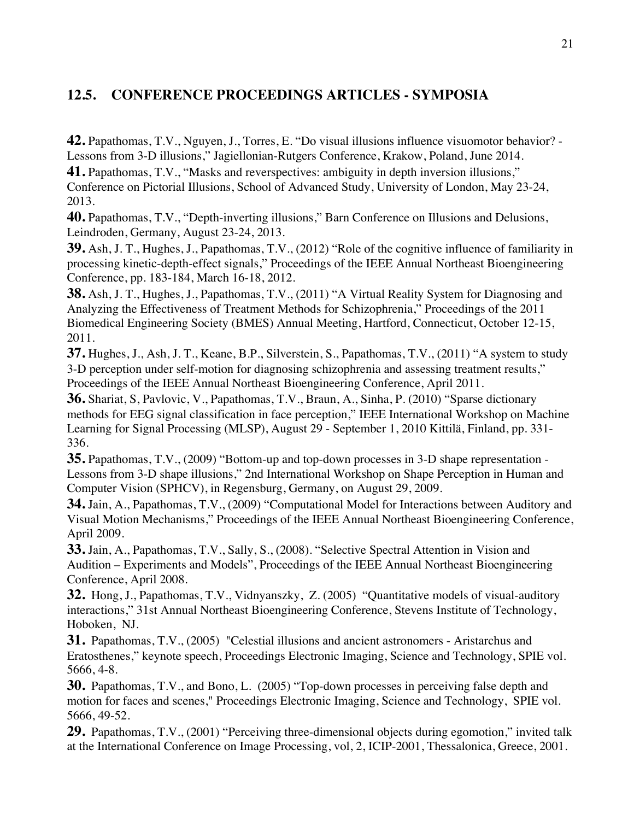# **12.5. CONFERENCE PROCEEDINGS ARTICLES - SYMPOSIA**

**42.** Papathomas, T.V., Nguyen, J., Torres, E. "Do visual illusions influence visuomotor behavior? - Lessons from 3-D illusions," Jagiellonian-Rutgers Conference, Krakow, Poland, June 2014.

**41.** Papathomas, T.V., "Masks and reverspectives: ambiguity in depth inversion illusions," Conference on Pictorial Illusions, School of Advanced Study, University of London, May 23-24, 2013.

**40.** Papathomas, T.V., "Depth-inverting illusions," Barn Conference on Illusions and Delusions, Leindroden, Germany, August 23-24, 2013.

**39.** Ash, J. T., Hughes, J., Papathomas, T.V., (2012) "Role of the cognitive influence of familiarity in processing kinetic-depth-effect signals," Proceedings of the IEEE Annual Northeast Bioengineering Conference, pp. 183-184, March 16-18, 2012.

**38.** Ash, J. T., Hughes, J., Papathomas, T.V., (2011) "A Virtual Reality System for Diagnosing and Analyzing the Effectiveness of Treatment Methods for Schizophrenia," Proceedings of the 2011 Biomedical Engineering Society (BMES) Annual Meeting, Hartford, Connecticut, October 12-15, 2011.

**37.** Hughes, J., Ash, J. T., Keane, B.P., Silverstein, S., Papathomas, T.V., (2011) "A system to study 3-D perception under self-motion for diagnosing schizophrenia and assessing treatment results," Proceedings of the IEEE Annual Northeast Bioengineering Conference, April 2011.

**36.** Shariat, S, Pavlovic, V., Papathomas, T.V., Braun, A., Sinha, P. (2010) "Sparse dictionary methods for EEG signal classification in face perception," IEEE International Workshop on Machine Learning for Signal Processing (MLSP), August 29 - September 1, 2010 Kittilä, Finland, pp. 331- 336.

**35.** Papathomas, T.V., (2009) "Bottom-up and top-down processes in 3-D shape representation - Lessons from 3-D shape illusions," 2nd International Workshop on Shape Perception in Human and Computer Vision (SPHCV), in Regensburg, Germany, on August 29, 2009.

**34.** Jain, A., Papathomas, T.V., (2009) "Computational Model for Interactions between Auditory and Visual Motion Mechanisms," Proceedings of the IEEE Annual Northeast Bioengineering Conference, April 2009.

**33.** Jain, A., Papathomas, T.V., Sally, S., (2008). "Selective Spectral Attention in Vision and Audition – Experiments and Models", Proceedings of the IEEE Annual Northeast Bioengineering Conference, April 2008.

**32.** Hong, J., Papathomas, T.V., Vidnyanszky, Z. (2005) "Quantitative models of visual-auditory interactions," 31st Annual Northeast Bioengineering Conference, Stevens Institute of Technology, Hoboken, NJ.

**31.** Papathomas, T.V., (2005) "Celestial illusions and ancient astronomers - Aristarchus and Eratosthenes," keynote speech, Proceedings Electronic Imaging, Science and Technology, SPIE vol. 5666, 4-8.

**30.** Papathomas, T.V., and Bono, L. (2005) "Top-down processes in perceiving false depth and motion for faces and scenes," Proceedings Electronic Imaging, Science and Technology, SPIE vol. 5666, 49-52.

**29.** Papathomas, T.V., (2001) "Perceiving three-dimensional objects during egomotion," invited talk at the International Conference on Image Processing, vol, 2, ICIP-2001, Thessalonica, Greece, 2001.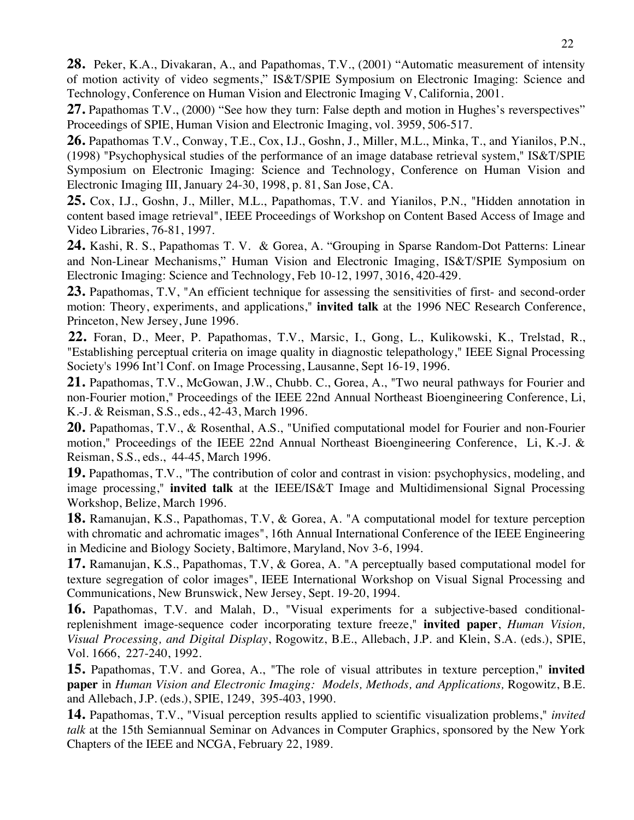**28.** Peker, K.A., Divakaran, A., and Papathomas, T.V., (2001) "Automatic measurement of intensity of motion activity of video segments," IS&T/SPIE Symposium on Electronic Imaging: Science and Technology, Conference on Human Vision and Electronic Imaging V, California, 2001.

**27.** Papathomas T.V., (2000) "See how they turn: False depth and motion in Hughes's reverspectives" Proceedings of SPIE, Human Vision and Electronic Imaging, vol. 3959, 506-517.

**26.** Papathomas T.V., Conway, T.E., Cox, I.J., Goshn, J., Miller, M.L., Minka, T., and Yianilos, P.N., (1998) "Psychophysical studies of the performance of an image database retrieval system," IS&T/SPIE Symposium on Electronic Imaging: Science and Technology, Conference on Human Vision and Electronic Imaging III, January 24-30, 1998, p. 81, San Jose, CA.

**25.** Cox, I.J., Goshn, J., Miller, M.L., Papathomas, T.V. and Yianilos, P.N., "Hidden annotation in content based image retrieval", IEEE Proceedings of Workshop on Content Based Access of Image and Video Libraries, 76-81, 1997.

**24.** Kashi, R. S., Papathomas T. V. & Gorea, A. "Grouping in Sparse Random-Dot Patterns: Linear and Non-Linear Mechanisms," Human Vision and Electronic Imaging, IS&T/SPIE Symposium on Electronic Imaging: Science and Technology, Feb 10-12, 1997, 3016, 420-429.

23. Papathomas, T.V, "An efficient technique for assessing the sensitivities of first- and second-order motion: Theory, experiments, and applications," **invited talk** at the 1996 NEC Research Conference, Princeton, New Jersey, June 1996.

**22.** Foran, D., Meer, P. Papathomas, T.V., Marsic, I., Gong, L., Kulikowski, K., Trelstad, R., "Establishing perceptual criteria on image quality in diagnostic telepathology," IEEE Signal Processing Society's 1996 Int'l Conf. on Image Processing, Lausanne, Sept 16-19, 1996.

21. Papathomas, T.V., McGowan, J.W., Chubb. C., Gorea, A., "Two neural pathways for Fourier and non-Fourier motion," Proceedings of the IEEE 22nd Annual Northeast Bioengineering Conference, Li, K.-J. & Reisman, S.S., eds., 42-43, March 1996.

**20.** Papathomas, T.V., & Rosenthal, A.S., "Unified computational model for Fourier and non-Fourier motion," Proceedings of the IEEE 22nd Annual Northeast Bioengineering Conference, Li, K.-J. & Reisman, S.S., eds., 44-45, March 1996.

**19.** Papathomas, T.V., "The contribution of color and contrast in vision: psychophysics, modeling, and image processing," **invited talk** at the IEEE/IS&T Image and Multidimensional Signal Processing Workshop, Belize, March 1996.

**18.** Ramanujan, K.S., Papathomas, T.V, & Gorea, A. "A computational model for texture perception with chromatic and achromatic images", 16th Annual International Conference of the IEEE Engineering in Medicine and Biology Society, Baltimore, Maryland, Nov 3-6, 1994.

**17.** Ramanujan, K.S., Papathomas, T.V, & Gorea, A. "A perceptually based computational model for texture segregation of color images", IEEE International Workshop on Visual Signal Processing and Communications, New Brunswick, New Jersey, Sept. 19-20, 1994.

**16.** Papathomas, T.V. and Malah, D., "Visual experiments for a subjective-based conditionalreplenishment image-sequence coder incorporating texture freeze," **invited paper**, *Human Vision, Visual Processing, and Digital Display*, Rogowitz, B.E., Allebach, J.P. and Klein, S.A. (eds.), SPIE, Vol. 1666, 227-240, 1992.

**15.** Papathomas, T.V. and Gorea, A., "The role of visual attributes in texture perception," **invited paper** in *Human Vision and Electronic Imaging: Models, Methods, and Applications,* Rogowitz, B.E. and Allebach, J.P. (eds.), SPIE, 1249, 395-403, 1990.

**14.** Papathomas, T.V., "Visual perception results applied to scientific visualization problems," *invited talk* at the 15th Semiannual Seminar on Advances in Computer Graphics, sponsored by the New York Chapters of the IEEE and NCGA, February 22, 1989.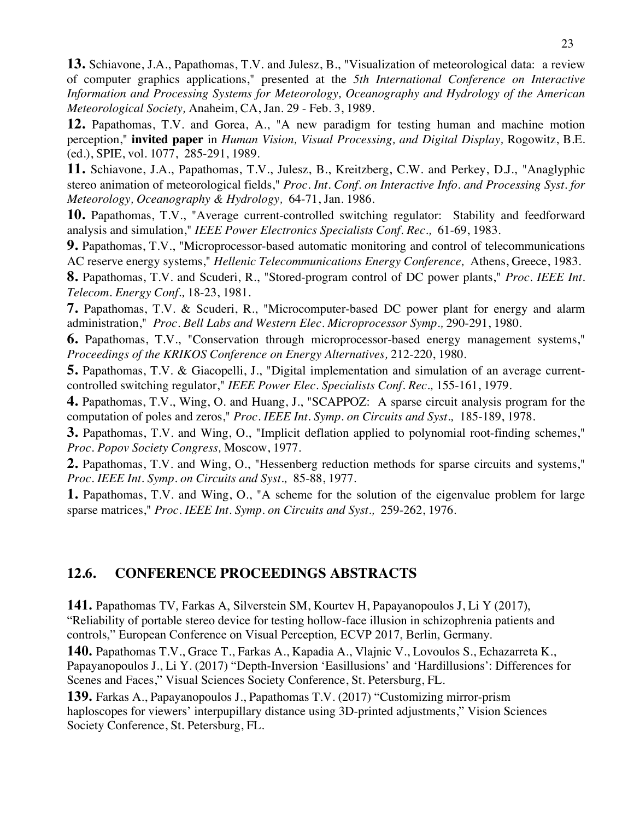**13.** Schiavone, J.A., Papathomas, T.V. and Julesz, B., "Visualization of meteorological data: a review of computer graphics applications," presented at the *5th International Conference on Interactive Information and Processing Systems for Meteorology, Oceanography and Hydrology of the American Meteorological Society,* Anaheim, CA, Jan. 29 - Feb. 3, 1989.

**12.** Papathomas, T.V. and Gorea, A., "A new paradigm for testing human and machine motion perception," **invited paper** in *Human Vision, Visual Processing, and Digital Display,* Rogowitz, B.E. (ed.), SPIE, vol. 1077, 285-291, 1989.

**11.** Schiavone, J.A., Papathomas, T.V., Julesz, B., Kreitzberg, C.W. and Perkey, D.J., "Anaglyphic stereo animation of meteorological fields," *Proc. Int. Conf. on Interactive Info. and Processing Syst. for Meteorology, Oceanography & Hydrology,* 64-71, Jan. 1986.

**10.** Papathomas, T.V., "Average current-controlled switching regulator: Stability and feedforward analysis and simulation," *IEEE Power Electronics Specialists Conf. Rec.,* 61-69, 1983.

**9.** Papathomas, T.V., "Microprocessor-based automatic monitoring and control of telecommunications AC reserve energy systems," *Hellenic Telecommunications Energy Conference,* Athens, Greece, 1983.

**8.** Papathomas, T.V. and Scuderi, R., "Stored-program control of DC power plants," *Proc. IEEE Int. Telecom. Energy Conf.,* 18-23, 1981.

**7.** Papathomas, T.V. & Scuderi, R., "Microcomputer-based DC power plant for energy and alarm administration," *Proc. Bell Labs and Western Elec. Microprocessor Symp.,* 290-291, 1980.

**6.** Papathomas, T.V., "Conservation through microprocessor-based energy management systems," *Proceedings of the KRIKOS Conference on Energy Alternatives,* 212-220, 1980.

**5.** Papathomas, T.V. & Giacopelli, J., "Digital implementation and simulation of an average currentcontrolled switching regulator," *IEEE Power Elec. Specialists Conf. Rec.,* 155-161, 1979.

**4.** Papathomas, T.V., Wing, O. and Huang, J., "SCAPPOZ: A sparse circuit analysis program for the computation of poles and zeros," *Proc. IEEE Int. Symp. on Circuits and Syst.,* 185-189, 1978.

**3.** Papathomas, T.V. and Wing, O., "Implicit deflation applied to polynomial root-finding schemes," *Proc. Popov Society Congress,* Moscow, 1977.

**2.** Papathomas, T.V. and Wing, O., "Hessenberg reduction methods for sparse circuits and systems," *Proc. IEEE Int. Symp. on Circuits and Syst.,* 85-88, 1977.

**1.** Papathomas, T.V. and Wing, O., "A scheme for the solution of the eigenvalue problem for large sparse matrices," *Proc. IEEE Int. Symp. on Circuits and Syst.,* 259-262, 1976.

# **12.6. CONFERENCE PROCEEDINGS ABSTRACTS**

**141.** Papathomas TV, Farkas A, Silverstein SM, Kourtev H, Papayanopoulos J, Li Y (2017), "Reliability of portable stereo device for testing hollow-face illusion in schizophrenia patients and controls," European Conference on Visual Perception, ECVP 2017, Berlin, Germany.

**140.** Papathomas T.V., Grace T., Farkas A., Kapadia A., Vlajnic V., Lovoulos S., Echazarreta K., Papayanopoulos J., Li Y. (2017) "Depth-Inversion 'Easillusions' and 'Hardillusions': Differences for Scenes and Faces," Visual Sciences Society Conference, St. Petersburg, FL.

**139.** Farkas A., Papayanopoulos J., Papathomas T.V. (2017) "Customizing mirror-prism haploscopes for viewers' interpupillary distance using 3D-printed adjustments," Vision Sciences Society Conference, St. Petersburg, FL.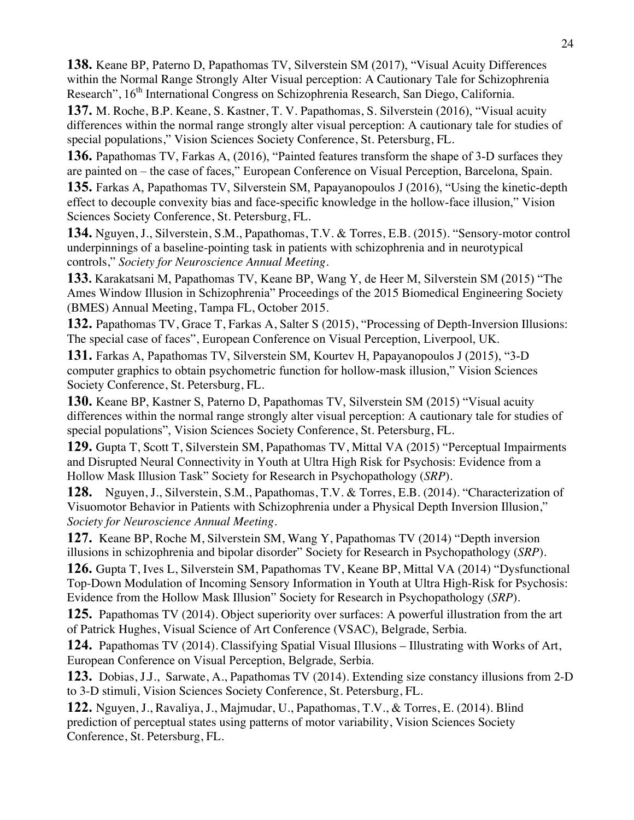**138.** Keane BP, Paterno D, Papathomas TV, Silverstein SM (2017), "Visual Acuity Differences within the Normal Range Strongly Alter Visual perception: A Cautionary Tale for Schizophrenia Research", 16<sup>th</sup> International Congress on Schizophrenia Research, San Diego, California.

**137.** M. Roche, B.P. Keane, S. Kastner, T. V. Papathomas, S. Silverstein (2016), "Visual acuity differences within the normal range strongly alter visual perception: A cautionary tale for studies of special populations," Vision Sciences Society Conference, St. Petersburg, FL.

**136.** Papathomas TV, Farkas A, (2016), "Painted features transform the shape of 3-D surfaces they are painted on – the case of faces," European Conference on Visual Perception, Barcelona, Spain.

**135.** Farkas A, Papathomas TV, Silverstein SM, Papayanopoulos J (2016), "Using the kinetic-depth effect to decouple convexity bias and face-specific knowledge in the hollow-face illusion," Vision Sciences Society Conference, St. Petersburg, FL.

**134.** Nguyen, J., Silverstein, S.M., Papathomas, T.V. & Torres, E.B. (2015). "Sensory-motor control underpinnings of a baseline-pointing task in patients with schizophrenia and in neurotypical controls," *Society for Neuroscience Annual Meeting*.

**133.** Karakatsani M, Papathomas TV, Keane BP, Wang Y, de Heer M, Silverstein SM (2015) "The Ames Window Illusion in Schizophrenia" Proceedings of the 2015 Biomedical Engineering Society (BMES) Annual Meeting, Tampa FL, October 2015.

**132.** Papathomas TV, Grace T, Farkas A, Salter S (2015), "Processing of Depth-Inversion Illusions: The special case of faces", European Conference on Visual Perception, Liverpool, UK.

**131.** Farkas A, Papathomas TV, Silverstein SM, Kourtev H, Papayanopoulos J (2015), "3-D computer graphics to obtain psychometric function for hollow-mask illusion," Vision Sciences Society Conference, St. Petersburg, FL.

**130.** Keane BP, Kastner S, Paterno D, Papathomas TV, Silverstein SM (2015) "Visual acuity differences within the normal range strongly alter visual perception: A cautionary tale for studies of special populations", Vision Sciences Society Conference, St. Petersburg, FL.

**129.** Gupta T, Scott T, Silverstein SM, Papathomas TV, Mittal VA (2015) "Perceptual Impairments and Disrupted Neural Connectivity in Youth at Ultra High Risk for Psychosis: Evidence from a Hollow Mask Illusion Task" Society for Research in Psychopathology (*SRP*).

**128.** Nguyen, J., Silverstein, S.M., Papathomas, T.V. & Torres, E.B. (2014). "Characterization of Visuomotor Behavior in Patients with Schizophrenia under a Physical Depth Inversion Illusion," *Society for Neuroscience Annual Meeting*.

**127.** Keane BP, Roche M, Silverstein SM, Wang Y, Papathomas TV (2014) "Depth inversion illusions in schizophrenia and bipolar disorder" Society for Research in Psychopathology (*SRP*).

**126.** Gupta T, Ives L, Silverstein SM, Papathomas TV, Keane BP, Mittal VA (2014) "Dysfunctional Top-Down Modulation of Incoming Sensory Information in Youth at Ultra High-Risk for Psychosis: Evidence from the Hollow Mask Illusion" Society for Research in Psychopathology (*SRP*).

**125.** Papathomas TV (2014). Object superiority over surfaces: A powerful illustration from the art of Patrick Hughes, Visual Science of Art Conference (VSAC), Belgrade, Serbia.

**124.** Papathomas TV (2014). Classifying Spatial Visual Illusions – Illustrating with Works of Art, European Conference on Visual Perception, Belgrade, Serbia.

**123.** Dobias, J.J., Sarwate, A., Papathomas TV (2014). Extending size constancy illusions from 2-D to 3-D stimuli, Vision Sciences Society Conference, St. Petersburg, FL.

**122.** Nguyen, J., Ravaliya, J., Majmudar, U., Papathomas, T.V., & Torres, E. (2014). Blind prediction of perceptual states using patterns of motor variability, Vision Sciences Society Conference, St. Petersburg, FL.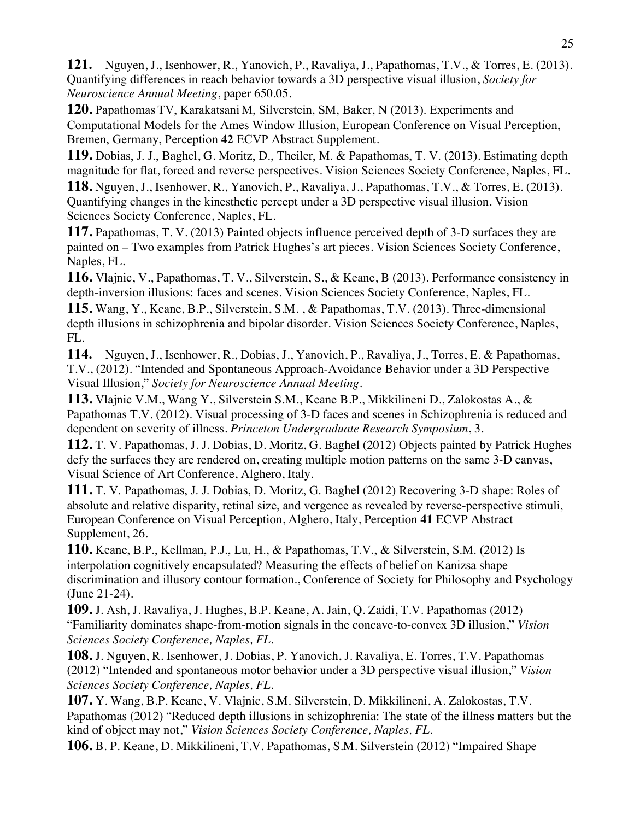**121.** Nguyen, J., Isenhower, R., Yanovich, P., Ravaliya, J., Papathomas, T.V., & Torres, E. (2013). Quantifying differences in reach behavior towards a 3D perspective visual illusion, *Society for Neuroscience Annual Meeting*, paper 650.05.

**120.** Papathomas TV, Karakatsani M, Silverstein, SM, Baker, N (2013). Experiments and Computational Models for the Ames Window Illusion, European Conference on Visual Perception, Bremen, Germany, Perception **42** ECVP Abstract Supplement.

**119.** Dobias, J. J., Baghel, G. Moritz, D., Theiler, M. & Papathomas, T. V. (2013). Estimating depth magnitude for flat, forced and reverse perspectives. Vision Sciences Society Conference, Naples, FL.

**118.** Nguyen, J., Isenhower, R., Yanovich, P., Ravaliya, J., Papathomas, T.V., & Torres, E. (2013). Quantifying changes in the kinesthetic percept under a 3D perspective visual illusion. Vision Sciences Society Conference, Naples, FL.

**117.** Papathomas, T. V. (2013) Painted objects influence perceived depth of 3-D surfaces they are painted on – Two examples from Patrick Hughes's art pieces. Vision Sciences Society Conference, Naples, FL.

**116.** Vlajnic, V., Papathomas, T. V., Silverstein, S., & Keane, B (2013). Performance consistency in depth-inversion illusions: faces and scenes. Vision Sciences Society Conference, Naples, FL.

**115.** Wang, Y., Keane, B.P., Silverstein, S.M. , & Papathomas, T.V. (2013). Three-dimensional depth illusions in schizophrenia and bipolar disorder. Vision Sciences Society Conference, Naples, FL.

**114.** Nguyen, J., Isenhower, R., Dobias, J., Yanovich, P., Ravaliya, J., Torres, E. & Papathomas, T.V., (2012). "Intended and Spontaneous Approach-Avoidance Behavior under a 3D Perspective Visual Illusion," *Society for Neuroscience Annual Meeting*.

**113.** Vlajnic V.M., Wang Y., Silverstein S.M., Keane B.P., Mikkilineni D., Zalokostas A., & Papathomas T.V. (2012). Visual processing of 3-D faces and scenes in Schizophrenia is reduced and dependent on severity of illness. *Princeton Undergraduate Research Symposium*, 3.

**112.** T. V. Papathomas, J. J. Dobias, D. Moritz, G. Baghel (2012) Objects painted by Patrick Hughes defy the surfaces they are rendered on, creating multiple motion patterns on the same 3-D canvas, Visual Science of Art Conference, Alghero, Italy.

**111.** T. V. Papathomas, J. J. Dobias, D. Moritz, G. Baghel (2012) Recovering 3-D shape: Roles of absolute and relative disparity, retinal size, and vergence as revealed by reverse-perspective stimuli, European Conference on Visual Perception, Alghero, Italy, Perception **41** ECVP Abstract Supplement, 26.

**110.** Keane, B.P., Kellman, P.J., Lu, H., & Papathomas, T.V., & Silverstein, S.M. (2012) Is interpolation cognitively encapsulated? Measuring the effects of belief on Kanizsa shape discrimination and illusory contour formation., Conference of Society for Philosophy and Psychology (June 21-24).

**109.** J. Ash, J. Ravaliya, J. Hughes, B.P. Keane, A. Jain, Q. Zaidi, T.V. Papathomas (2012) "Familiarity dominates shape-from-motion signals in the concave-to-convex 3D illusion," *Vision Sciences Society Conference, Naples, FL*.

**108.** J. Nguyen, R. Isenhower, J. Dobias, P. Yanovich, J. Ravaliya, E. Torres, T.V. Papathomas (2012) "Intended and spontaneous motor behavior under a 3D perspective visual illusion," *Vision Sciences Society Conference, Naples, FL*.

**107.** Y. Wang, B.P. Keane, V. Vlajnic, S.M. Silverstein, D. Mikkilineni, A. Zalokostas, T.V. Papathomas (2012) "Reduced depth illusions in schizophrenia: The state of the illness matters but the kind of object may not," *Vision Sciences Society Conference, Naples, FL*.

**106.** B. P. Keane, D. Mikkilineni, T.V. Papathomas, S.M. Silverstein (2012) "Impaired Shape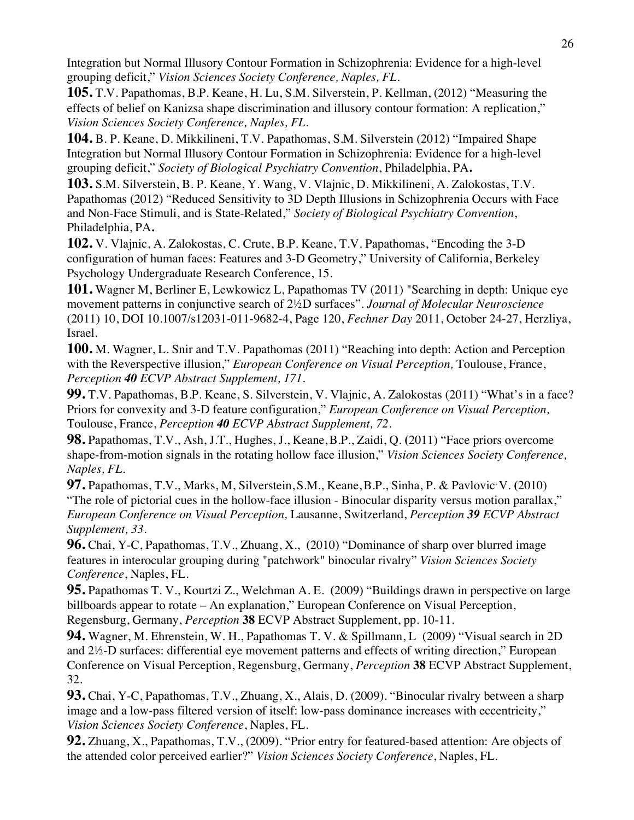Integration but Normal Illusory Contour Formation in Schizophrenia: Evidence for a high-level grouping deficit," *Vision Sciences Society Conference, Naples, FL*.

**105.** T.V. Papathomas, B.P. Keane, H. Lu, S.M. Silverstein, P. Kellman, (2012) "Measuring the effects of belief on Kanizsa shape discrimination and illusory contour formation: A replication," *Vision Sciences Society Conference, Naples, FL*.

**104.** B. P. Keane, D. Mikkilineni, T.V. Papathomas, S.M. Silverstein (2012) "Impaired Shape Integration but Normal Illusory Contour Formation in Schizophrenia: Evidence for a high-level grouping deficit," *Society of Biological Psychiatry Convention*, Philadelphia, PA**.**

**103.** S.M. Silverstein, B. P. Keane, Y. Wang, V. Vlajnic, D. Mikkilineni, A. Zalokostas, T.V. Papathomas (2012) "Reduced Sensitivity to 3D Depth Illusions in Schizophrenia Occurs with Face and Non-Face Stimuli, and is State-Related," *Society of Biological Psychiatry Convention*, Philadelphia, PA**.**

**102.** V. Vlajnic, A. Zalokostas, C. Crute, B.P. Keane, T.V. Papathomas, "Encoding the 3-D configuration of human faces: Features and 3-D Geometry," University of California, Berkeley Psychology Undergraduate Research Conference, 15.

**101.** Wagner M, Berliner E, Lewkowicz L, Papathomas TV (2011) "Searching in depth: Unique eye movement patterns in conjunctive search of 2½D surfaces". *Journal of Molecular Neuroscience*  (2011) 10, DOI 10.1007/s12031-011-9682-4, Page 120, *Fechner Day* 2011, October 24-27, Herzliya, Israel.

**100.** M. Wagner, L. Snir and T.V. Papathomas (2011) "Reaching into depth: Action and Perception with the Reverspective illusion," *European Conference on Visual Perception,* Toulouse, France, *Perception 40 ECVP Abstract Supplement, 171*.

**99.** T.V. Papathomas, B.P. Keane, S. Silverstein, V. Vlajnic, A. Zalokostas (2011) "What's in a face? Priors for convexity and 3-D feature configuration," *European Conference on Visual Perception,*  Toulouse, France, *Perception 40 ECVP Abstract Supplement, 72*.

**98.** Papathomas, T.V., Ash, J.T., Hughes, J., Keane,B.P., Zaidi, Q. **(**2011) "Face priors overcome shape-from-motion signals in the rotating hollow face illusion," *Vision Sciences Society Conference, Naples, FL*.

**97.** Papathomas, T.V., Marks, M, Silverstein, S.M., Keane,B.P., Sinha, P. & Pavlovic, V. **(**2010) "The role of pictorial cues in the hollow-face illusion - Binocular disparity versus motion parallax," *European Conference on Visual Perception,* Lausanne, Switzerland, *Perception 39 ECVP Abstract Supplement, 33*.

**96.** Chai, Y-C, Papathomas, T.V., Zhuang, X., **(**2010) "Dominance of sharp over blurred image features in interocular grouping during "patchwork" binocular rivalry" *Vision Sciences Society Conference*, Naples, FL.

**95.** Papathomas T. V., Kourtzi Z., Welchman A. E. **(**2009) "Buildings drawn in perspective on large billboards appear to rotate – An explanation," European Conference on Visual Perception, Regensburg, Germany, *Perception* **38** ECVP Abstract Supplement, pp. 10-11.

**94.** Wagner, M. Ehrenstein, W. H., Papathomas T. V. & Spillmann, L (2009) "Visual search in 2D and 2½-D surfaces: differential eye movement patterns and effects of writing direction," European Conference on Visual Perception, Regensburg, Germany, *Perception* **38** ECVP Abstract Supplement, 32.

**93.** Chai, Y-C, Papathomas, T.V., Zhuang, X., Alais, D. (2009). "Binocular rivalry between a sharp image and a low-pass filtered version of itself: low-pass dominance increases with eccentricity," *Vision Sciences Society Conference*, Naples, FL.

**92.** Zhuang, X., Papathomas, T.V., (2009). "Prior entry for featured-based attention: Are objects of the attended color perceived earlier?" *Vision Sciences Society Conference*, Naples, FL.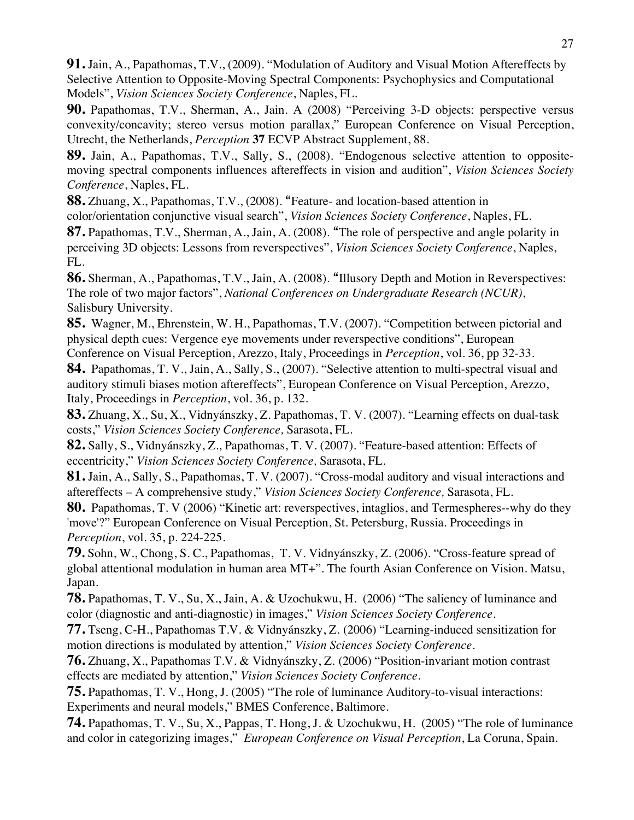**91.** Jain, A., Papathomas, T.V., (2009). "Modulation of Auditory and Visual Motion Aftereffects by Selective Attention to Opposite-Moving Spectral Components: Psychophysics and Computational Models", *Vision Sciences Society Conference*, Naples, FL.

**90.** Papathomas, T.V., Sherman, A., Jain. A (2008) "Perceiving 3-D objects: perspective versus convexity/concavity; stereo versus motion parallax," European Conference on Visual Perception, Utrecht, the Netherlands, *Perception* **37** ECVP Abstract Supplement, 88.

**89.** Jain, A., Papathomas, T.V., Sally, S., (2008). "Endogenous selective attention to oppositemoving spectral components influences aftereffects in vision and audition", *Vision Sciences Society Conference*, Naples, FL.

**88.** Zhuang, X., Papathomas, T.V., (2008). "Feature- and location-based attention in color/orientation conjunctive visual search", *Vision Sciences Society Conference*, Naples, FL.

**87.** Papathomas, T.V., Sherman, A., Jain, A. (2008). "The role of perspective and angle polarity in perceiving 3D objects: Lessons from reverspectives", *Vision Sciences Society Conference*, Naples, FL.

**86.** Sherman, A., Papathomas, T.V., Jain, A. (2008). "Illusory Depth and Motion in Reverspectives: The role of two major factors", *National Conferences on Undergraduate Research (NCUR)*, Salisbury University.

**85.** Wagner, M., Ehrenstein, W. H., Papathomas, T.V. (2007). "Competition between pictorial and physical depth cues: Vergence eye movements under reverspective conditions", European Conference on Visual Perception, Arezzo, Italy, Proceedings in *Perception*, vol. 36, pp 32-33.

**84.** Papathomas, T. V., Jain, A., Sally, S., (2007). "Selective attention to multi-spectral visual and auditory stimuli biases motion aftereffects", European Conference on Visual Perception, Arezzo, Italy, Proceedings in *Perception*, vol. 36, p. 132.

**83.** Zhuang, X., Su, X., Vidnyánszky, Z. Papathomas, T. V. (2007). "Learning effects on dual-task costs," *Vision Sciences Society Conference,* Sarasota, FL*.*

**82.** Sally, S., Vidnyánszky, Z., Papathomas, T. V. (2007). "Feature-based attention: Effects of eccentricity," *Vision Sciences Society Conference,* Sarasota, FL*.*

**81.** Jain, A., Sally, S., Papathomas, T. V. (2007). "Cross-modal auditory and visual interactions and aftereffects – A comprehensive study," *Vision Sciences Society Conference,* Sarasota, FL*.*

**80.** Papathomas, T. V (2006) "Kinetic art: reverspectives, intaglios, and Termespheres--why do they 'move'?" European Conference on Visual Perception, St. Petersburg, Russia. Proceedings in *Perception*, vol. 35, p. 224-225.

**79.** Sohn, W., Chong, S. C., Papathomas, T. V. Vidnyánszky, Z. (2006). "Cross-feature spread of global attentional modulation in human area MT+". The fourth Asian Conference on Vision. Matsu, Japan.

**78.** Papathomas, T. V., Su, X., Jain, A. & Uzochukwu, H. (2006) "The saliency of luminance and color (diagnostic and anti-diagnostic) in images," *Vision Sciences Society Conference.*

**77.** Tseng, C-H., Papathomas T.V. & Vidnyánszky, Z. (2006) "Learning-induced sensitization for motion directions is modulated by attention," *Vision Sciences Society Conference.*

**76.** Zhuang, X., Papathomas T.V. & Vidnyánszky, Z. (2006) "Position-invariant motion contrast effects are mediated by attention," *Vision Sciences Society Conference.*

**75.** Papathomas, T. V., Hong, J. (2005) "The role of luminance Auditory-to-visual interactions: Experiments and neural models," BMES Conference, Baltimore.

**74.** Papathomas, T. V., Su, X., Pappas, T. Hong, J. & Uzochukwu, H. (2005) "The role of luminance and color in categorizing images," *European Conference on Visual Perception*, La Coruna, Spain.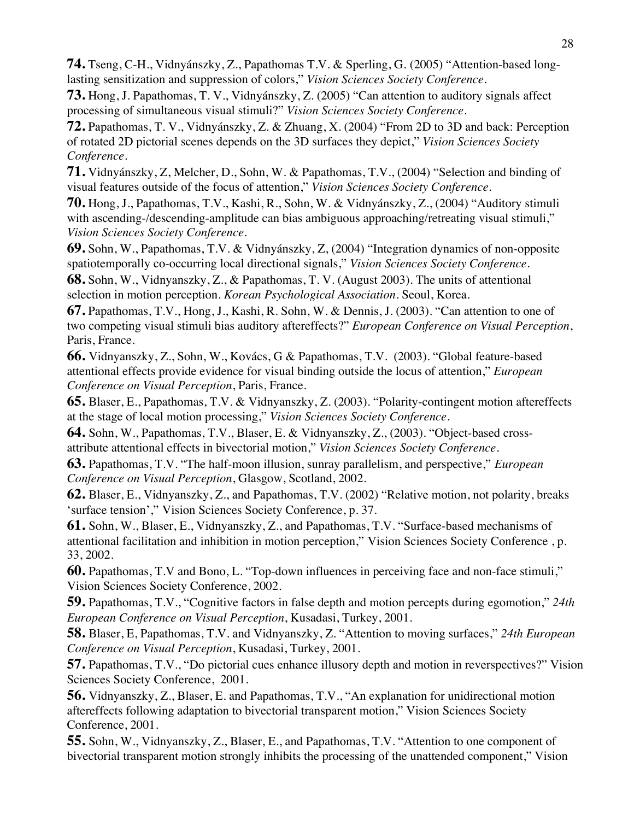**74.** Tseng, C-H., Vidnyánszky, Z., Papathomas T.V. & Sperling, G. (2005) "Attention-based longlasting sensitization and suppression of colors," *Vision Sciences Society Conference.*

**73.** Hong, J. Papathomas, T. V., Vidnyánszky, Z. (2005) "Can attention to auditory signals affect processing of simultaneous visual stimuli?" *Vision Sciences Society Conference.*

**72.** Papathomas, T. V., Vidnyánszky, Z. & Zhuang, X. (2004) "From 2D to 3D and back: Perception of rotated 2D pictorial scenes depends on the 3D surfaces they depict," *Vision Sciences Society Conference.*

**71.** Vidnyánszky, Z, Melcher, D., Sohn, W. & Papathomas, T.V., (2004) "Selection and binding of visual features outside of the focus of attention," *Vision Sciences Society Conference.*

**70.** Hong, J., Papathomas, T.V., Kashi, R., Sohn, W. & Vidnyánszky, Z., (2004) "Auditory stimuli with ascending-/descending-amplitude can bias ambiguous approaching/retreating visual stimuli," *Vision Sciences Society Conference.*

**69.** Sohn, W., Papathomas, T.V. & Vidnyánszky, Z, (2004) "Integration dynamics of non-opposite spatiotemporally co-occurring local directional signals," *Vision Sciences Society Conference.*

**68.** Sohn, W., Vidnyanszky, Z., & Papathomas, T. V. (August 2003). The units of attentional selection in motion perception. *Korean Psychological Association*. Seoul, Korea.

**67.** Papathomas, T.V., Hong, J., Kashi, R. Sohn, W. & Dennis, J. (2003). "Can attention to one of two competing visual stimuli bias auditory aftereffects?" *European Conference on Visual Perception*, Paris, France.

**66.** Vidnyanszky, Z., Sohn, W., Kovács, G & Papathomas, T.V. (2003). "Global feature-based attentional effects provide evidence for visual binding outside the locus of attention," *European Conference on Visual Perception*, Paris, France.

**65.** Blaser, E., Papathomas, T.V. & Vidnyanszky, Z. (2003). "Polarity-contingent motion aftereffects at the stage of local motion processing," *Vision Sciences Society Conference.*

**64.** Sohn, W., Papathomas, T.V., Blaser, E. & Vidnyanszky, Z., (2003). "Object-based crossattribute attentional effects in bivectorial motion," *Vision Sciences Society Conference.*

**63.** Papathomas, T.V. "The half-moon illusion, sunray parallelism, and perspective," *European Conference on Visual Perception*, Glasgow, Scotland, 2002.

**62.** Blaser, E., Vidnyanszky, Z., and Papathomas, T.V. (2002) "Relative motion, not polarity, breaks 'surface tension'," Vision Sciences Society Conference, p. 37.

**61.** Sohn, W., Blaser, E., Vidnyanszky, Z., and Papathomas, T.V. "Surface-based mechanisms of attentional facilitation and inhibition in motion perception," Vision Sciences Society Conference , p. 33, 2002.

**60.** Papathomas, T.V and Bono, L. "Top-down influences in perceiving face and non-face stimuli," Vision Sciences Society Conference, 2002.

**59.** Papathomas, T.V., "Cognitive factors in false depth and motion percepts during egomotion," *24th European Conference on Visual Perception*, Kusadasi, Turkey, 2001.

**58.** Blaser, E, Papathomas, T.V. and Vidnyanszky, Z. "Attention to moving surfaces," *24th European Conference on Visual Perception*, Kusadasi, Turkey, 2001.

**57.** Papathomas, T.V., "Do pictorial cues enhance illusory depth and motion in reverspectives?" Vision Sciences Society Conference, 2001.

**56.** Vidnyanszky, Z., Blaser, E. and Papathomas, T.V., "An explanation for unidirectional motion aftereffects following adaptation to bivectorial transparent motion," Vision Sciences Society Conference, 2001.

**55.** Sohn, W., Vidnyanszky, Z., Blaser, E., and Papathomas, T.V. "Attention to one component of bivectorial transparent motion strongly inhibits the processing of the unattended component," Vision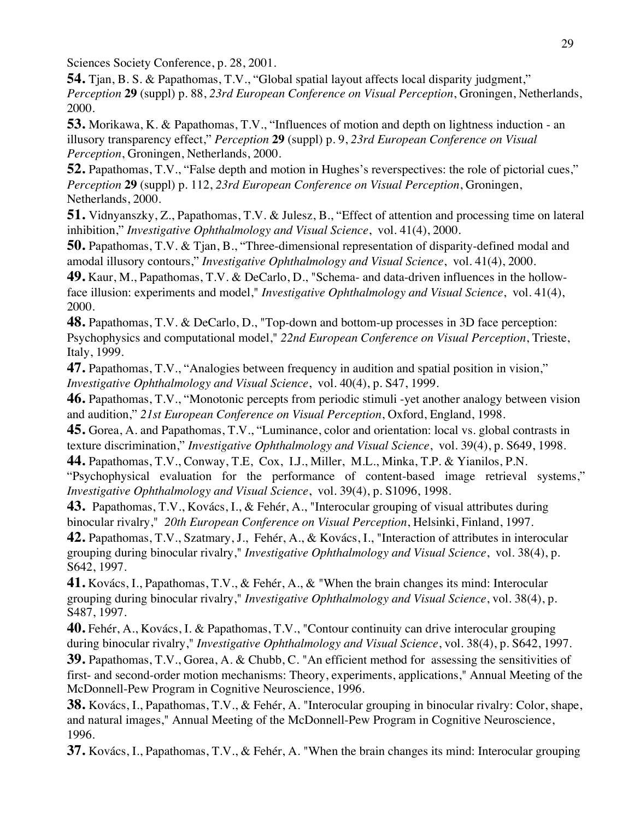Sciences Society Conference, p. 28, 2001.

**54.** Tjan, B. S. & Papathomas, T.V., "Global spatial layout affects local disparity judgment," *Perception* **29** (suppl) p. 88, *23rd European Conference on Visual Perception*, Groningen, Netherlands, 2000.

**53.** Morikawa, K. & Papathomas, T.V., "Influences of motion and depth on lightness induction - an illusory transparency effect," *Perception* **29** (suppl) p. 9, *23rd European Conference on Visual Perception*, Groningen, Netherlands, 2000.

**52.** Papathomas, T.V., "False depth and motion in Hughes's reverspectives: the role of pictorial cues," *Perception* **29** (suppl) p. 112, *23rd European Conference on Visual Perception*, Groningen, Netherlands, 2000.

**51.** Vidnyanszky, Z., Papathomas, T.V. & Julesz, B., "Effect of attention and processing time on lateral inhibition," *Investigative Ophthalmology and Visual Science*, vol. 41(4), 2000.

**50.** Papathomas, T.V. & Tjan, B., "Three-dimensional representation of disparity-defined modal and amodal illusory contours," *Investigative Ophthalmology and Visual Science*, vol. 41(4), 2000.

**49.** Kaur, M., Papathomas, T.V. & DeCarlo, D., "Schema- and data-driven influences in the hollowface illusion: experiments and model," *Investigative Ophthalmology and Visual Science*, vol. 41(4), 2000.

**48.** Papathomas, T.V. & DeCarlo, D., "Top-down and bottom-up processes in 3D face perception: Psychophysics and computational model," *22nd European Conference on Visual Perception*, Trieste, Italy, 1999.

**47.** Papathomas, T.V., "Analogies between frequency in audition and spatial position in vision," *Investigative Ophthalmology and Visual Science*, vol. 40(4), p. S47, 1999.

**46.** Papathomas, T.V., "Monotonic percepts from periodic stimuli -yet another analogy between vision and audition," *21st European Conference on Visual Perception*, Oxford, England, 1998.

**45.** Gorea, A. and Papathomas, T.V., "Luminance, color and orientation: local vs. global contrasts in texture discrimination," *Investigative Ophthalmology and Visual Science*, vol. 39(4), p. S649, 1998.

**44.** Papathomas, T.V., Conway, T.E, Cox, I.J., Miller, M.L., Minka, T.P. & Yianilos, P.N. "Psychophysical evaluation for the performance of content-based image retrieval systems," *Investigative Ophthalmology and Visual Science*, vol. 39(4), p. S1096, 1998.

**43.** Papathomas, T.V., Kovács, I., & Fehér, A., "Interocular grouping of visual attributes during binocular rivalry," *20th European Conference on Visual Perception*, Helsinki, Finland, 1997.

**42.** Papathomas, T.V., Szatmary, J., Fehér, A., & Kovács, I., "Interaction of attributes in interocular grouping during binocular rivalry," *Investigative Ophthalmology and Visual Science*, vol. 38(4), p. S642, 1997.

**41.** Kovács, I., Papathomas, T.V., & Fehér, A., & "When the brain changes its mind: Interocular grouping during binocular rivalry," *Investigative Ophthalmology and Visual Science*, vol. 38(4), p. S487, 1997.

**40.** Fehér, A., Kovács, I. & Papathomas, T.V., "Contour continuity can drive interocular grouping during binocular rivalry," *Investigative Ophthalmology and Visual Science*, vol. 38(4), p. S642, 1997.

**39.** Papathomas, T.V., Gorea, A. & Chubb, C. "An efficient method for assessing the sensitivities of first- and second-order motion mechanisms: Theory, experiments, applications," Annual Meeting of the McDonnell-Pew Program in Cognitive Neuroscience, 1996.

**38.** Kovács, I., Papathomas, T.V., & Fehér, A. "Interocular grouping in binocular rivalry: Color, shape, and natural images," Annual Meeting of the McDonnell-Pew Program in Cognitive Neuroscience, 1996.

**37.** Kovács, I., Papathomas, T.V., & Fehér, A. "When the brain changes its mind: Interocular grouping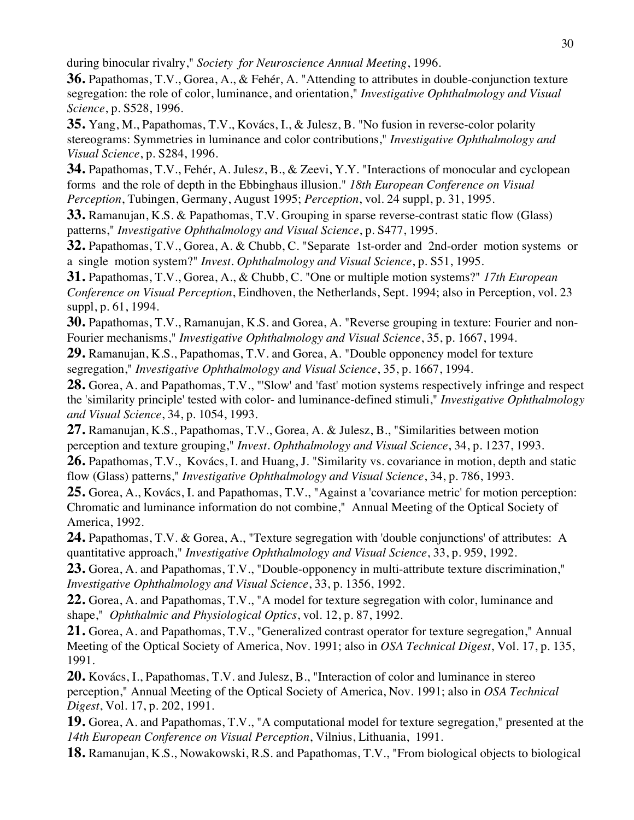during binocular rivalry," *Society for Neuroscience Annual Meeting*, 1996.

**36.** Papathomas, T.V., Gorea, A., & Fehér, A. "Attending to attributes in double-conjunction texture segregation: the role of color, luminance, and orientation," *Investigative Ophthalmology and Visual Science*, p. S528, 1996.

**35.** Yang, M., Papathomas, T.V., Kovács, I., & Julesz, B. "No fusion in reverse-color polarity stereograms: Symmetries in luminance and color contributions," *Investigative Ophthalmology and Visual Science*, p. S284, 1996.

**34.** Papathomas, T.V., Fehér, A. Julesz, B., & Zeevi, Y.Y. "Interactions of monocular and cyclopean forms and the role of depth in the Ebbinghaus illusion." *18th European Conference on Visual Perception*, Tubingen, Germany, August 1995; *Perception*, vol. 24 suppl, p. 31, 1995.

**33.** Ramanujan, K.S. & Papathomas, T.V. Grouping in sparse reverse-contrast static flow (Glass) patterns," *Investigative Ophthalmology and Visual Science*, p. S477, 1995.

**32.** Papathomas, T.V., Gorea, A. & Chubb, C. "Separate 1st-order and 2nd-order motion systems or a single motion system?" *Invest. Ophthalmology and Visual Science*, p. S51, 1995.

**31.** Papathomas, T.V., Gorea, A., & Chubb, C. "One or multiple motion systems?" *17th European Conference on Visual Perception*, Eindhoven, the Netherlands, Sept. 1994; also in Perception, vol. 23 suppl, p. 61, 1994.

**30.** Papathomas, T.V., Ramanujan, K.S. and Gorea, A. "Reverse grouping in texture: Fourier and non-Fourier mechanisms," *Investigative Ophthalmology and Visual Science*, 35, p. 1667, 1994.

**29.** Ramanujan, K.S., Papathomas, T.V. and Gorea, A. "Double opponency model for texture segregation," *Investigative Ophthalmology and Visual Science*, 35, p. 1667, 1994.

**28.** Gorea, A. and Papathomas, T.V., "'Slow' and 'fast' motion systems respectively infringe and respect the 'similarity principle' tested with color- and luminance-defined stimuli," *Investigative Ophthalmology and Visual Science*, 34, p. 1054, 1993.

**27.** Ramanujan, K.S., Papathomas, T.V., Gorea, A. & Julesz, B., "Similarities between motion perception and texture grouping," *Invest. Ophthalmology and Visual Science*, 34, p. 1237, 1993.

**26.** Papathomas, T.V., Kovács, I. and Huang, J. "Similarity vs. covariance in motion, depth and static flow (Glass) patterns," *Investigative Ophthalmology and Visual Science*, 34, p. 786, 1993.

**25.** Gorea, A., Kovács, I. and Papathomas, T.V., "Against a 'covariance metric' for motion perception: Chromatic and luminance information do not combine," Annual Meeting of the Optical Society of America, 1992.

24. Papathomas, T.V. & Gorea, A., "Texture segregation with 'double conjunctions' of attributes: A quantitative approach," *Investigative Ophthalmology and Visual Science*, 33, p. 959, 1992.

**23.** Gorea, A. and Papathomas, T.V., "Double-opponency in multi-attribute texture discrimination," *Investigative Ophthalmology and Visual Science*, 33, p. 1356, 1992.

**22.** Gorea, A. and Papathomas, T.V., "A model for texture segregation with color, luminance and shape," *Ophthalmic and Physiological Optics*, vol. 12, p. 87, 1992.

**21.** Gorea, A. and Papathomas, T.V., "Generalized contrast operator for texture segregation," Annual Meeting of the Optical Society of America, Nov. 1991; also in *OSA Technical Digest*, Vol. 17, p. 135, 1991.

**20.** Kovács, I., Papathomas, T.V. and Julesz, B., "Interaction of color and luminance in stereo perception," Annual Meeting of the Optical Society of America, Nov. 1991; also in *OSA Technical Digest*, Vol. 17, p. 202, 1991.

**19.** Gorea, A. and Papathomas, T.V., "A computational model for texture segregation," presented at the *14th European Conference on Visual Perception*, Vilnius, Lithuania, 1991.

**18.** Ramanujan, K.S., Nowakowski, R.S. and Papathomas, T.V., "From biological objects to biological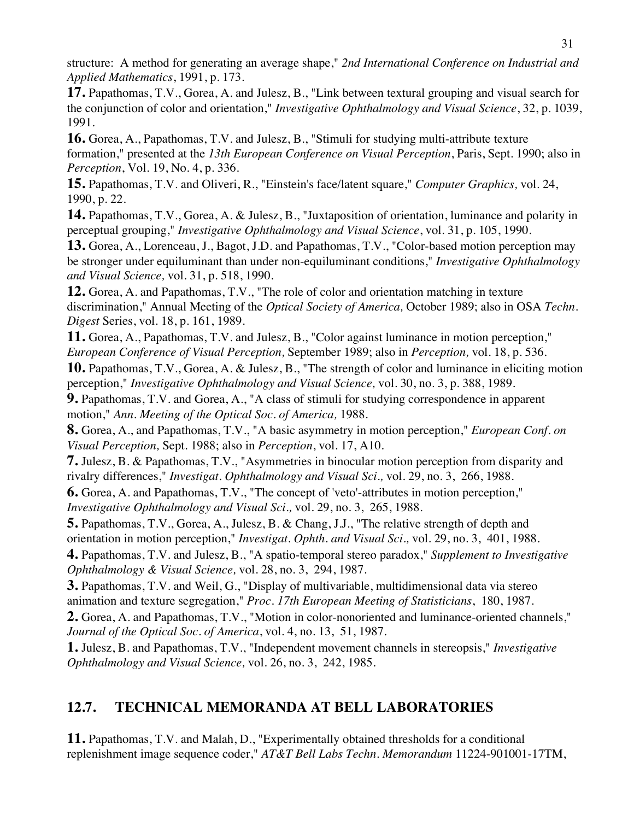structure: A method for generating an average shape," *2nd International Conference on Industrial and Applied Mathematics*, 1991, p. 173.

**17.** Papathomas, T.V., Gorea, A. and Julesz, B., "Link between textural grouping and visual search for the conjunction of color and orientation," *Investigative Ophthalmology and Visual Science*, 32, p. 1039, 1991.

**16.** Gorea, A., Papathomas, T.V. and Julesz, B., "Stimuli for studying multi-attribute texture formation," presented at the *13th European Conference on Visual Perception*, Paris, Sept. 1990; also in *Perception*, Vol. 19, No. 4, p. 336.

**15.** Papathomas, T.V. and Oliveri, R., "Einstein's face/latent square," *Computer Graphics,* vol. 24, 1990, p. 22.

**14.** Papathomas, T.V., Gorea, A. & Julesz, B., "Juxtaposition of orientation, luminance and polarity in perceptual grouping," *Investigative Ophthalmology and Visual Science*, vol. 31, p. 105, 1990.

**13.** Gorea, A., Lorenceau, J., Bagot, J.D. and Papathomas, T.V., "Color-based motion perception may be stronger under equiluminant than under non-equiluminant conditions," *Investigative Ophthalmology and Visual Science,* vol. 31, p. 518, 1990.

**12.** Gorea, A. and Papathomas, T.V., "The role of color and orientation matching in texture discrimination," Annual Meeting of the *Optical Society of America,* October 1989; also in OSA *Techn. Digest* Series, vol. 18, p. 161, 1989.

**11.** Gorea, A., Papathomas, T.V. and Julesz, B., "Color against luminance in motion perception," *European Conference of Visual Perception,* September 1989; also in *Perception,* vol. 18, p. 536.

**10.** Papathomas, T.V., Gorea, A. & Julesz, B., "The strength of color and luminance in eliciting motion perception," *Investigative Ophthalmology and Visual Science,* vol. 30, no. 3, p. 388, 1989.

**9.** Papathomas, T.V. and Gorea, A., "A class of stimuli for studying correspondence in apparent motion," *Ann. Meeting of the Optical Soc. of America,* 1988.

**8.** Gorea, A., and Papathomas, T.V., "A basic asymmetry in motion perception," *European Conf. on Visual Perception,* Sept. 1988; also in *Perception*, vol. 17, A10.

**7.** Julesz, B. & Papathomas, T.V., "Asymmetries in binocular motion perception from disparity and rivalry differences," *Investigat. Ophthalmology and Visual Sci.,* vol. 29, no. 3, 266, 1988.

**6.** Gorea, A. and Papathomas, T.V., "The concept of 'veto'-attributes in motion perception," *Investigative Ophthalmology and Visual Sci.,* vol. 29, no. 3, 265, 1988.

**5.** Papathomas, T.V., Gorea, A., Julesz, B. & Chang, J.J., "The relative strength of depth and orientation in motion perception," *Investigat. Ophth. and Visual Sci.,* vol. 29, no. 3, 401, 1988.

**4.** Papathomas, T.V. and Julesz, B., "A spatio-temporal stereo paradox," *Supplement to Investigative Ophthalmology & Visual Science,* vol. 28, no. 3, 294, 1987.

**3.** Papathomas, T.V. and Weil, G., "Display of multivariable, multidimensional data via stereo animation and texture segregation," *Proc. 17th European Meeting of Statisticians*, 180, 1987.

**2.** Gorea, A. and Papathomas, T.V., "Motion in color-nonoriented and luminance-oriented channels," *Journal of the Optical Soc. of America*, vol. 4, no. 13, 51, 1987.

**1.** Julesz, B. and Papathomas, T.V., "Independent movement channels in stereopsis," *Investigative Ophthalmology and Visual Science,* vol. 26, no. 3, 242, 1985.

# **12.7. TECHNICAL MEMORANDA AT BELL LABORATORIES**

**11.** Papathomas, T.V. and Malah, D., "Experimentally obtained thresholds for a conditional replenishment image sequence coder," *AT&T Bell Labs Techn. Memorandum* 11224-901001-17TM,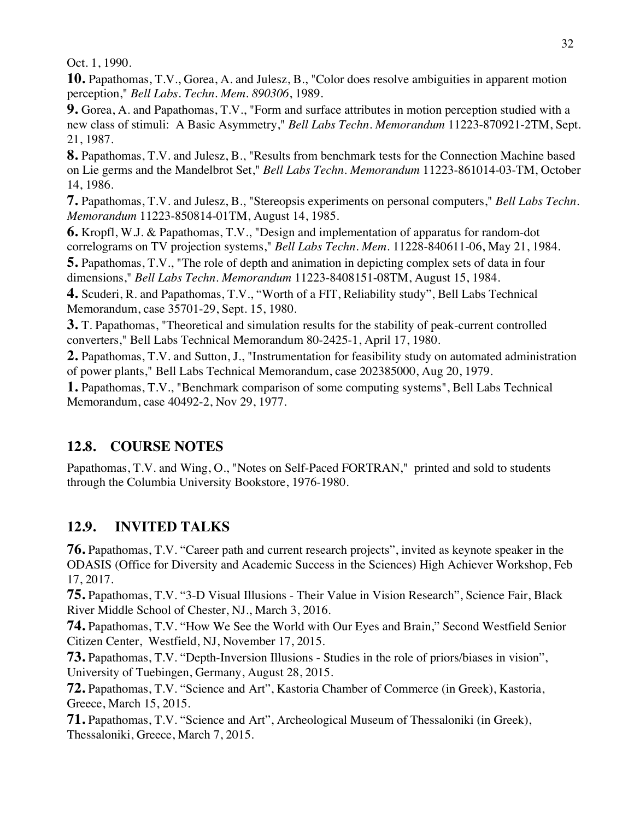Oct. 1, 1990.

**10.** Papathomas, T.V., Gorea, A. and Julesz, B., "Color does resolve ambiguities in apparent motion perception," *Bell Labs. Techn. Mem. 890306*, 1989.

**9.** Gorea, A. and Papathomas, T.V., "Form and surface attributes in motion perception studied with a new class of stimuli: A Basic Asymmetry," *Bell Labs Techn. Memorandum* 11223-870921-2TM, Sept. 21, 1987.

**8.** Papathomas, T.V. and Julesz, B., "Results from benchmark tests for the Connection Machine based on Lie germs and the Mandelbrot Set," *Bell Labs Techn. Memorandum* 11223-861014-03-TM, October 14, 1986.

**7.** Papathomas, T.V. and Julesz, B., "Stereopsis experiments on personal computers," *Bell Labs Techn. Memorandum* 11223-850814-01TM, August 14, 1985.

**6.** Kropfl, W.J. & Papathomas, T.V., "Design and implementation of apparatus for random-dot correlograms on TV projection systems," *Bell Labs Techn. Mem.* 11228-840611-06, May 21, 1984.

**5.** Papathomas, T.V., "The role of depth and animation in depicting complex sets of data in four dimensions," *Bell Labs Techn. Memorandum* 11223-8408151-08TM, August 15, 1984.

**4.** Scuderi, R. and Papathomas, T.V., "Worth of a FIT, Reliability study", Bell Labs Technical Memorandum, case 35701-29, Sept. 15, 1980.

**3.** T. Papathomas, "Theoretical and simulation results for the stability of peak-current controlled converters," Bell Labs Technical Memorandum 80-2425-1, April 17, 1980.

**2.** Papathomas, T.V. and Sutton, J., "Instrumentation for feasibility study on automated administration of power plants," Bell Labs Technical Memorandum, case 202385000, Aug 20, 1979.

**1.** Papathomas, T.V., "Benchmark comparison of some computing systems", Bell Labs Technical Memorandum, case 40492-2, Nov 29, 1977.

# **12.8. COURSE NOTES**

Papathomas, T.V. and Wing, O., "Notes on Self-Paced FORTRAN," printed and sold to students through the Columbia University Bookstore, 1976-1980.

# **12.9. INVITED TALKS**

**76.** Papathomas, T.V. "Career path and current research projects", invited as keynote speaker in the ODASIS (Office for Diversity and Academic Success in the Sciences) High Achiever Workshop, Feb 17, 2017.

**75.** Papathomas, T.V. "3-D Visual Illusions - Their Value in Vision Research", Science Fair, Black River Middle School of Chester, NJ., March 3, 2016.

**74.** Papathomas, T.V. "How We See the World with Our Eyes and Brain," Second Westfield Senior Citizen Center, Westfield, NJ, November 17, 2015.

**73.** Papathomas, T.V. "Depth-Inversion Illusions - Studies in the role of priors/biases in vision", University of Tuebingen, Germany, August 28, 2015.

**72.** Papathomas, T.V. "Science and Art", Kastoria Chamber of Commerce (in Greek), Kastoria, Greece, March 15, 2015.

**71.** Papathomas, T.V. "Science and Art", Archeological Museum of Thessaloniki (in Greek), Thessaloniki, Greece, March 7, 2015.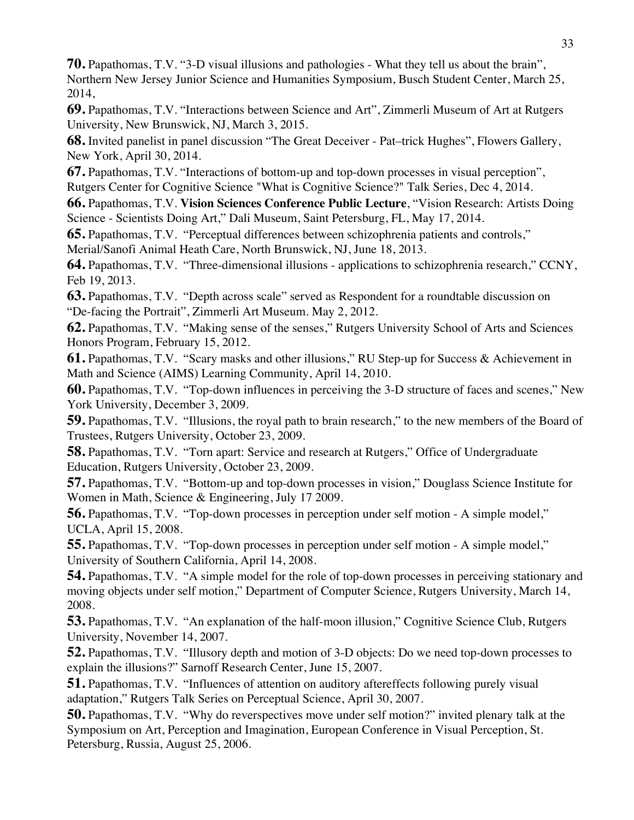**70.** Papathomas, T.V. "3-D visual illusions and pathologies - What they tell us about the brain", Northern New Jersey Junior Science and Humanities Symposium, Busch Student Center, March 25, 2014,

**69.** Papathomas, T.V. "Interactions between Science and Art", Zimmerli Museum of Art at Rutgers University, New Brunswick, NJ, March 3, 2015.

**68.** Invited panelist in panel discussion "The Great Deceiver - Pat–trick Hughes", Flowers Gallery, New York, April 30, 2014.

**67.** Papathomas, T.V. "Interactions of bottom-up and top-down processes in visual perception", Rutgers Center for Cognitive Science "What is Cognitive Science?" Talk Series, Dec 4, 2014.

**66.** Papathomas, T.V. **Vision Sciences Conference Public Lecture**, "Vision Research: Artists Doing Science - Scientists Doing Art," Dali Museum, Saint Petersburg, FL, May 17, 2014.

**65.** Papathomas, T.V. "Perceptual differences between schizophrenia patients and controls," Merial/Sanofi Animal Heath Care, North Brunswick, NJ, June 18, 2013.

**64.** Papathomas, T.V. "Three-dimensional illusions - applications to schizophrenia research," CCNY, Feb 19, 2013.

**63.** Papathomas, T.V. "Depth across scale" served as Respondent for a roundtable discussion on "De-facing the Portrait", Zimmerli Art Museum. May 2, 2012.

**62.** Papathomas, T.V. "Making sense of the senses," Rutgers University School of Arts and Sciences Honors Program, February 15, 2012.

**61.** Papathomas, T.V. "Scary masks and other illusions," RU Step-up for Success & Achievement in Math and Science (AIMS) Learning Community, April 14, 2010.

**60.** Papathomas, T.V. "Top-down influences in perceiving the 3-D structure of faces and scenes," New York University, December 3, 2009.

**59.** Papathomas, T.V. "Illusions, the royal path to brain research," to the new members of the Board of Trustees, Rutgers University, October 23, 2009.

**58.** Papathomas, T.V. "Torn apart: Service and research at Rutgers," Office of Undergraduate Education, Rutgers University, October 23, 2009.

**57.** Papathomas, T.V. "Bottom-up and top-down processes in vision," Douglass Science Institute for Women in Math, Science & Engineering, July 17 2009.

**56.** Papathomas, T.V. "Top-down processes in perception under self motion - A simple model," UCLA, April 15, 2008.

**55.** Papathomas, T.V. "Top-down processes in perception under self motion - A simple model," University of Southern California, April 14, 2008.

**54.** Papathomas, T.V. "A simple model for the role of top-down processes in perceiving stationary and moving objects under self motion," Department of Computer Science, Rutgers University, March 14, 2008.

**53.** Papathomas, T.V. "An explanation of the half-moon illusion," Cognitive Science Club, Rutgers University, November 14, 2007.

**52.** Papathomas, T.V. "Illusory depth and motion of 3-D objects: Do we need top-down processes to explain the illusions?" Sarnoff Research Center, June 15, 2007.

**51.** Papathomas, T.V. "Influences of attention on auditory aftereffects following purely visual adaptation," Rutgers Talk Series on Perceptual Science, April 30, 2007.

**50.** Papathomas, T.V. "Why do reverspectives move under self motion?" invited plenary talk at the Symposium on Art, Perception and Imagination, European Conference in Visual Perception, St. Petersburg, Russia, August 25, 2006.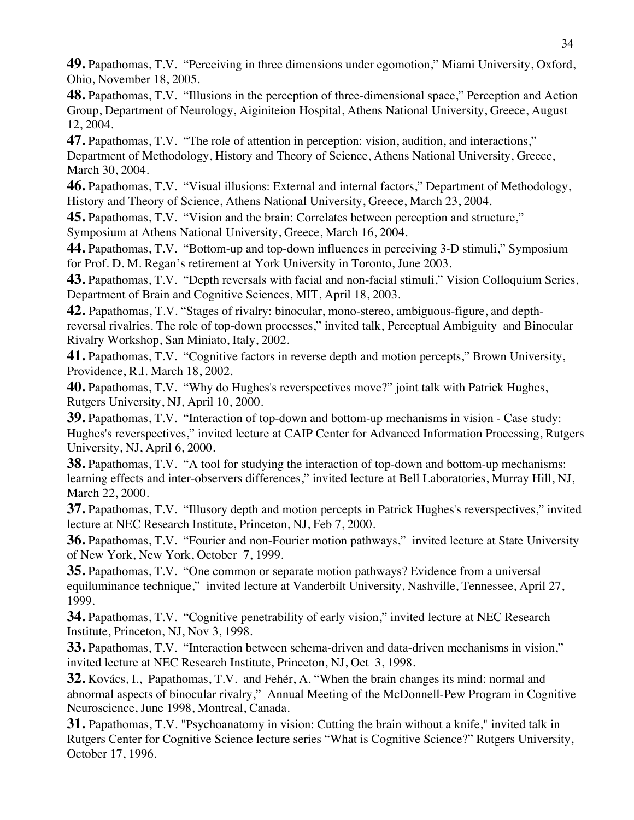**49.** Papathomas, T.V. "Perceiving in three dimensions under egomotion," Miami University, Oxford, Ohio, November 18, 2005.

**48.** Papathomas, T.V. "Illusions in the perception of three-dimensional space," Perception and Action Group, Department of Neurology, Aiginiteion Hospital, Athens National University, Greece, August 12, 2004.

**47.** Papathomas, T.V. "The role of attention in perception: vision, audition, and interactions," Department of Methodology, History and Theory of Science, Athens National University, Greece, March 30, 2004.

**46.** Papathomas, T.V. "Visual illusions: External and internal factors," Department of Methodology, History and Theory of Science, Athens National University, Greece, March 23, 2004.

**45.** Papathomas, T.V. "Vision and the brain: Correlates between perception and structure," Symposium at Athens National University, Greece, March 16, 2004.

**44.** Papathomas, T.V. "Bottom-up and top-down influences in perceiving 3-D stimuli," Symposium for Prof. D. M. Regan's retirement at York University in Toronto, June 2003.

**43.** Papathomas, T.V. "Depth reversals with facial and non-facial stimuli," Vision Colloquium Series, Department of Brain and Cognitive Sciences, MIT, April 18, 2003.

**42.** Papathomas, T.V. "Stages of rivalry: binocular, mono-stereo, ambiguous-figure, and depthreversal rivalries. The role of top-down processes," invited talk, Perceptual Ambiguity and Binocular Rivalry Workshop, San Miniato, Italy, 2002.

**41.** Papathomas, T.V. "Cognitive factors in reverse depth and motion percepts," Brown University, Providence, R.I. March 18, 2002.

**40.** Papathomas, T.V. "Why do Hughes's reverspectives move?" joint talk with Patrick Hughes, Rutgers University, NJ, April 10, 2000.

**39.** Papathomas, T.V. "Interaction of top-down and bottom-up mechanisms in vision - Case study: Hughes's reverspectives," invited lecture at CAIP Center for Advanced Information Processing, Rutgers University, NJ, April 6, 2000.

**38.** Papathomas, T.V. "A tool for studying the interaction of top-down and bottom-up mechanisms: learning effects and inter-observers differences," invited lecture at Bell Laboratories, Murray Hill, NJ, March 22, 2000.

**37.** Papathomas, T.V. "Illusory depth and motion percepts in Patrick Hughes's reverspectives," invited lecture at NEC Research Institute, Princeton, NJ, Feb 7, 2000.

**36.** Papathomas, T.V. "Fourier and non-Fourier motion pathways," invited lecture at State University of New York, New York, October 7, 1999.

**35.** Papathomas, T.V. "One common or separate motion pathways? Evidence from a universal equiluminance technique," invited lecture at Vanderbilt University, Nashville, Tennessee, April 27, 1999.

**34.** Papathomas, T.V. "Cognitive penetrability of early vision," invited lecture at NEC Research Institute, Princeton, NJ, Nov 3, 1998.

**33.** Papathomas, T.V. "Interaction between schema-driven and data-driven mechanisms in vision," invited lecture at NEC Research Institute, Princeton, NJ, Oct 3, 1998.

**32.** Kovács, I., Papathomas, T.V. and Fehér, A. "When the brain changes its mind: normal and abnormal aspects of binocular rivalry," Annual Meeting of the McDonnell-Pew Program in Cognitive Neuroscience, June 1998, Montreal, Canada.

**31.** Papathomas, T.V. "Psychoanatomy in vision: Cutting the brain without a knife," invited talk in Rutgers Center for Cognitive Science lecture series "What is Cognitive Science?" Rutgers University, October 17, 1996.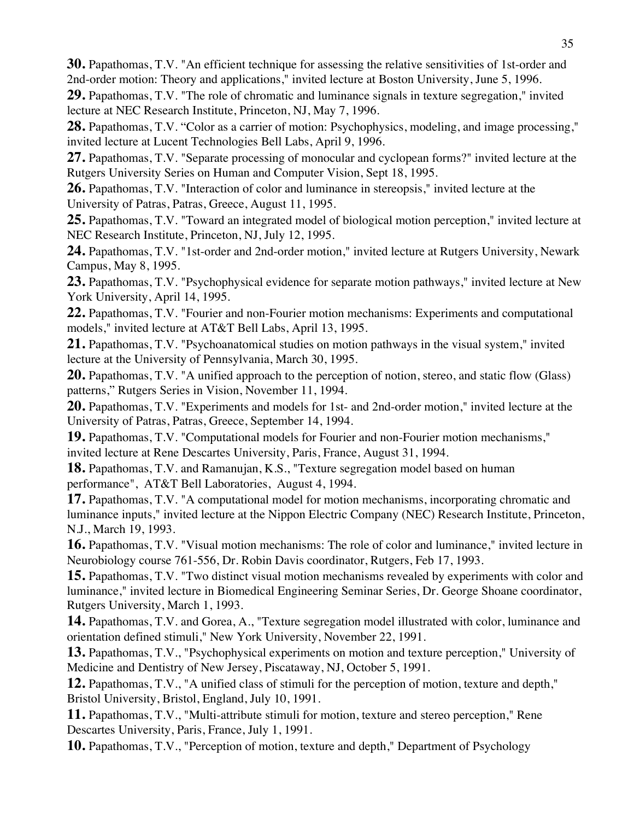**30.** Papathomas, T.V. "An efficient technique for assessing the relative sensitivities of 1st-order and 2nd-order motion: Theory and applications," invited lecture at Boston University, June 5, 1996.

**29.** Papathomas, T.V. "The role of chromatic and luminance signals in texture segregation," invited lecture at NEC Research Institute, Princeton, NJ, May 7, 1996.

**28.** Papathomas, T.V. "Color as a carrier of motion: Psychophysics, modeling, and image processing," invited lecture at Lucent Technologies Bell Labs, April 9, 1996.

**27.** Papathomas, T.V. "Separate processing of monocular and cyclopean forms?" invited lecture at the Rutgers University Series on Human and Computer Vision, Sept 18, 1995.

**26.** Papathomas, T.V. "Interaction of color and luminance in stereopsis," invited lecture at the University of Patras, Patras, Greece, August 11, 1995.

**25.** Papathomas, T.V. "Toward an integrated model of biological motion perception," invited lecture at NEC Research Institute, Princeton, NJ, July 12, 1995.

**24.** Papathomas, T.V. "1st-order and 2nd-order motion," invited lecture at Rutgers University, Newark Campus, May 8, 1995.

**23.** Papathomas, T.V. "Psychophysical evidence for separate motion pathways," invited lecture at New York University, April 14, 1995.

**22.** Papathomas, T.V. "Fourier and non-Fourier motion mechanisms: Experiments and computational models," invited lecture at AT&T Bell Labs, April 13, 1995.

**21.** Papathomas, T.V. "Psychoanatomical studies on motion pathways in the visual system," invited lecture at the University of Pennsylvania, March 30, 1995.

**20.** Papathomas, T.V. "A unified approach to the perception of notion, stereo, and static flow (Glass) patterns," Rutgers Series in Vision, November 11, 1994.

**20.** Papathomas, T.V. "Experiments and models for 1st- and 2nd-order motion," invited lecture at the University of Patras, Patras, Greece, September 14, 1994.

**19.** Papathomas, T.V. "Computational models for Fourier and non-Fourier motion mechanisms," invited lecture at Rene Descartes University, Paris, France, August 31, 1994.

**18.** Papathomas, T.V. and Ramanujan, K.S., "Texture segregation model based on human performance", AT&T Bell Laboratories, August 4, 1994.

**17.** Papathomas, T.V. "A computational model for motion mechanisms, incorporating chromatic and luminance inputs," invited lecture at the Nippon Electric Company (NEC) Research Institute, Princeton, N.J., March 19, 1993.

**16.** Papathomas, T.V. "Visual motion mechanisms: The role of color and luminance," invited lecture in Neurobiology course 761-556, Dr. Robin Davis coordinator, Rutgers, Feb 17, 1993.

**15.** Papathomas, T.V. "Two distinct visual motion mechanisms revealed by experiments with color and luminance," invited lecture in Biomedical Engineering Seminar Series, Dr. George Shoane coordinator, Rutgers University, March 1, 1993.

**14.** Papathomas, T.V. and Gorea, A., "Texture segregation model illustrated with color, luminance and orientation defined stimuli," New York University, November 22, 1991.

**13.** Papathomas, T.V., "Psychophysical experiments on motion and texture perception," University of Medicine and Dentistry of New Jersey, Piscataway, NJ, October 5, 1991.

**12.** Papathomas, T.V., "A unified class of stimuli for the perception of motion, texture and depth," Bristol University, Bristol, England, July 10, 1991.

**11.** Papathomas, T.V., "Multi-attribute stimuli for motion, texture and stereo perception," Rene Descartes University, Paris, France, July 1, 1991.

**10.** Papathomas, T.V., "Perception of motion, texture and depth," Department of Psychology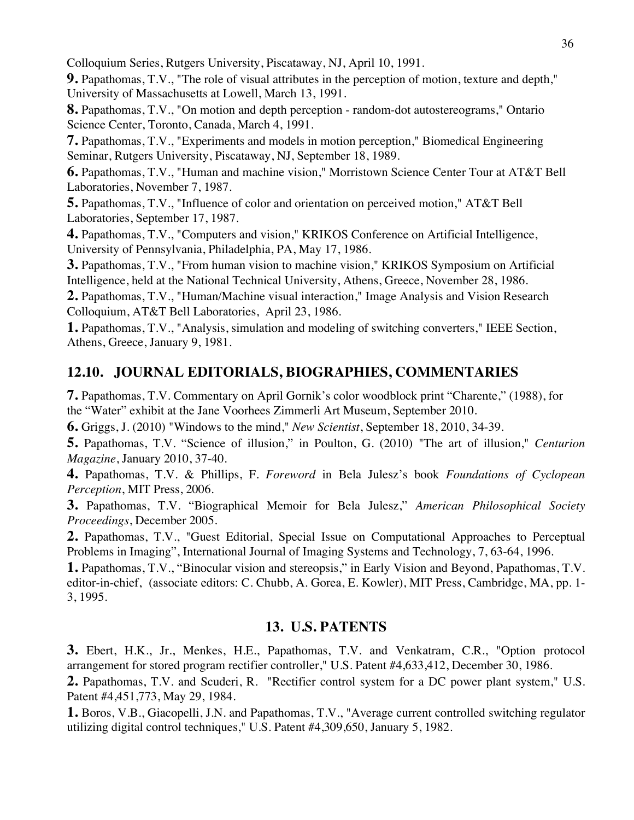Colloquium Series, Rutgers University, Piscataway, NJ, April 10, 1991.

**9.** Papathomas, T.V., "The role of visual attributes in the perception of motion, texture and depth," University of Massachusetts at Lowell, March 13, 1991.

**8.** Papathomas, T.V., "On motion and depth perception - random-dot autostereograms," Ontario Science Center, Toronto, Canada, March 4, 1991.

**7.** Papathomas, T.V., "Experiments and models in motion perception," Biomedical Engineering Seminar, Rutgers University, Piscataway, NJ, September 18, 1989.

**6.** Papathomas, T.V., "Human and machine vision," Morristown Science Center Tour at AT&T Bell Laboratories, November 7, 1987.

**5.** Papathomas, T.V., "Influence of color and orientation on perceived motion," AT&T Bell Laboratories, September 17, 1987.

**4.** Papathomas, T.V., "Computers and vision," KRIKOS Conference on Artificial Intelligence, University of Pennsylvania, Philadelphia, PA, May 17, 1986.

**3.** Papathomas, T.V., "From human vision to machine vision," KRIKOS Symposium on Artificial Intelligence, held at the National Technical University, Athens, Greece, November 28, 1986.

**2.** Papathomas, T.V., "Human/Machine visual interaction," Image Analysis and Vision Research Colloquium, AT&T Bell Laboratories, April 23, 1986.

**1.** Papathomas, T.V., "Analysis, simulation and modeling of switching converters," IEEE Section, Athens, Greece, January 9, 1981.

# **12.10. JOURNAL EDITORIALS, BIOGRAPHIES, COMMENTARIES**

**7.** Papathomas, T.V. Commentary on April Gornik's color woodblock print "Charente," (1988), for the "Water" exhibit at the Jane Voorhees Zimmerli Art Museum, September 2010.

**6.** Griggs, J. (2010) "Windows to the mind," *New Scientist*, September 18, 2010, 34-39.

**5.** Papathomas, T.V. "Science of illusion," in Poulton, G. (2010) "The art of illusion," *Centurion Magazine*, January 2010, 37-40.

**4.** Papathomas, T.V. & Phillips, F. *Foreword* in Bela Julesz's book *Foundations of Cyclopean Perception*, MIT Press, 2006.

**3.** Papathomas, T.V. "Biographical Memoir for Bela Julesz," *American Philosophical Society Proceedings*, December 2005.

**2.** Papathomas, T.V., "Guest Editorial, Special Issue on Computational Approaches to Perceptual Problems in Imaging", International Journal of Imaging Systems and Technology, 7, 63-64, 1996.

**1.** Papathomas, T.V., "Binocular vision and stereopsis," in Early Vision and Beyond, Papathomas, T.V. editor-in-chief, (associate editors: C. Chubb, A. Gorea, E. Kowler), MIT Press, Cambridge, MA, pp. 1- 3, 1995.

# **13. U.S. PATENTS**

**3.** Ebert, H.K., Jr., Menkes, H.E., Papathomas, T.V. and Venkatram, C.R., "Option protocol arrangement for stored program rectifier controller," U.S. Patent #4,633,412, December 30, 1986.

**2.** Papathomas, T.V. and Scuderi, R. "Rectifier control system for a DC power plant system," U.S. Patent #4,451,773, May 29, 1984.

**1.** Boros, V.B., Giacopelli, J.N. and Papathomas, T.V., "Average current controlled switching regulator utilizing digital control techniques," U.S. Patent #4,309,650, January 5, 1982.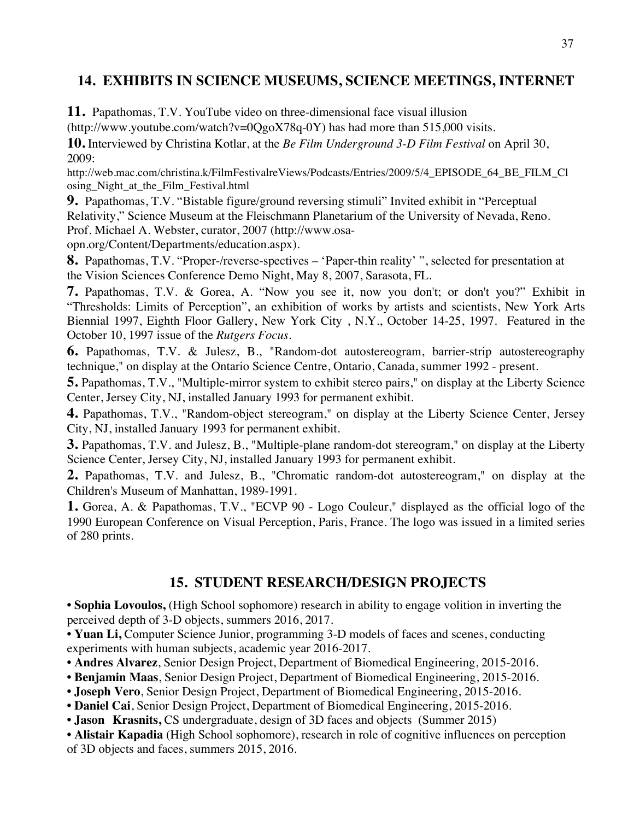# **14. EXHIBITS IN SCIENCE MUSEUMS, SCIENCE MEETINGS, INTERNET**

**11.** Papathomas, T.V. YouTube video on three-dimensional face visual illusion

(http://www.youtube.com/watch?v=0QgoX78q-0Y) has had more than 515,000 visits.

**10.** Interviewed by Christina Kotlar, at the *Be Film Underground 3-D Film Festival* on April 30, 2009:

http://web.mac.com/christina.k/FilmFestivalreViews/Podcasts/Entries/2009/5/4\_EPISODE\_64\_BE\_FILM\_Cl osing\_Night\_at\_the\_Film\_Festival.html

**9.** Papathomas, T.V. "Bistable figure/ground reversing stimuli" Invited exhibit in "Perceptual Relativity," Science Museum at the Fleischmann Planetarium of the University of Nevada, Reno. Prof. Michael A. Webster, curator, 2007 (http://www.osa-

opn.org/Content/Departments/education.aspx).

**8.** Papathomas, T.V. "Proper-/reverse-spectives – 'Paper-thin reality' ", selected for presentation at the Vision Sciences Conference Demo Night, May 8, 2007, Sarasota, FL.

**7.** Papathomas, T.V. & Gorea, A. "Now you see it, now you don't; or don't you?" Exhibit in "Thresholds: Limits of Perception", an exhibition of works by artists and scientists, New York Arts Biennial 1997, Eighth Floor Gallery, New York City , N.Y., October 14-25, 1997. Featured in the October 10, 1997 issue of the *Rutgers Focus*.

**6.** Papathomas, T.V. & Julesz, B., "Random-dot autostereogram, barrier-strip autostereography technique," on display at the Ontario Science Centre, Ontario, Canada, summer 1992 - present.

**5.** Papathomas, T.V., "Multiple-mirror system to exhibit stereo pairs," on display at the Liberty Science Center, Jersey City, NJ, installed January 1993 for permanent exhibit.

**4.** Papathomas, T.V., "Random-object stereogram," on display at the Liberty Science Center, Jersey City, NJ, installed January 1993 for permanent exhibit.

**3.** Papathomas, T.V. and Julesz, B., "Multiple-plane random-dot stereogram," on display at the Liberty Science Center, Jersey City, NJ, installed January 1993 for permanent exhibit.

**2.** Papathomas, T.V. and Julesz, B., "Chromatic random-dot autostereogram," on display at the Children's Museum of Manhattan, 1989-1991.

**1.** Gorea, A. & Papathomas, T.V., "ECVP 90 - Logo Couleur," displayed as the official logo of the 1990 European Conference on Visual Perception, Paris, France. The logo was issued in a limited series of 280 prints.

# **15. STUDENT RESEARCH/DESIGN PROJECTS**

**• Sophia Lovoulos,** (High School sophomore) research in ability to engage volition in inverting the perceived depth of 3-D objects, summers 2016, 2017.

**• Yuan Li,** Computer Science Junior, programming 3-D models of faces and scenes, conducting experiments with human subjects, academic year 2016-2017.

- **Andres Alvarez**, Senior Design Project, Department of Biomedical Engineering, 2015-2016.
- **Benjamin Maas**, Senior Design Project, Department of Biomedical Engineering, 2015-2016.
- **Joseph Vero**, Senior Design Project, Department of Biomedical Engineering, 2015-2016.
- **Daniel Cai**, Senior Design Project, Department of Biomedical Engineering, 2015-2016.
- **Jason Krasnits,** CS undergraduate, design of 3D faces and objects (Summer 2015)

• **Alistair Kapadia** (High School sophomore), research in role of cognitive influences on perception of 3D objects and faces, summers 2015, 2016.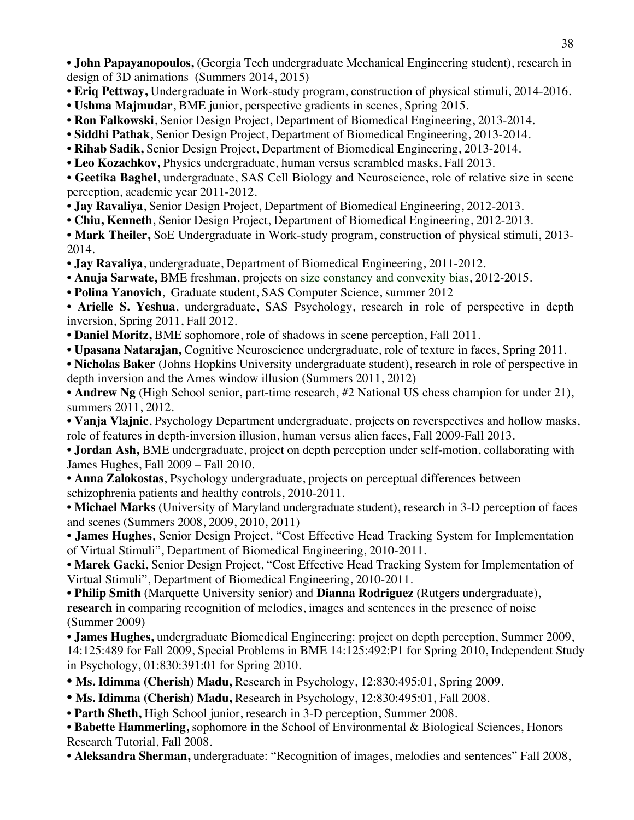• **John Papayanopoulos,** (Georgia Tech undergraduate Mechanical Engineering student), research in design of 3D animations (Summers 2014, 2015)

- **Eriq Pettway,** Undergraduate in Work-study program, construction of physical stimuli, 2014-2016.
- **Ushma Majmudar**, BME junior, perspective gradients in scenes, Spring 2015.
- **Ron Falkowski**, Senior Design Project, Department of Biomedical Engineering, 2013-2014.
- **Siddhi Pathak**, Senior Design Project, Department of Biomedical Engineering, 2013-2014.
- **Rihab Sadik,** Senior Design Project, Department of Biomedical Engineering, 2013-2014.
- **Leo Kozachkov,** Physics undergraduate, human versus scrambled masks, Fall 2013.

• **Geetika Baghel**, undergraduate, SAS Cell Biology and Neuroscience, role of relative size in scene perception, academic year 2011-2012.

• **Jay Ravaliya**, Senior Design Project, Department of Biomedical Engineering, 2012-2013.

**• Chiu, Kenneth**, Senior Design Project, Department of Biomedical Engineering, 2012-2013.

**• Mark Theiler,** SoE Undergraduate in Work-study program, construction of physical stimuli, 2013- 2014.

• **Jay Ravaliya**, undergraduate, Department of Biomedical Engineering, 2011-2012.

- **Anuja Sarwate,** BME freshman, projects on size constancy and convexity bias, 2012-2015.
- **Polina Yanovich**, Graduate student, SAS Computer Science, summer 2012

• **Arielle S. Yeshua**, undergraduate, SAS Psychology, research in role of perspective in depth inversion, Spring 2011, Fall 2012.

- **Daniel Moritz,** BME sophomore, role of shadows in scene perception, Fall 2011.
- **Upasana Natarajan,** Cognitive Neuroscience undergraduate, role of texture in faces, Spring 2011.

• **Nicholas Baker** (Johns Hopkins University undergraduate student), research in role of perspective in depth inversion and the Ames window illusion (Summers 2011, 2012)

• **Andrew Ng** (High School senior, part-time research, #2 National US chess champion for under 21), summers 2011, 2012.

• **Vanja Vlajnic**, Psychology Department undergraduate, projects on reverspectives and hollow masks, role of features in depth-inversion illusion, human versus alien faces, Fall 2009-Fall 2013.

• **Jordan Ash,** BME undergraduate, project on depth perception under self-motion, collaborating with James Hughes, Fall 2009 – Fall 2010.

• **Anna Zalokostas**, Psychology undergraduate, projects on perceptual differences between schizophrenia patients and healthy controls, 2010-2011.

• **Michael Marks** (University of Maryland undergraduate student), research in 3-D perception of faces and scenes (Summers 2008, 2009, 2010, 2011)

• **James Hughes**, Senior Design Project, "Cost Effective Head Tracking System for Implementation of Virtual Stimuli", Department of Biomedical Engineering, 2010-2011.

• **Marek Gacki**, Senior Design Project, "Cost Effective Head Tracking System for Implementation of Virtual Stimuli", Department of Biomedical Engineering, 2010-2011.

• **Philip Smith** (Marquette University senior) and **Dianna Rodriguez** (Rutgers undergraduate), **research** in comparing recognition of melodies, images and sentences in the presence of noise (Summer 2009)

• **James Hughes,** undergraduate Biomedical Engineering: project on depth perception, Summer 2009, 14:125:489 for Fall 2009, Special Problems in BME 14:125:492:P1 for Spring 2010, Independent Study in Psychology, 01:830:391:01 for Spring 2010.

**• Ms. Idimma (Cherish) Madu,** Research in Psychology, 12:830:495:01, Spring 2009.

• Ms. Idimma (Cherish) Madu, Research in Psychology, 12:830:495:01, Fall 2008.

• **Parth Sheth,** High School junior, research in 3-D perception, Summer 2008.

• **Babette Hammerling,** sophomore in the School of Environmental & Biological Sciences, Honors Research Tutorial, Fall 2008.

• **Aleksandra Sherman,** undergraduate: "Recognition of images, melodies and sentences" Fall 2008,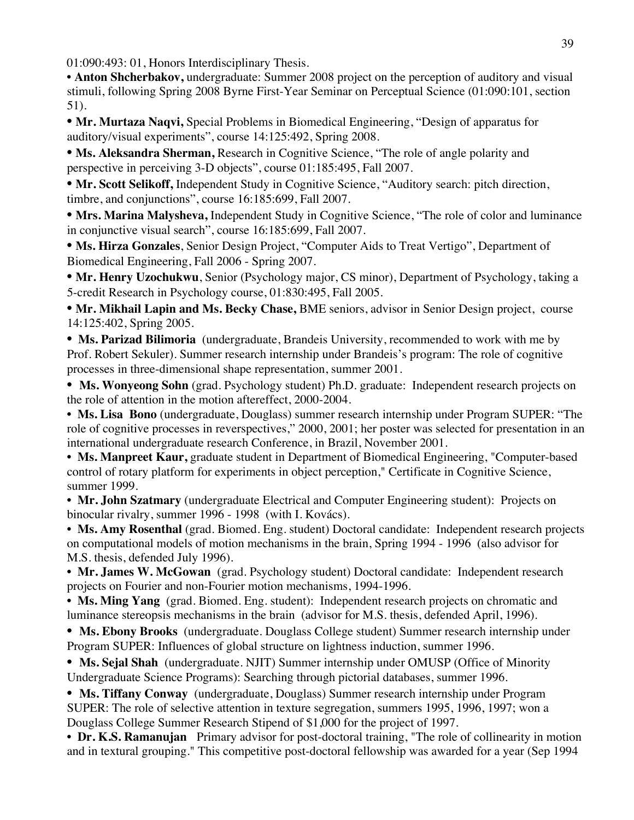01:090:493: 01, Honors Interdisciplinary Thesis.

• **Anton Shcherbakov,** undergraduate: Summer 2008 project on the perception of auditory and visual stimuli, following Spring 2008 Byrne First-Year Seminar on Perceptual Science (01:090:101, section 51).

**• Mr. Murtaza Naqvi,** Special Problems in Biomedical Engineering, "Design of apparatus for auditory/visual experiments", course 14:125:492, Spring 2008.

**• Ms. Aleksandra Sherman,** Research in Cognitive Science, "The role of angle polarity and perspective in perceiving 3-D objects", course 01:185:495, Fall 2007.

**• Mr. Scott Selikoff,** Independent Study in Cognitive Science, "Auditory search: pitch direction, timbre, and conjunctions", course 16:185:699, Fall 2007.

**• Mrs. Marina Malysheva,** Independent Study in Cognitive Science, "The role of color and luminance in conjunctive visual search", course 16:185:699, Fall 2007.

**• Ms. Hirza Gonzales**, Senior Design Project, "Computer Aids to Treat Vertigo", Department of Biomedical Engineering, Fall 2006 - Spring 2007.

**• Mr. Henry Uzochukwu**, Senior (Psychology major, CS minor), Department of Psychology, taking a 5-credit Research in Psychology course, 01:830:495, Fall 2005.

**• Mr. Mikhail Lapin and Ms. Becky Chase,** BME seniors, advisor in Senior Design project, course 14:125:402, Spring 2005.

**• Ms. Parizad Bilimoria** (undergraduate, Brandeis University, recommended to work with me by Prof. Robert Sekuler). Summer research internship under Brandeis's program: The role of cognitive processes in three-dimensional shape representation, summer 2001.

• Ms. Wonyeong Sohn (grad. Psychology student) Ph.D. graduate: Independent research projects on the role of attention in the motion aftereffect, 2000-2004.

**• Ms. Lisa Bono** (undergraduate, Douglass) summer research internship under Program SUPER: "The role of cognitive processes in reverspectives," 2000, 2001; her poster was selected for presentation in an international undergraduate research Conference, in Brazil, November 2001.

• **Ms. Manpreet Kaur,** graduate student in Department of Biomedical Engineering, "Computer-based control of rotary platform for experiments in object perception," Certificate in Cognitive Science, summer 1999.

• **Mr. John Szatmary** (undergraduate Electrical and Computer Engineering student): Projects on binocular rivalry, summer 1996 - 1998 (with I. Kovács).

• **Ms. Amy Rosenthal** (grad. Biomed. Eng. student) Doctoral candidate: Independent research projects on computational models of motion mechanisms in the brain, Spring 1994 - 1996 (also advisor for M.S. thesis, defended July 1996).

• **Mr. James W. McGowan** (grad. Psychology student) Doctoral candidate: Independent research projects on Fourier and non-Fourier motion mechanisms, 1994-1996.

• **Ms. Ming Yang** (grad. Biomed. Eng. student): Independent research projects on chromatic and luminance stereopsis mechanisms in the brain (advisor for M.S. thesis, defended April, 1996).

• **Ms. Ebony Brooks** (undergraduate. Douglass College student) Summer research internship under Program SUPER: Influences of global structure on lightness induction, summer 1996.

• **Ms. Sejal Shah** (undergraduate. NJIT) Summer internship under OMUSP (Office of Minority Undergraduate Science Programs): Searching through pictorial databases, summer 1996.

• **Ms. Tiffany Conway** (undergraduate, Douglass) Summer research internship under Program SUPER: The role of selective attention in texture segregation, summers 1995, 1996, 1997; won a Douglass College Summer Research Stipend of \$1,000 for the project of 1997.

• **Dr. K.S. Ramanujan** Primary advisor for post-doctoral training, "The role of collinearity in motion and in textural grouping." This competitive post-doctoral fellowship was awarded for a year (Sep 1994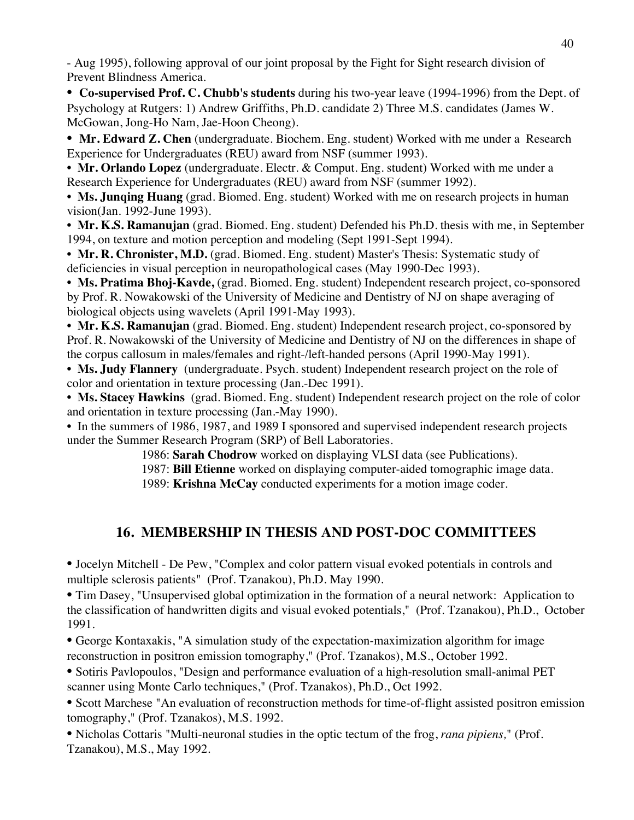- Aug 1995), following approval of our joint proposal by the Fight for Sight research division of Prevent Blindness America.

• **Co-supervised Prof. C. Chubb's students** during his two-year leave (1994-1996) from the Dept. of Psychology at Rutgers: 1) Andrew Griffiths, Ph.D. candidate 2) Three M.S. candidates (James W. McGowan, Jong-Ho Nam, Jae-Hoon Cheong).

• **Mr. Edward Z. Chen** (undergraduate. Biochem. Eng. student) Worked with me under a Research Experience for Undergraduates (REU) award from NSF (summer 1993).

• **Mr. Orlando Lopez** (undergraduate. Electr. & Comput. Eng. student) Worked with me under a Research Experience for Undergraduates (REU) award from NSF (summer 1992).

• **Ms. Junqing Huang** (grad. Biomed. Eng. student) Worked with me on research projects in human vision(Jan. 1992-June 1993).

• **Mr. K.S. Ramanujan** (grad. Biomed. Eng. student) Defended his Ph.D. thesis with me, in September 1994, on texture and motion perception and modeling (Sept 1991-Sept 1994).

• **Mr. R. Chronister, M.D.** (grad. Biomed. Eng. student) Master's Thesis: Systematic study of deficiencies in visual perception in neuropathological cases (May 1990-Dec 1993).

**• Ms. Pratima Bhoj-Kavde,** (grad. Biomed. Eng. student) Independent research project, co-sponsored by Prof. R. Nowakowski of the University of Medicine and Dentistry of NJ on shape averaging of biological objects using wavelets (April 1991-May 1993).

• **Mr. K.S. Ramanujan** (grad. Biomed. Eng. student) Independent research project, co-sponsored by Prof. R. Nowakowski of the University of Medicine and Dentistry of NJ on the differences in shape of the corpus callosum in males/females and right-/left-handed persons (April 1990-May 1991).

• **Ms. Judy Flannery** (undergraduate. Psych. student) Independent research project on the role of color and orientation in texture processing (Jan.-Dec 1991).

**• Ms. Stacey Hawkins** (grad. Biomed. Eng. student) Independent research project on the role of color and orientation in texture processing (Jan.-May 1990).

• In the summers of 1986, 1987, and 1989 I sponsored and supervised independent research projects under the Summer Research Program (SRP) of Bell Laboratories.

1986: **Sarah Chodrow** worked on displaying VLSI data (see Publications).

1987: **Bill Etienne** worked on displaying computer-aided tomographic image data.

1989: **Krishna McCay** conducted experiments for a motion image coder.

# **16. MEMBERSHIP IN THESIS AND POST-DOC COMMITTEES**

• Jocelyn Mitchell - De Pew, "Complex and color pattern visual evoked potentials in controls and multiple sclerosis patients" (Prof. Tzanakou), Ph.D. May 1990.

• Tim Dasey, "Unsupervised global optimization in the formation of a neural network: Application to the classification of handwritten digits and visual evoked potentials," (Prof. Tzanakou), Ph.D., October 1991.

• George Kontaxakis, "A simulation study of the expectation-maximization algorithm for image reconstruction in positron emission tomography," (Prof. Tzanakos), M.S., October 1992.

• Sotiris Pavlopoulos, "Design and performance evaluation of a high-resolution small-animal PET scanner using Monte Carlo techniques," (Prof. Tzanakos), Ph.D., Oct 1992.

• Scott Marchese "An evaluation of reconstruction methods for time-of-flight assisted positron emission tomography," (Prof. Tzanakos), M.S. 1992.

• Nicholas Cottaris "Multi-neuronal studies in the optic tectum of the frog, *rana pipiens,*" (Prof. Tzanakou), M.S., May 1992.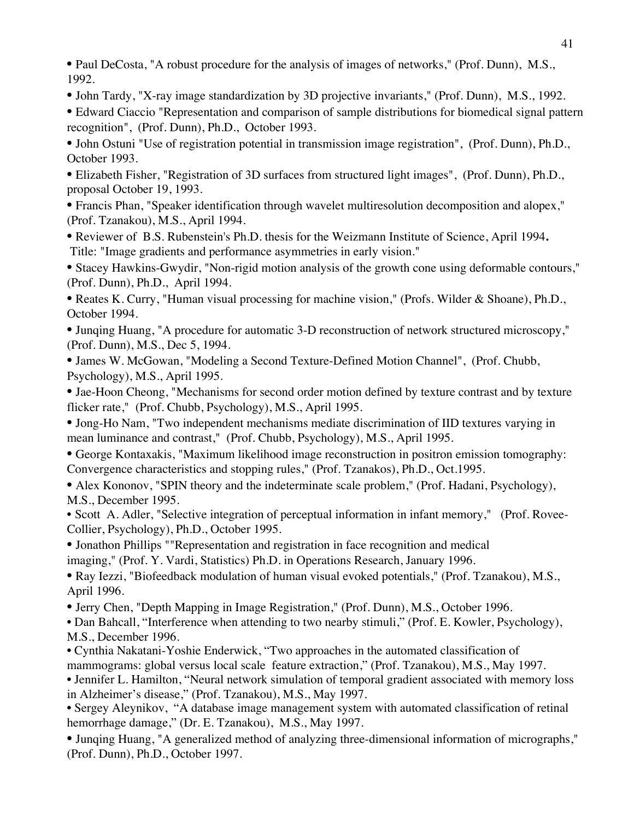• Paul DeCosta, "A robust procedure for the analysis of images of networks," (Prof. Dunn), M.S., 1992.

• John Tardy, "X-ray image standardization by 3D projective invariants," (Prof. Dunn), M.S., 1992.

• Edward Ciaccio "Representation and comparison of sample distributions for biomedical signal pattern recognition", (Prof. Dunn), Ph.D., October 1993.

• John Ostuni "Use of registration potential in transmission image registration", (Prof. Dunn), Ph.D., October 1993.

• Elizabeth Fisher, "Registration of 3D surfaces from structured light images", (Prof. Dunn), Ph.D., proposal October 19, 1993.

• Francis Phan, "Speaker identification through wavelet multiresolution decomposition and alopex," (Prof. Tzanakou), M.S., April 1994.

• Reviewer of B.S. Rubenstein's Ph.D. thesis for the Weizmann Institute of Science, April 1994**.** Title: "Image gradients and performance asymmetries in early vision."

• Stacey Hawkins-Gwydir, "Non-rigid motion analysis of the growth cone using deformable contours," (Prof. Dunn), Ph.D., April 1994.

• Reates K. Curry, "Human visual processing for machine vision," (Profs. Wilder & Shoane), Ph.D., October 1994.

• Junqing Huang, "A procedure for automatic 3-D reconstruction of network structured microscopy," (Prof. Dunn), M.S., Dec 5, 1994.

• James W. McGowan, "Modeling a Second Texture-Defined Motion Channel", (Prof. Chubb, Psychology), M.S., April 1995.

• Jae-Hoon Cheong, "Mechanisms for second order motion defined by texture contrast and by texture flicker rate," (Prof. Chubb, Psychology), M.S., April 1995.

• Jong-Ho Nam, "Two independent mechanisms mediate discrimination of IID textures varying in mean luminance and contrast," (Prof. Chubb, Psychology), M.S., April 1995.

• George Kontaxakis, "Maximum likelihood image reconstruction in positron emission tomography: Convergence characteristics and stopping rules," (Prof. Tzanakos), Ph.D., Oct.1995.

• Alex Kononov, "SPIN theory and the indeterminate scale problem," (Prof. Hadani, Psychology), M.S., December 1995.

• Scott A. Adler, "Selective integration of perceptual information in infant memory," (Prof. Rovee-Collier, Psychology), Ph.D., October 1995.

• Jonathon Phillips ""Representation and registration in face recognition and medical

imaging," (Prof. Y. Vardi, Statistics) Ph.D. in Operations Research, January 1996.

• Ray Iezzi, "Biofeedback modulation of human visual evoked potentials," (Prof. Tzanakou), M.S., April 1996.

• Jerry Chen, "Depth Mapping in Image Registration," (Prof. Dunn), M.S., October 1996.

• Dan Bahcall, "Interference when attending to two nearby stimuli," (Prof. E. Kowler, Psychology), M.S., December 1996.

• Cynthia Nakatani-Yoshie Enderwick, "Two approaches in the automated classification of mammograms: global versus local scale feature extraction," (Prof. Tzanakou), M.S., May 1997.

• Jennifer L. Hamilton, "Neural network simulation of temporal gradient associated with memory loss in Alzheimer's disease," (Prof. Tzanakou), M.S., May 1997.

• Sergey Aleynikov, "A database image management system with automated classification of retinal hemorrhage damage," (Dr. E. Tzanakou), M.S., May 1997.

• Junqing Huang, "A generalized method of analyzing three-dimensional information of micrographs," (Prof. Dunn), Ph.D., October 1997.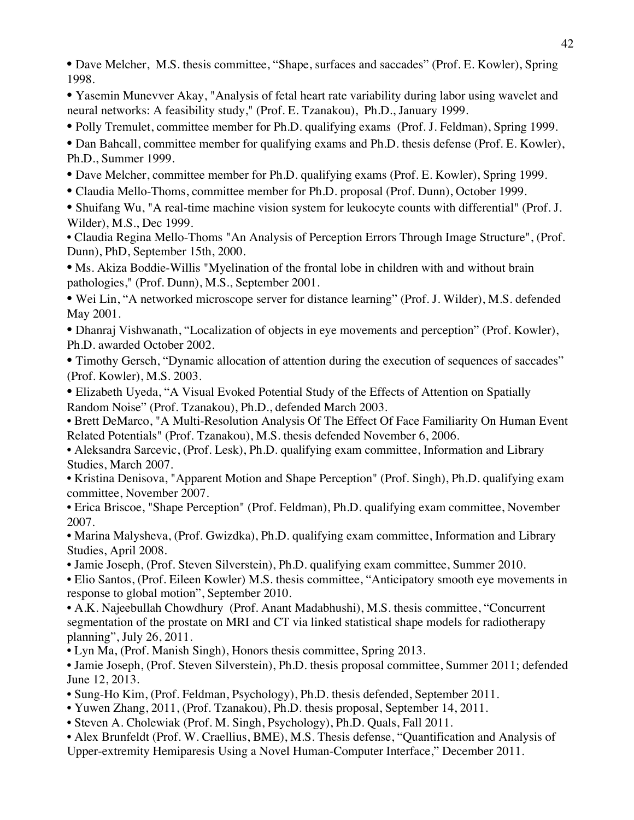• Dave Melcher, M.S. thesis committee, "Shape, surfaces and saccades" (Prof. E. Kowler), Spring 1998.

• Yasemin Munevver Akay, "Analysis of fetal heart rate variability during labor using wavelet and neural networks: A feasibility study," (Prof. E. Tzanakou), Ph.D., January 1999.

• Polly Tremulet, committee member for Ph.D. qualifying exams (Prof. J. Feldman), Spring 1999.

• Dan Bahcall, committee member for qualifying exams and Ph.D. thesis defense (Prof. E. Kowler), Ph.D., Summer 1999.

- Dave Melcher, committee member for Ph.D. qualifying exams (Prof. E. Kowler), Spring 1999.
- Claudia Mello-Thoms, committee member for Ph.D. proposal (Prof. Dunn), October 1999.

• Shuifang Wu, "A real-time machine vision system for leukocyte counts with differential" (Prof. J. Wilder), M.S., Dec 1999.

• Claudia Regina Mello-Thoms "An Analysis of Perception Errors Through Image Structure", (Prof. Dunn), PhD, September 15th, 2000.

• Ms. Akiza Boddie-Willis "Myelination of the frontal lobe in children with and without brain pathologies," (Prof. Dunn), M.S., September 2001.

• Wei Lin, "A networked microscope server for distance learning" (Prof. J. Wilder), M.S. defended May 2001.

• Dhanraj Vishwanath, "Localization of objects in eye movements and perception" (Prof. Kowler), Ph.D. awarded October 2002.

• Timothy Gersch, "Dynamic allocation of attention during the execution of sequences of saccades" (Prof. Kowler), M.S. 2003.

- Elizabeth Uyeda, "A Visual Evoked Potential Study of the Effects of Attention on Spatially Random Noise" (Prof. Tzanakou), Ph.D., defended March 2003.
- Brett DeMarco, "A Multi-Resolution Analysis Of The Effect Of Face Familiarity On Human Event Related Potentials" (Prof. Tzanakou), M.S. thesis defended November 6, 2006.
- Aleksandra Sarcevic, (Prof. Lesk), Ph.D. qualifying exam committee, Information and Library Studies, March 2007.

• Kristina Denisova, "Apparent Motion and Shape Perception" (Prof. Singh), Ph.D. qualifying exam committee, November 2007.

• Erica Briscoe, "Shape Perception" (Prof. Feldman), Ph.D. qualifying exam committee, November 2007.

• Marina Malysheva, (Prof. Gwizdka), Ph.D. qualifying exam committee, Information and Library Studies, April 2008.

• Jamie Joseph, (Prof. Steven Silverstein), Ph.D. qualifying exam committee, Summer 2010.

• Elio Santos, (Prof. Eileen Kowler) M.S. thesis committee, "Anticipatory smooth eye movements in response to global motion", September 2010.

• A.K. Najeebullah Chowdhury (Prof. Anant Madabhushi), M.S. thesis committee, "Concurrent segmentation of the prostate on MRI and CT via linked statistical shape models for radiotherapy planning", July 26, 2011.

• Lyn Ma, (Prof. Manish Singh), Honors thesis committee, Spring 2013.

• Jamie Joseph, (Prof. Steven Silverstein), Ph.D. thesis proposal committee, Summer 2011; defended June 12, 2013.

- Sung-Ho Kim, (Prof. Feldman, Psychology), Ph.D. thesis defended, September 2011.
- Yuwen Zhang, 2011, (Prof. Tzanakou), Ph.D. thesis proposal, September 14, 2011.
- Steven A. Cholewiak (Prof. M. Singh, Psychology), Ph.D. Quals, Fall 2011.
- Alex Brunfeldt (Prof. W. Craellius, BME), M.S. Thesis defense, "Quantification and Analysis of
- Upper-extremity Hemiparesis Using a Novel Human-Computer Interface," December 2011.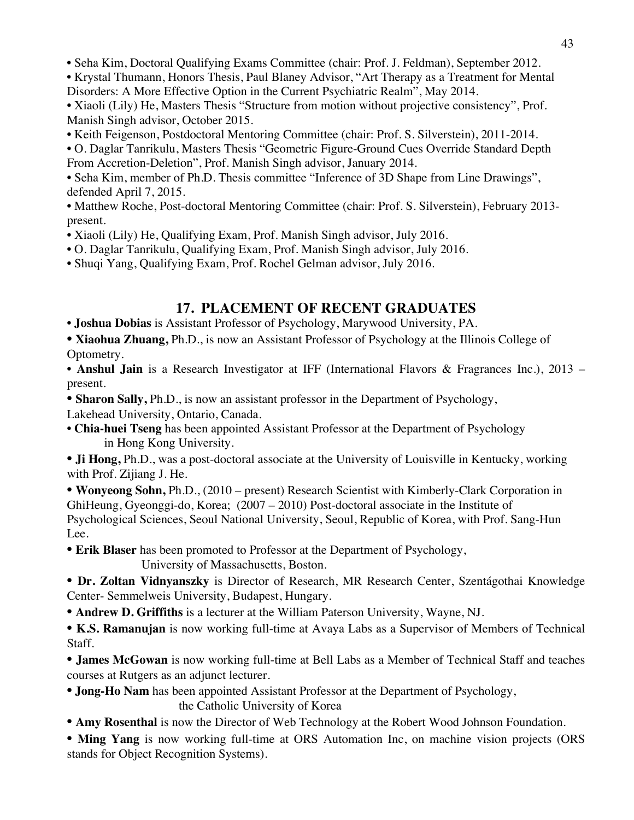• Seha Kim, Doctoral Qualifying Exams Committee (chair: Prof. J. Feldman), September 2012.

• Krystal Thumann, Honors Thesis, Paul Blaney Advisor, "Art Therapy as a Treatment for Mental Disorders: A More Effective Option in the Current Psychiatric Realm", May 2014.

• Xiaoli (Lily) He, Masters Thesis "Structure from motion without projective consistency", Prof. Manish Singh advisor, October 2015.

• Keith Feigenson, Postdoctoral Mentoring Committee (chair: Prof. S. Silverstein), 2011-2014.

• O. Daglar Tanrikulu, Masters Thesis "Geometric Figure-Ground Cues Override Standard Depth From Accretion-Deletion", Prof. Manish Singh advisor, January 2014.

• Seha Kim, member of Ph.D. Thesis committee "Inference of 3D Shape from Line Drawings", defended April 7, 2015.

• Matthew Roche, Post-doctoral Mentoring Committee (chair: Prof. S. Silverstein), February 2013 present.

• Xiaoli (Lily) He, Qualifying Exam, Prof. Manish Singh advisor, July 2016.

• O. Daglar Tanrikulu, Qualifying Exam, Prof. Manish Singh advisor, July 2016.

• Shuqi Yang, Qualifying Exam, Prof. Rochel Gelman advisor, July 2016.

# **17. PLACEMENT OF RECENT GRADUATES**

• **Joshua Dobias** is Assistant Professor of Psychology, Marywood University, PA.

• **Xiaohua Zhuang,** Ph.D., is now an Assistant Professor of Psychology at the Illinois College of Optometry.

• **Anshul Jain** is a Research Investigator at IFF (International Flavors & Fragrances Inc.), 2013 – present.

• **Sharon Sally, Ph.D.**, is now an assistant professor in the Department of Psychology,

Lakehead University, Ontario, Canada.

• **Chia-huei Tseng** has been appointed Assistant Professor at the Department of Psychology in Hong Kong University.

• **Ji Hong,** Ph.D., was a post-doctoral associate at the University of Louisville in Kentucky, working with Prof. Zijiang J. He.

• **Wonyeong Sohn,** Ph.D., (2010 – present) Research Scientist with Kimberly-Clark Corporation in GhiHeung, Gyeonggi-do, Korea; (2007 – 2010) Post-doctoral associate in the Institute of Psychological Sciences, Seoul National University, Seoul, Republic of Korea, with Prof. Sang-Hun Lee.

• **Erik Blaser** has been promoted to Professor at the Department of Psychology, University of Massachusetts, Boston.

• **Dr. Zoltan Vidnyanszky** is Director of Research, MR Research Center, Szentágothai Knowledge Center- Semmelweis University, Budapest, Hungary.

• **Andrew D. Griffiths** is a lecturer at the William Paterson University, Wayne, NJ.

• **K.S. Ramanujan** is now working full-time at Avaya Labs as a Supervisor of Members of Technical Staff.

• **James McGowan** is now working full-time at Bell Labs as a Member of Technical Staff and teaches courses at Rutgers as an adjunct lecturer.

• **Jong-Ho Nam** has been appointed Assistant Professor at the Department of Psychology,

the Catholic University of Korea

• **Amy Rosenthal** is now the Director of Web Technology at the Robert Wood Johnson Foundation.

• Ming Yang is now working full-time at ORS Automation Inc, on machine vision projects (ORS stands for Object Recognition Systems).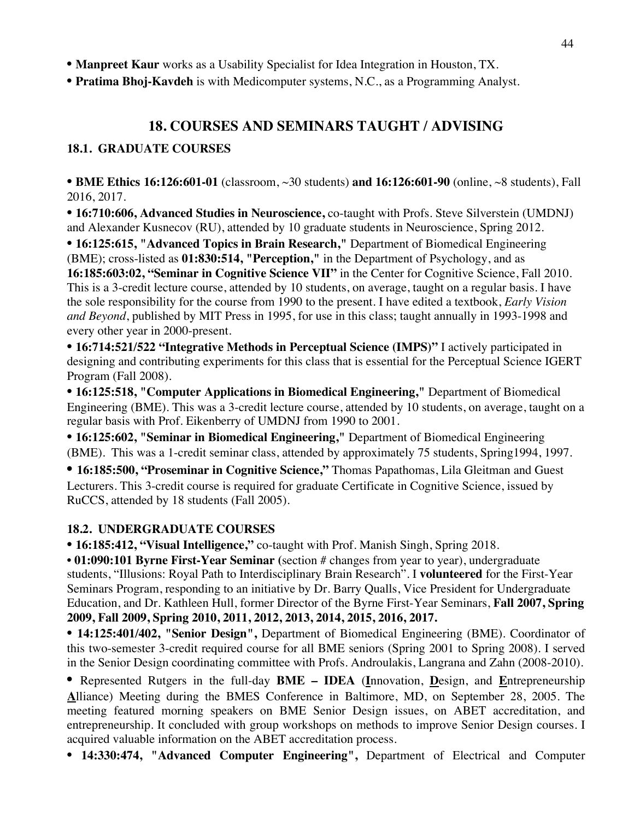• **Manpreet Kaur** works as a Usability Specialist for Idea Integration in Houston, TX.

• **Pratima Bhoj-Kavdeh** is with Medicomputer systems, N.C., as a Programming Analyst.

# **18. COURSES AND SEMINARS TAUGHT / ADVISING**

### **18.1. GRADUATE COURSES**

• **BME Ethics 16:126:601-01** (classroom, ~30 students) **and 16:126:601-90** (online, ~8 students), Fall 2016, 2017.

• **16:710:606, Advanced Studies in Neuroscience,** co-taught with Profs. Steve Silverstein (UMDNJ) and Alexander Kusnecov (RU), attended by 10 graduate students in Neuroscience, Spring 2012.

• **16:125:615, "Advanced Topics in Brain Research,"** Department of Biomedical Engineering (BME); cross-listed as **01:830:514, "Perception,"** in the Department of Psychology, and as **16:185:603:02, "Seminar in Cognitive Science VII"** in the Center for Cognitive Science, Fall 2010. This is a 3-credit lecture course, attended by 10 students, on average, taught on a regular basis. I have the sole responsibility for the course from 1990 to the present. I have edited a textbook, *Early Vision and Beyond*, published by MIT Press in 1995, for use in this class; taught annually in 1993-1998 and every other year in 2000-present.

• **16:714:521/522 "Integrative Methods in Perceptual Science (IMPS)"** I actively participated in designing and contributing experiments for this class that is essential for the Perceptual Science IGERT Program (Fall 2008).

• **16:125:518, "Computer Applications in Biomedical Engineering,"** Department of Biomedical Engineering (BME). This was a 3-credit lecture course, attended by 10 students, on average, taught on a regular basis with Prof. Eikenberry of UMDNJ from 1990 to 2001.

• **16:125:602, "Seminar in Biomedical Engineering,"** Department of Biomedical Engineering (BME). This was a 1-credit seminar class, attended by approximately 75 students, Spring1994, 1997.

• **16:185:500, "Proseminar in Cognitive Science,"** Thomas Papathomas, Lila Gleitman and Guest Lecturers. This 3-credit course is required for graduate Certificate in Cognitive Science, issued by RuCCS, attended by 18 students (Fall 2005).

### **18.2. UNDERGRADUATE COURSES**

• **16:185:412, "Visual Intelligence,"** co-taught with Prof. Manish Singh, Spring 2018.

• **01:090:101 Byrne First-Year Seminar (**section # changes from year to year), undergraduate students, "Illusions: Royal Path to Interdisciplinary Brain Research". I **volunteered** for the First-Year Seminars Program, responding to an initiative by Dr. Barry Qualls, Vice President for Undergraduate Education, and Dr. Kathleen Hull, former Director of the Byrne First-Year Seminars, **Fall 2007, Spring 2009, Fall 2009, Spring 2010, 2011, 2012, 2013, 2014, 2015, 2016, 2017.**

• **14:125:401/402, "Senior Design",** Department of Biomedical Engineering (BME). Coordinator of this two-semester 3-credit required course for all BME seniors (Spring 2001 to Spring 2008). I served in the Senior Design coordinating committee with Profs. Androulakis, Langrana and Zahn (2008-2010).

• Represented Rutgers in the full-day **BME – IDEA** (**I**nnovation, **D**esign, and **E**ntrepreneurship **A**lliance) Meeting during the BMES Conference in Baltimore, MD, on September 28, 2005. The meeting featured morning speakers on BME Senior Design issues, on ABET accreditation, and entrepreneurship. It concluded with group workshops on methods to improve Senior Design courses. I acquired valuable information on the ABET accreditation process.

• **14:330:474, "Advanced Computer Engineering",** Department of Electrical and Computer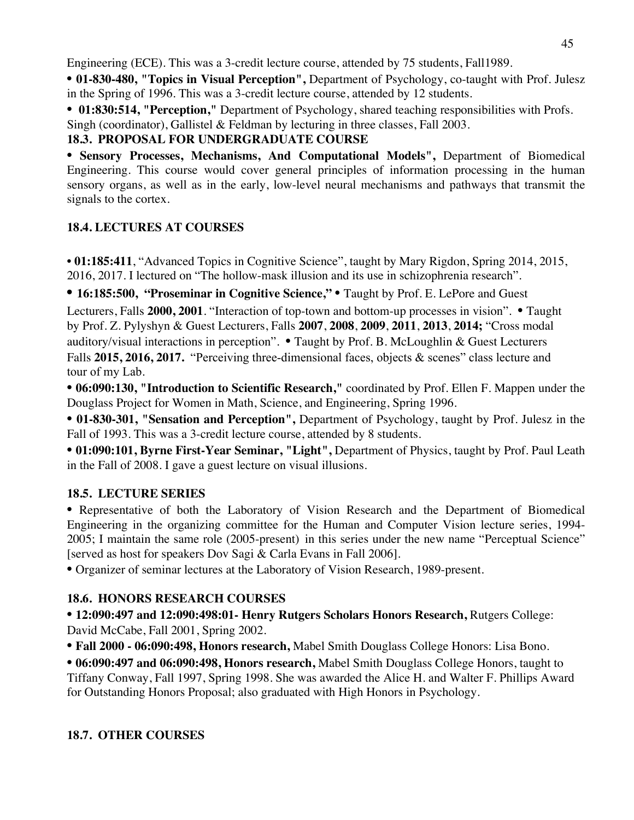Engineering (ECE). This was a 3-credit lecture course, attended by 75 students, Fall1989.

• **01-830-480, "Topics in Visual Perception",** Department of Psychology, co-taught with Prof. Julesz in the Spring of 1996. This was a 3-credit lecture course, attended by 12 students.

**• 01:830:514, "Perception,"** Department of Psychology, shared teaching responsibilities with Profs.

Singh (coordinator), Gallistel & Feldman by lecturing in three classes, Fall 2003.

### **18.3. PROPOSAL FOR UNDERGRADUATE COURSE**

• **Sensory Processes, Mechanisms, And Computational Models",** Department of Biomedical Engineering. This course would cover general principles of information processing in the human sensory organs, as well as in the early, low-level neural mechanisms and pathways that transmit the signals to the cortex.

# **18.4. LECTURES AT COURSES**

• **01:185:411**, "Advanced Topics in Cognitive Science", taught by Mary Rigdon, Spring 2014, 2015, 2016, 2017. I lectured on "The hollow-mask illusion and its use in schizophrenia research".

• **16:185:500, "Proseminar in Cognitive Science,"** • Taught by Prof. E. LePore and Guest

Lecturers, Falls **2000, 2001**. "Interaction of top-town and bottom-up processes in vision". • Taught by Prof. Z. Pylyshyn & Guest Lecturers, Falls **2007**, **2008**, **2009**, **2011**, **2013**, **2014;** "Cross modal auditory/visual interactions in perception". • Taught by Prof. B. McLoughlin & Guest Lecturers Falls **2015, 2016, 2017.** "Perceiving three-dimensional faces, objects & scenes" class lecture and tour of my Lab.

• **06:090:130, "Introduction to Scientific Research,"** coordinated by Prof. Ellen F. Mappen under the Douglass Project for Women in Math, Science, and Engineering, Spring 1996.

• **01-830-301, "Sensation and Perception",** Department of Psychology, taught by Prof. Julesz in the Fall of 1993. This was a 3-credit lecture course, attended by 8 students.

• **01:090:101, Byrne First-Year Seminar, "Light",** Department of Physics, taught by Prof. Paul Leath in the Fall of 2008. I gave a guest lecture on visual illusions.

# **18.5. LECTURE SERIES**

• Representative of both the Laboratory of Vision Research and the Department of Biomedical Engineering in the organizing committee for the Human and Computer Vision lecture series, 1994- 2005; I maintain the same role (2005-present) in this series under the new name "Perceptual Science" [served as host for speakers Dov Sagi & Carla Evans in Fall 2006].

• Organizer of seminar lectures at the Laboratory of Vision Research, 1989-present.

# **18.6. HONORS RESEARCH COURSES**

**• 12:090:497 and 12:090:498:01- Henry Rutgers Scholars Honors Research,** Rutgers College: David McCabe, Fall 2001, Spring 2002.

**• Fall 2000 - 06:090:498, Honors research,** Mabel Smith Douglass College Honors: Lisa Bono.

**• 06:090:497 and 06:090:498, Honors research,** Mabel Smith Douglass College Honors, taught to Tiffany Conway, Fall 1997, Spring 1998. She was awarded the Alice H. and Walter F. Phillips Award for Outstanding Honors Proposal; also graduated with High Honors in Psychology.

# **18.7. OTHER COURSES**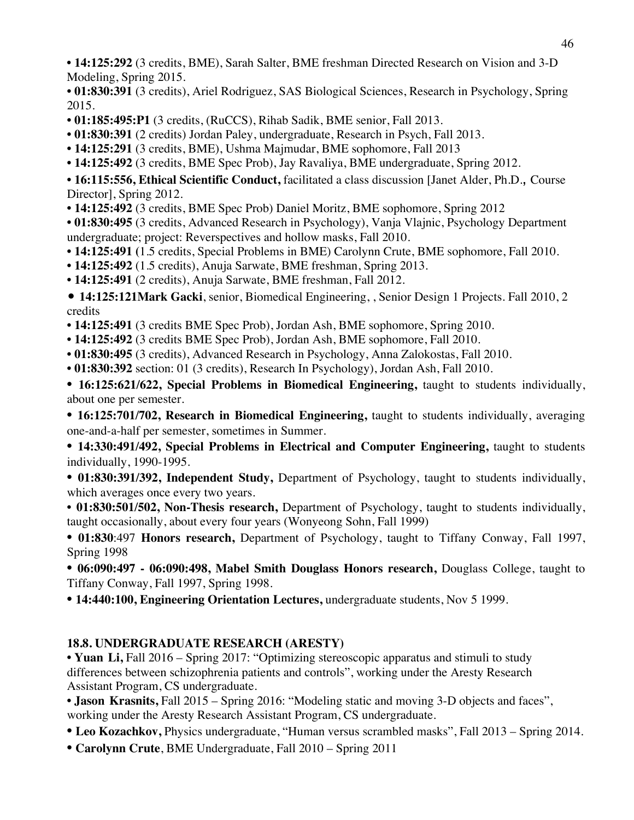**• 14:125:292** (3 credits, BME), Sarah Salter, BME freshman Directed Research on Vision and 3-D Modeling, Spring 2015.

- **01:830:391** (3 credits), Ariel Rodriguez, SAS Biological Sciences, Research in Psychology, Spring 2015.
- **01:185:495:P1** (3 credits, (RuCCS), Rihab Sadik, BME senior, Fall 2013.
- **01:830:391** (2 credits) Jordan Paley, undergraduate, Research in Psych, Fall 2013.
- **14:125:291** (3 credits, BME), Ushma Majmudar, BME sophomore, Fall 2013
- **14:125:492** (3 credits, BME Spec Prob), Jay Ravaliya, BME undergraduate, Spring 2012.

• **16:115:556, Ethical Scientific Conduct,** facilitated a class discussion [Janet Alder, Ph.D., Course Director], Spring 2012.

**• 14:125:492** (3 credits, BME Spec Prob) Daniel Moritz, BME sophomore, Spring 2012

**• 01:830:495** (3 credits, Advanced Research in Psychology), Vanja Vlajnic, Psychology Department undergraduate; project: Reverspectives and hollow masks, Fall 2010.

- **14:125:491 (**1.5 credits, Special Problems in BME) Carolynn Crute, BME sophomore, Fall 2010.
- **14:125:492** (1.5 credits), Anuja Sarwate, BME freshman, Spring 2013.
- **14:125:491** (2 credits), Anuja Sarwate, BME freshman, Fall 2012.

• **14:125:121Mark Gacki**, senior, Biomedical Engineering, , Senior Design 1 Projects. Fall 2010, 2 credits

- **14:125:491** (3 credits BME Spec Prob), Jordan Ash, BME sophomore, Spring 2010.
- **14:125:492** (3 credits BME Spec Prob), Jordan Ash, BME sophomore, Fall 2010.
- **01:830:495** (3 credits), Advanced Research in Psychology, Anna Zalokostas, Fall 2010.
- **01:830:392** section: 01 (3 credits), Research In Psychology), Jordan Ash, Fall 2010.

• **16:125:621/622, Special Problems in Biomedical Engineering,** taught to students individually, about one per semester.

• **16:125:701/702, Research in Biomedical Engineering,** taught to students individually, averaging one-and-a-half per semester, sometimes in Summer.

• **14:330:491/492, Special Problems in Electrical and Computer Engineering,** taught to students individually, 1990-1995.

• **01:830:391/392, Independent Study,** Department of Psychology, taught to students individually, which averages once every two years.

• **01:830:501/502, Non-Thesis research,** Department of Psychology, taught to students individually, taught occasionally, about every four years (Wonyeong Sohn, Fall 1999)

**• 01:830**:497 **Honors research,** Department of Psychology, taught to Tiffany Conway, Fall 1997, Spring 1998

**• 06:090:497 - 06:090:498, Mabel Smith Douglass Honors research,** Douglass College, taught to Tiffany Conway, Fall 1997, Spring 1998.

• **14:440:100, Engineering Orientation Lectures,** undergraduate students, Nov 5 1999.

# **18.8. UNDERGRADUATE RESEARCH (ARESTY)**

**• Yuan Li,** Fall 2016 – Spring 2017: "Optimizing stereoscopic apparatus and stimuli to study differences between schizophrenia patients and controls", working under the Aresty Research Assistant Program, CS undergraduate.

**• Jason Krasnits,** Fall 2015 – Spring 2016: "Modeling static and moving 3-D objects and faces", working under the Aresty Research Assistant Program, CS undergraduate.

**• Leo Kozachkov,** Physics undergraduate, "Human versus scrambled masks", Fall 2013 – Spring 2014.

**• Carolynn Crute**, BME Undergraduate, Fall 2010 – Spring 2011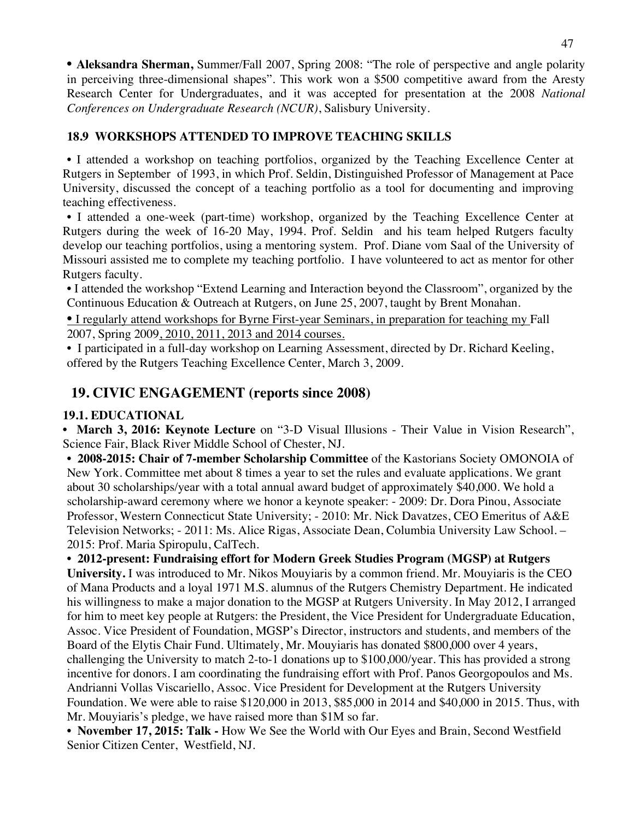• **Aleksandra Sherman,** Summer/Fall 2007, Spring 2008: "The role of perspective and angle polarity in perceiving three-dimensional shapes". This work won a \$500 competitive award from the Aresty Research Center for Undergraduates, and it was accepted for presentation at the 2008 *National Conferences on Undergraduate Research (NCUR)*, Salisbury University.

### **18.9 WORKSHOPS ATTENDED TO IMPROVE TEACHING SKILLS**

• I attended a workshop on teaching portfolios, organized by the Teaching Excellence Center at Rutgers in September of 1993, in which Prof. Seldin, Distinguished Professor of Management at Pace University, discussed the concept of a teaching portfolio as a tool for documenting and improving teaching effectiveness.

• I attended a one-week (part-time) workshop, organized by the Teaching Excellence Center at Rutgers during the week of 16-20 May, 1994. Prof. Seldin and his team helped Rutgers faculty develop our teaching portfolios, using a mentoring system. Prof. Diane vom Saal of the University of Missouri assisted me to complete my teaching portfolio. I have volunteered to act as mentor for other Rutgers faculty.

• I attended the workshop "Extend Learning and Interaction beyond the Classroom", organized by the Continuous Education & Outreach at Rutgers, on June 25, 2007, taught by Brent Monahan.

• I regularly attend workshops for Byrne First-year Seminars, in preparation for teaching my Fall 2007, Spring 2009, 2010, 2011, 2013 and 2014 courses.

• I participated in a full-day workshop on Learning Assessment, directed by Dr. Richard Keeling, offered by the Rutgers Teaching Excellence Center, March 3, 2009.

# **19. CIVIC ENGAGEMENT (reports since 2008)**

### **19.1. EDUCATIONAL**

• **March 3, 2016: Keynote Lecture** on "3-D Visual Illusions - Their Value in Vision Research", Science Fair, Black River Middle School of Chester, NJ.

• **2008-2015: Chair of 7-member Scholarship Committee** of the Kastorians Society OMONOIA of New York. Committee met about 8 times a year to set the rules and evaluate applications. We grant about 30 scholarships/year with a total annual award budget of approximately \$40,000. We hold a scholarship-award ceremony where we honor a keynote speaker: - 2009: Dr. Dora Pinou, Associate Professor, Western Connecticut State University; - 2010: Mr. Nick Davatzes, CEO Emeritus of A&E Television Networks; - 2011: Ms. Alice Rigas, Associate Dean, Columbia University Law School. – 2015: Prof. Maria Spiropulu, CalTech.

• **2012-present: Fundraising effort for Modern Greek Studies Program (MGSP) at Rutgers University.** I was introduced to Mr. Nikos Mouyiaris by a common friend. Mr. Mouyiaris is the CEO of Mana Products and a loyal 1971 M.S. alumnus of the Rutgers Chemistry Department. He indicated his willingness to make a major donation to the MGSP at Rutgers University. In May 2012, I arranged for him to meet key people at Rutgers: the President, the Vice President for Undergraduate Education, Assoc. Vice President of Foundation, MGSP's Director, instructors and students, and members of the Board of the Elytis Chair Fund. Ultimately, Mr. Mouyiaris has donated \$800,000 over 4 years, challenging the University to match 2-to-1 donations up to \$100,000/year. This has provided a strong incentive for donors. I am coordinating the fundraising effort with Prof. Panos Georgopoulos and Ms. Andrianni Vollas Viscariello, Assoc. Vice President for Development at the Rutgers University Foundation. We were able to raise \$120,000 in 2013, \$85,000 in 2014 and \$40,000 in 2015. Thus, with Mr. Mouyiaris's pledge, we have raised more than \$1M so far.

• **November 17, 2015: Talk -** How We See the World with Our Eyes and Brain, Second Westfield Senior Citizen Center, Westfield, NJ.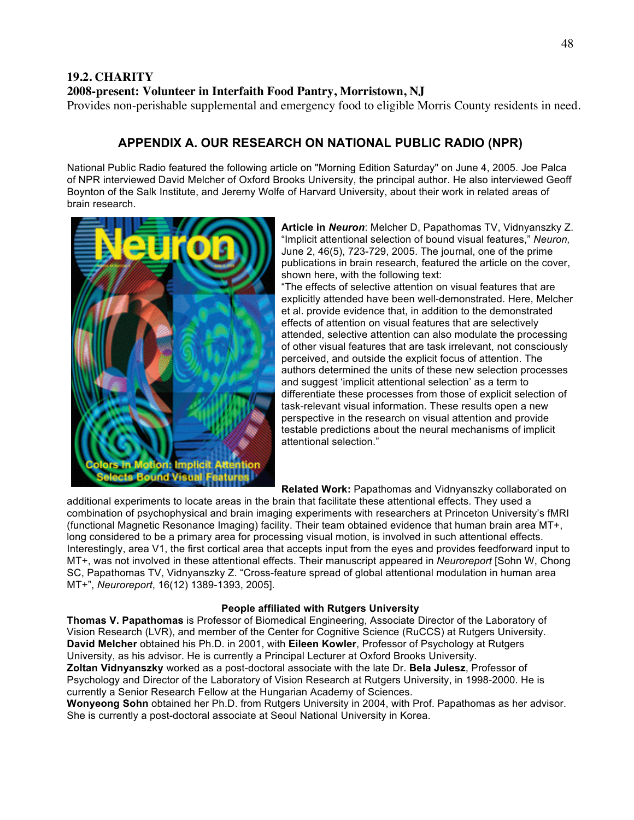### **19.2. CHARITY 2008-present: Volunteer in Interfaith Food Pantry, Morristown, NJ**

Provides non-perishable supplemental and emergency food to eligible Morris County residents in need.

### **APPENDIX A. OUR RESEARCH ON NATIONAL PUBLIC RADIO (NPR)**

National Public Radio featured the following article on "Morning Edition Saturday" on June 4, 2005. Joe Palca of NPR interviewed David Melcher of Oxford Brooks University, the principal author. He also interviewed Geoff Boynton of the Salk Institute, and Jeremy Wolfe of Harvard University, about their work in related areas of brain research.



**Article in** *Neuron*: Melcher D, Papathomas TV, Vidnyanszky Z. "Implicit attentional selection of bound visual features," *Neuron,*  June 2, 46(5), 723-729, 2005. The journal, one of the prime publications in brain research, featured the article on the cover, shown here, with the following text:

"The effects of selective attention on visual features that are explicitly attended have been well-demonstrated. Here, Melcher et al. provide evidence that, in addition to the demonstrated effects of attention on visual features that are selectively attended, selective attention can also modulate the processing of other visual features that are task irrelevant, not consciously perceived, and outside the explicit focus of attention. The authors determined the units of these new selection processes and suggest 'implicit attentional selection' as a term to differentiate these processes from those of explicit selection of task-relevant visual information. These results open a new perspective in the research on visual attention and provide testable predictions about the neural mechanisms of implicit attentional selection."

**Related Work:** Papathomas and Vidnyanszky collaborated on

additional experiments to locate areas in the brain that facilitate these attentional effects. They used a combination of psychophysical and brain imaging experiments with researchers at Princeton University's fMRI (functional Magnetic Resonance Imaging) facility. Their team obtained evidence that human brain area MT+, long considered to be a primary area for processing visual motion, is involved in such attentional effects. Interestingly, area V1, the first cortical area that accepts input from the eyes and provides feedforward input to MT+, was not involved in these attentional effects. Their manuscript appeared in *Neuroreport* [Sohn W, Chong SC, Papathomas TV, Vidnyanszky Z. "Cross-feature spread of global attentional modulation in human area MT+", *Neuroreport*, 16(12) 1389-1393, 2005].

#### **People affiliated with Rutgers University**

**Thomas V. Papathomas** is Professor of Biomedical Engineering, Associate Director of the Laboratory of Vision Research (LVR), and member of the Center for Cognitive Science (RuCCS) at Rutgers University. **David Melcher** obtained his Ph.D. in 2001, with **Eileen Kowler**, Professor of Psychology at Rutgers University, as his advisor. He is currently a Principal Lecturer at Oxford Brooks University.

**Zoltan Vidnyanszky** worked as a post-doctoral associate with the late Dr. **Bela Julesz**, Professor of Psychology and Director of the Laboratory of Vision Research at Rutgers University, in 1998-2000. He is currently a Senior Research Fellow at the Hungarian Academy of Sciences.

**Wonyeong Sohn** obtained her Ph.D. from Rutgers University in 2004, with Prof. Papathomas as her advisor. She is currently a post-doctoral associate at Seoul National University in Korea.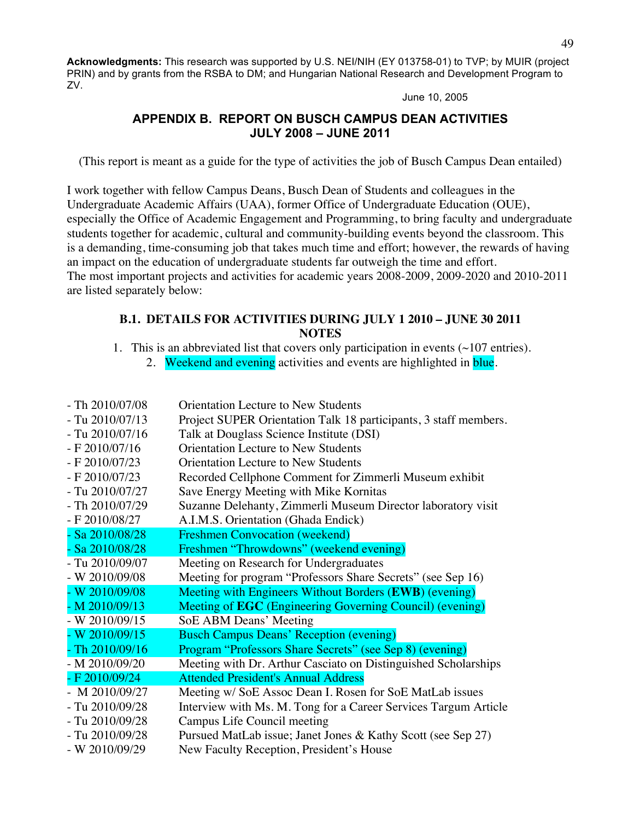**Acknowledgments:** This research was supported by U.S. NEI/NIH (EY 013758-01) to TVP; by MUIR (project PRIN) and by grants from the RSBA to DM; and Hungarian National Research and Development Program to ZV.

June 10, 2005

### **APPENDIX B. REPORT ON BUSCH CAMPUS DEAN ACTIVITIES JULY 2008 – JUNE 2011**

(This report is meant as a guide for the type of activities the job of Busch Campus Dean entailed)

I work together with fellow Campus Deans, Busch Dean of Students and colleagues in the Undergraduate Academic Affairs (UAA), former Office of Undergraduate Education (OUE), especially the Office of Academic Engagement and Programming, to bring faculty and undergraduate students together for academic, cultural and community-building events beyond the classroom. This is a demanding, time-consuming job that takes much time and effort; however, the rewards of having an impact on the education of undergraduate students far outweigh the time and effort. The most important projects and activities for academic years 2008-2009, 2009-2020 and 2010-2011 are listed separately below:

### **B.1. DETAILS FOR ACTIVITIES DURING JULY 1 2010 – JUNE 30 2011 NOTES**

- 1. This is an abbreviated list that covers only participation in events (~107 entries).
	- 2. Weekend and evening activities and events are highlighted in blue.

| $-$ Th 2010/07/08 | <b>Orientation Lecture to New Students</b>                       |
|-------------------|------------------------------------------------------------------|
| $-$ Tu 2010/07/13 | Project SUPER Orientation Talk 18 participants, 3 staff members. |
| $-$ Tu 2010/07/16 | Talk at Douglass Science Institute (DSI)                         |
| $- F 2010/07/16$  | <b>Orientation Lecture to New Students</b>                       |
| $- F 2010/07/23$  | <b>Orientation Lecture to New Students</b>                       |
| $- F 2010/07/23$  | Recorded Cellphone Comment for Zimmerli Museum exhibit           |
| $-$ Tu 2010/07/27 | Save Energy Meeting with Mike Kornitas                           |
| $-$ Th 2010/07/29 | Suzanne Delehanty, Zimmerli Museum Director laboratory visit     |
| - F 2010/08/27    | A.I.M.S. Orientation (Ghada Endick)                              |
| $-$ Sa 2010/08/28 | <b>Freshmen Convocation (weekend)</b>                            |
| $-$ Sa 2010/08/28 | Freshmen "Throwdowns" (weekend evening)                          |
| - Tu 2010/09/07   | Meeting on Research for Undergraduates                           |
| - W 2010/09/08    | Meeting for program "Professors Share Secrets" (see Sep 16)      |
| - W 2010/09/08    | Meeting with Engineers Without Borders (EWB) (evening)           |
| $-M 2010/09/13$   | Meeting of EGC (Engineering Governing Council) (evening)         |
| - W 2010/09/15    | SoE ABM Deans' Meeting                                           |
| - W $2010/09/15$  | <b>Busch Campus Deans' Reception (evening)</b>                   |
| $-$ Th 2010/09/16 | Program "Professors Share Secrets" (see Sep 8) (evening)         |
| $- M 2010/09/20$  | Meeting with Dr. Arthur Casciato on Distinguished Scholarships   |
| - F 2010/09/24    | <b>Attended President's Annual Address</b>                       |
| - M 2010/09/27    | Meeting w/ SoE Assoc Dean I. Rosen for SoE MatLab issues         |
| $-$ Tu 2010/09/28 | Interview with Ms. M. Tong for a Career Services Targum Article  |
| - Tu 2010/09/28   | Campus Life Council meeting                                      |
| $-$ Tu 2010/09/28 | Pursued MatLab issue; Janet Jones & Kathy Scott (see Sep 27)     |
| - W $2010/09/29$  | New Faculty Reception, President's House                         |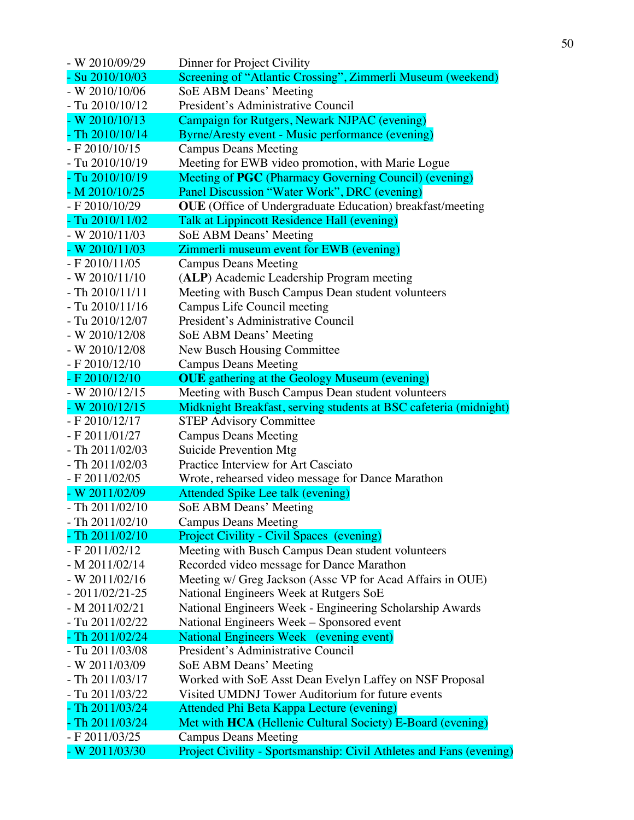| - W 2010/09/29    | Dinner for Project Civility                                         |
|-------------------|---------------------------------------------------------------------|
| $-$ Su 2010/10/03 | Screening of "Atlantic Crossing", Zimmerli Museum (weekend)         |
| $- W 2010/10/06$  | SoE ABM Deans' Meeting                                              |
| $-$ Tu 2010/10/12 | President's Administrative Council                                  |
| $-W 2010/10/13$   | Campaign for Rutgers, Newark NJPAC (evening)                        |
| $-$ Th 2010/10/14 | Byrne/Aresty event - Music performance (evening)                    |
| $- F 2010/10/15$  | <b>Campus Deans Meeting</b>                                         |
| - Tu 2010/10/19   | Meeting for EWB video promotion, with Marie Logue                   |
| - Tu 2010/10/19   | Meeting of PGC (Pharmacy Governing Council) (evening)               |
| $-M 2010/10/25$   | Panel Discussion "Water Work", DRC (evening)                        |
| $- F 2010/10/29$  | <b>OUE</b> (Office of Undergraduate Education) breakfast/meeting    |
| - Tu 2010/11/02   | Talk at Lippincott Residence Hall (evening)                         |
| - W $2010/11/03$  | SoE ABM Deans' Meeting                                              |
| $- W 2010/11/03$  | Zimmerli museum event for EWB (evening)                             |
| $- F 2010/11/05$  | <b>Campus Deans Meeting</b>                                         |
| $-W 2010/11/10$   | (ALP) Academic Leadership Program meeting                           |
| $-$ Th 2010/11/11 | Meeting with Busch Campus Dean student volunteers                   |
| $-$ Tu 2010/11/16 | Campus Life Council meeting                                         |
| - Tu 2010/12/07   | President's Administrative Council                                  |
| - W $2010/12/08$  | SoE ABM Deans' Meeting                                              |
| - W $2010/12/08$  | New Busch Housing Committee                                         |
| $- F 2010/12/10$  | <b>Campus Deans Meeting</b>                                         |
| - F 2010/12/10    | <b>OUE</b> gathering at the Geology Museum (evening)                |
| - W $2010/12/15$  | Meeting with Busch Campus Dean student volunteers                   |
| $-W 2010/12/15$   | Midknight Breakfast, serving students at BSC cafeteria (midnight)   |
| $- F 2010/12/17$  | <b>STEP Advisory Committee</b>                                      |
| $- F 2011/01/27$  | <b>Campus Deans Meeting</b>                                         |
| $-$ Th 2011/02/03 | Suicide Prevention Mtg                                              |
| - Th 2011/02/03   | Practice Interview for Art Casciato                                 |
| $- F 2011/02/05$  | Wrote, rehearsed video message for Dance Marathon                   |
| - W 2011/02/09    | Attended Spike Lee talk (evening)                                   |
| $- Th 2011/02/10$ | SoE ABM Deans' Meeting                                              |
| - Th 2011/02/10   | <b>Campus Deans Meeting</b>                                         |
| - Th 2011/02/10   | <b>Project Civility - Civil Spaces (evening)</b>                    |
| $- F 2011/02/12$  | Meeting with Busch Campus Dean student volunteers                   |
| $- M 2011/02/14$  | Recorded video message for Dance Marathon                           |
| $-W 2011/02/16$   | Meeting w/ Greg Jackson (Assc VP for Acad Affairs in OUE)           |
| $-2011/02/21-25$  | National Engineers Week at Rutgers SoE                              |
| $- M 2011/02/21$  | National Engineers Week - Engineering Scholarship Awards            |
| - Tu 2011/02/22   | National Engineers Week - Sponsored event                           |
| $-$ Th 2011/02/24 | National Engineers Week (evening event)                             |
| - Tu 2011/03/08   | President's Administrative Council                                  |
| - W 2011/03/09    | SoE ABM Deans' Meeting                                              |
| - Th 2011/03/17   | Worked with SoE Asst Dean Evelyn Laffey on NSF Proposal             |
| - Tu 2011/03/22   | Visited UMDNJ Tower Auditorium for future events                    |
| - Th 2011/03/24   | Attended Phi Beta Kappa Lecture (evening)                           |
| Th 2011/03/24     | Met with HCA (Hellenic Cultural Society) E-Board (evening)          |
| - F 2011/03/25    | <b>Campus Deans Meeting</b>                                         |
| - W 2011/03/30    | Project Civility - Sportsmanship: Civil Athletes and Fans (evening) |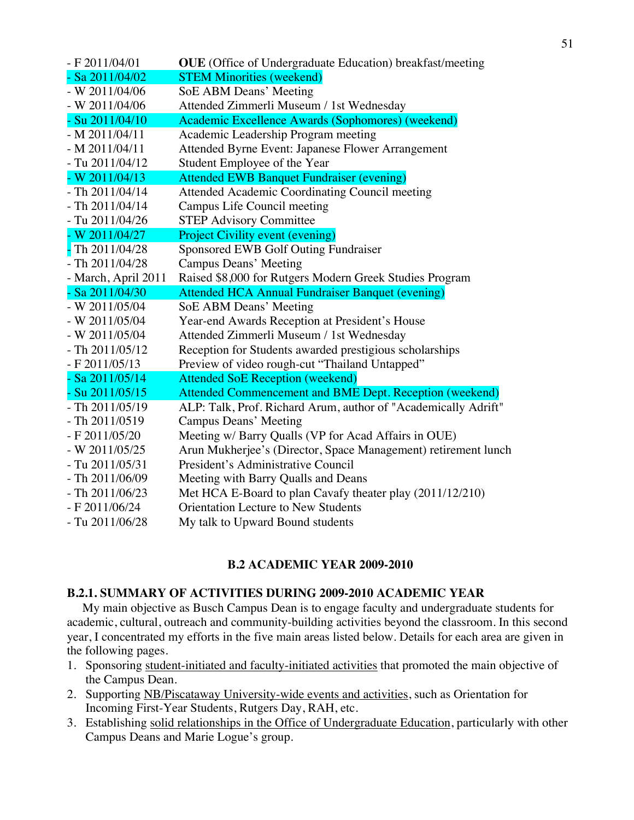| $- F 2011/04/01$    | <b>OUE</b> (Office of Undergraduate Education) breakfast/meeting |
|---------------------|------------------------------------------------------------------|
| $-$ Sa 2011/04/02   | <b>STEM Minorities (weekend)</b>                                 |
| - W 2011/04/06      | SoE ABM Deans' Meeting                                           |
| $- W 2011/04/06$    | Attended Zimmerli Museum / 1st Wednesday                         |
| $-$ Su $2011/04/10$ | Academic Excellence Awards (Sophomores) (weekend)                |
| $- M 2011/04/11$    | Academic Leadership Program meeting                              |
| $- M 2011/04/11$    | Attended Byrne Event: Japanese Flower Arrangement                |
| - Tu 2011/04/12     | Student Employee of the Year                                     |
| $-W 2011/04/13$     | <b>Attended EWB Banquet Fundraiser (evening)</b>                 |
| $-$ Th 2011/04/14   | Attended Academic Coordinating Council meeting                   |
| $-$ Th 2011/04/14   | Campus Life Council meeting                                      |
| - Tu 2011/04/26     | <b>STEP Advisory Committee</b>                                   |
| $-W 2011/04/27$     | <b>Project Civility event (evening)</b>                          |
| $-$ Th 2011/04/28   | Sponsored EWB Golf Outing Fundraiser                             |
| $-$ Th 2011/04/28   | Campus Deans' Meeting                                            |
| - March, April 2011 | Raised \$8,000 for Rutgers Modern Greek Studies Program          |
| $-$ Sa 2011/04/30   | <b>Attended HCA Annual Fundraiser Banquet (evening)</b>          |
| - W 2011/05/04      | <b>SoE ABM Deans' Meeting</b>                                    |
| - W 2011/05/04      | Year-end Awards Reception at President's House                   |
| - W 2011/05/04      | Attended Zimmerli Museum / 1st Wednesday                         |
| $-$ Th 2011/05/12   | Reception for Students awarded prestigious scholarships          |
| $- F 2011/05/13$    | Preview of video rough-cut "Thailand Untapped"                   |
| $-$ Sa 2011/05/14   | <b>Attended SoE Reception (weekend)</b>                          |
| $-$ Su 2011/05/15   | Attended Commencement and BME Dept. Reception (weekend)          |
| - Th 2011/05/19     | ALP: Talk, Prof. Richard Arum, author of "Academically Adrift"   |
| - Th 2011/0519      | <b>Campus Deans' Meeting</b>                                     |
| $- F 2011/05/20$    | Meeting w/ Barry Qualls (VP for Acad Affairs in OUE)             |
| - W 2011/05/25      | Arun Mukherjee's (Director, Space Management) retirement lunch   |
| $-$ Tu 2011/05/31   | President's Administrative Council                               |
| - Th 2011/06/09     | Meeting with Barry Qualls and Deans                              |
| $-$ Th 2011/06/23   | Met HCA E-Board to plan Cavafy theater play (2011/12/210)        |
| - F 2011/06/24      | <b>Orientation Lecture to New Students</b>                       |
| - Tu 2011/06/28     | My talk to Upward Bound students                                 |

### **B.2 ACADEMIC YEAR 2009-2010**

#### **B.2.1. SUMMARY OF ACTIVITIES DURING 2009-2010 ACADEMIC YEAR**

My main objective as Busch Campus Dean is to engage faculty and undergraduate students for academic, cultural, outreach and community-building activities beyond the classroom. In this second year, I concentrated my efforts in the five main areas listed below. Details for each area are given in the following pages.

- 1. Sponsoring student-initiated and faculty-initiated activities that promoted the main objective of the Campus Dean.
- 2. Supporting NB/Piscataway University-wide events and activities, such as Orientation for Incoming First-Year Students, Rutgers Day, RAH, etc.
- 3. Establishing solid relationships in the Office of Undergraduate Education, particularly with other Campus Deans and Marie Logue's group.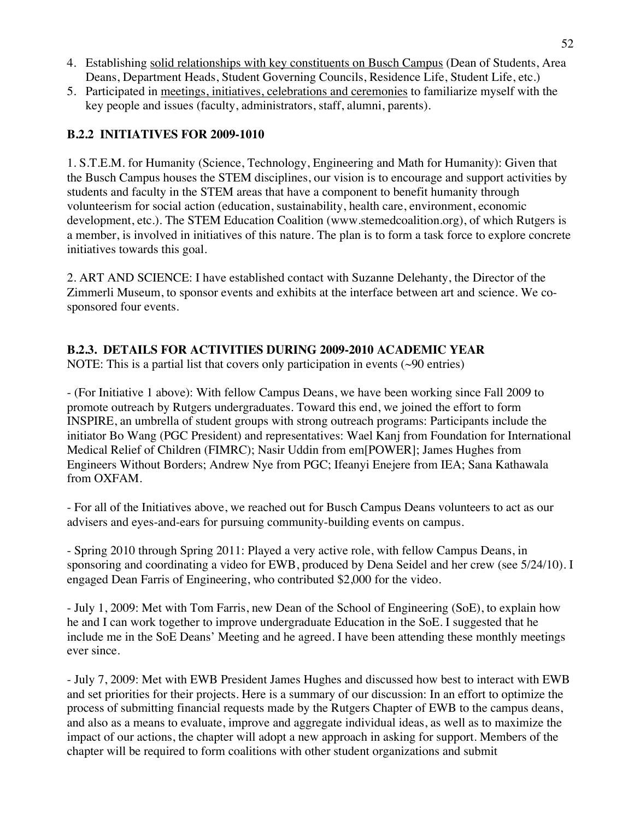- 4. Establishing solid relationships with key constituents on Busch Campus (Dean of Students, Area Deans, Department Heads, Student Governing Councils, Residence Life, Student Life, etc.)
- 5. Participated in meetings, initiatives, celebrations and ceremonies to familiarize myself with the key people and issues (faculty, administrators, staff, alumni, parents).

### **B.2.2 INITIATIVES FOR 2009-1010**

1. S.T.E.M. for Humanity (Science, Technology, Engineering and Math for Humanity): Given that the Busch Campus houses the STEM disciplines, our vision is to encourage and support activities by students and faculty in the STEM areas that have a component to benefit humanity through volunteerism for social action (education, sustainability, health care, environment, economic development, etc.). The STEM Education Coalition (www.stemedcoalition.org), of which Rutgers is a member, is involved in initiatives of this nature. The plan is to form a task force to explore concrete initiatives towards this goal.

2. ART AND SCIENCE: I have established contact with Suzanne Delehanty, the Director of the Zimmerli Museum, to sponsor events and exhibits at the interface between art and science. We cosponsored four events.

### **B.2.3. DETAILS FOR ACTIVITIES DURING 2009-2010 ACADEMIC YEAR**

NOTE: This is a partial list that covers only participation in events ( $\sim$ 90 entries)

- (For Initiative 1 above): With fellow Campus Deans, we have been working since Fall 2009 to promote outreach by Rutgers undergraduates. Toward this end, we joined the effort to form INSPIRE, an umbrella of student groups with strong outreach programs: Participants include the initiator Bo Wang (PGC President) and representatives: Wael Kanj from Foundation for International Medical Relief of Children (FIMRC); Nasir Uddin from em[POWER]; James Hughes from Engineers Without Borders; Andrew Nye from PGC; Ifeanyi Enejere from IEA; Sana Kathawala from OXFAM.

- For all of the Initiatives above, we reached out for Busch Campus Deans volunteers to act as our advisers and eyes-and-ears for pursuing community-building events on campus.

- Spring 2010 through Spring 2011: Played a very active role, with fellow Campus Deans, in sponsoring and coordinating a video for EWB, produced by Dena Seidel and her crew (see 5/24/10). I engaged Dean Farris of Engineering, who contributed \$2,000 for the video.

- July 1, 2009: Met with Tom Farris, new Dean of the School of Engineering (SoE), to explain how he and I can work together to improve undergraduate Education in the SoE. I suggested that he include me in the SoE Deans' Meeting and he agreed. I have been attending these monthly meetings ever since.

- July 7, 2009: Met with EWB President James Hughes and discussed how best to interact with EWB and set priorities for their projects. Here is a summary of our discussion: In an effort to optimize the process of submitting financial requests made by the Rutgers Chapter of EWB to the campus deans, and also as a means to evaluate, improve and aggregate individual ideas, as well as to maximize the impact of our actions, the chapter will adopt a new approach in asking for support. Members of the chapter will be required to form coalitions with other student organizations and submit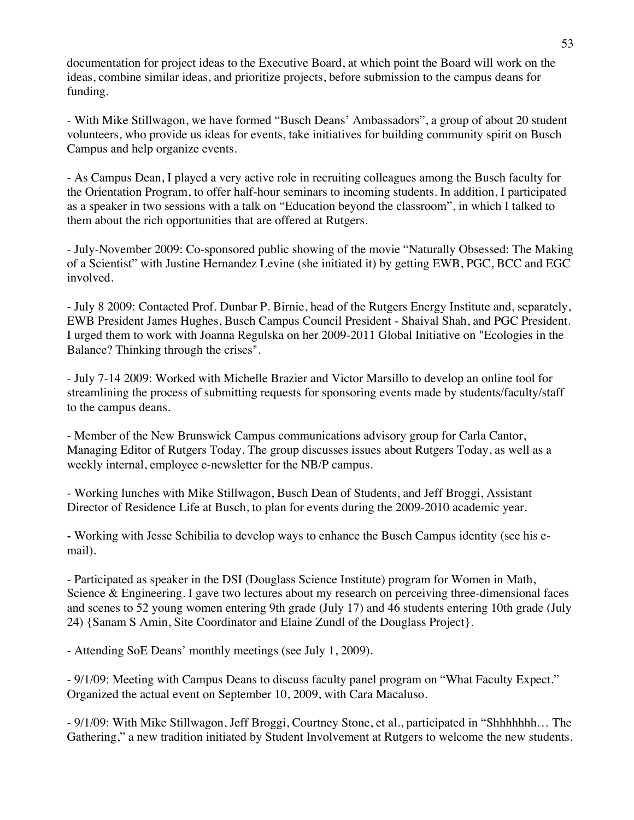documentation for project ideas to the Executive Board, at which point the Board will work on the ideas, combine similar ideas, and prioritize projects, before submission to the campus deans for funding.

- With Mike Stillwagon, we have formed "Busch Deans' Ambassadors", a group of about 20 student volunteers, who provide us ideas for events, take initiatives for building community spirit on Busch Campus and help organize events.

- As Campus Dean, I played a very active role in recruiting colleagues among the Busch faculty for the Orientation Program, to offer half-hour seminars to incoming students. In addition, I participated as a speaker in two sessions with a talk on "Education beyond the classroom", in which I talked to them about the rich opportunities that are offered at Rutgers.

- July-November 2009: Co-sponsored public showing of the movie "Naturally Obsessed: The Making of a Scientist" with Justine Hernandez Levine (she initiated it) by getting EWB, PGC, BCC and EGC involved.

- July 8 2009: Contacted Prof. Dunbar P. Birnie, head of the Rutgers Energy Institute and, separately, EWB President James Hughes, Busch Campus Council President - Shaival Shah, and PGC President. I urged them to work with Joanna Regulska on her 2009-2011 Global Initiative on "Ecologies in the Balance? Thinking through the crises".

- July 7-14 2009: Worked with Michelle Brazier and Victor Marsillo to develop an online tool for streamlining the process of submitting requests for sponsoring events made by students/faculty/staff to the campus deans.

- Member of the New Brunswick Campus communications advisory group for Carla Cantor, Managing Editor of Rutgers Today. The group discusses issues about Rutgers Today, as well as a weekly internal, employee e-newsletter for the NB/P campus.

- Working lunches with Mike Stillwagon, Busch Dean of Students, and Jeff Broggi, Assistant Director of Residence Life at Busch, to plan for events during the 2009-2010 academic year.

**-** Working with Jesse Schibilia to develop ways to enhance the Busch Campus identity (see his email).

- Participated as speaker in the DSI (Douglass Science Institute) program for Women in Math, Science & Engineering. I gave two lectures about my research on perceiving three-dimensional faces and scenes to 52 young women entering 9th grade (July 17) and 46 students entering 10th grade (July 24) {Sanam S Amin, Site Coordinator and Elaine Zundl of the Douglass Project}.

- Attending SoE Deans' monthly meetings (see July 1, 2009).

- 9/1/09: Meeting with Campus Deans to discuss faculty panel program on "What Faculty Expect." Organized the actual event on September 10, 2009, with Cara Macaluso.

- 9/1/09: With Mike Stillwagon, Jeff Broggi, Courtney Stone, et al., participated in "Shhhhhhh… The Gathering," a new tradition initiated by Student Involvement at Rutgers to welcome the new students.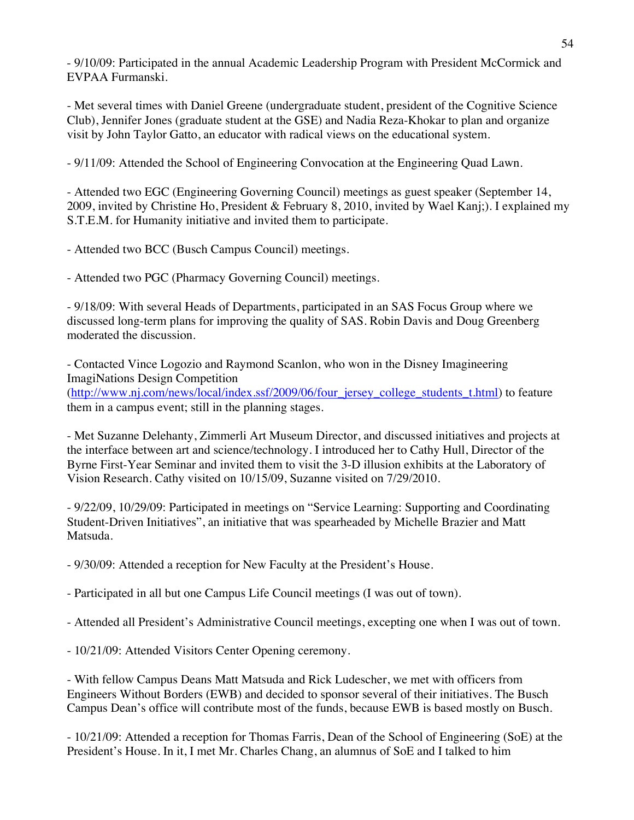- 9/10/09: Participated in the annual Academic Leadership Program with President McCormick and EVPAA Furmanski.

- Met several times with Daniel Greene (undergraduate student, president of the Cognitive Science Club), Jennifer Jones (graduate student at the GSE) and Nadia Reza-Khokar to plan and organize visit by John Taylor Gatto, an educator with radical views on the educational system.

- 9/11/09: Attended the School of Engineering Convocation at the Engineering Quad Lawn.

- Attended two EGC (Engineering Governing Council) meetings as guest speaker (September 14, 2009, invited by Christine Ho, President & February 8, 2010, invited by Wael Kanj;). I explained my S.T.E.M. for Humanity initiative and invited them to participate.

- Attended two BCC (Busch Campus Council) meetings.

- Attended two PGC (Pharmacy Governing Council) meetings.

- 9/18/09: With several Heads of Departments, participated in an SAS Focus Group where we discussed long-term plans for improving the quality of SAS. Robin Davis and Doug Greenberg moderated the discussion.

- Contacted Vince Logozio and Raymond Scanlon, who won in the Disney Imagineering ImagiNations Design Competition (http://www.nj.com/news/local/index.ssf/2009/06/four\_jersey\_college\_students\_t.html) to feature them in a campus event; still in the planning stages.

- Met Suzanne Delehanty, Zimmerli Art Museum Director, and discussed initiatives and projects at the interface between art and science/technology. I introduced her to Cathy Hull, Director of the Byrne First-Year Seminar and invited them to visit the 3-D illusion exhibits at the Laboratory of Vision Research. Cathy visited on 10/15/09, Suzanne visited on 7/29/2010.

- 9/22/09, 10/29/09: Participated in meetings on "Service Learning: Supporting and Coordinating Student-Driven Initiatives", an initiative that was spearheaded by Michelle Brazier and Matt Matsuda.

- 9/30/09: Attended a reception for New Faculty at the President's House.

- Participated in all but one Campus Life Council meetings (I was out of town).

- Attended all President's Administrative Council meetings, excepting one when I was out of town.

- 10/21/09: Attended Visitors Center Opening ceremony.

- With fellow Campus Deans Matt Matsuda and Rick Ludescher, we met with officers from Engineers Without Borders (EWB) and decided to sponsor several of their initiatives. The Busch Campus Dean's office will contribute most of the funds, because EWB is based mostly on Busch.

- 10/21/09: Attended a reception for Thomas Farris, Dean of the School of Engineering (SoE) at the President's House. In it, I met Mr. Charles Chang, an alumnus of SoE and I talked to him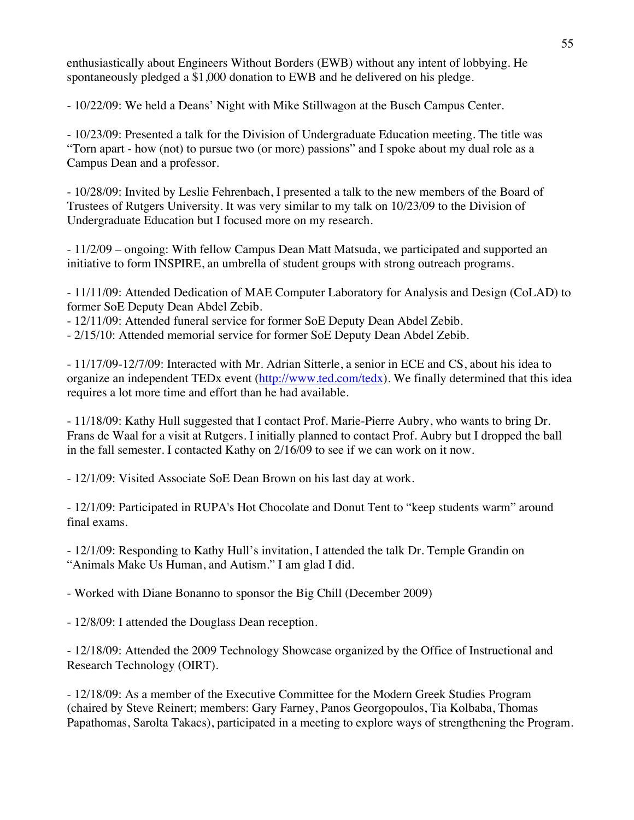enthusiastically about Engineers Without Borders (EWB) without any intent of lobbying. He spontaneously pledged a \$1,000 donation to EWB and he delivered on his pledge.

- 10/22/09: We held a Deans' Night with Mike Stillwagon at the Busch Campus Center.

- 10/23/09: Presented a talk for the Division of Undergraduate Education meeting. The title was "Torn apart - how (not) to pursue two (or more) passions" and I spoke about my dual role as a Campus Dean and a professor.

- 10/28/09: Invited by Leslie Fehrenbach, I presented a talk to the new members of the Board of Trustees of Rutgers University. It was very similar to my talk on 10/23/09 to the Division of Undergraduate Education but I focused more on my research.

- 11/2/09 – ongoing: With fellow Campus Dean Matt Matsuda, we participated and supported an initiative to form INSPIRE, an umbrella of student groups with strong outreach programs.

- 11/11/09: Attended Dedication of MAE Computer Laboratory for Analysis and Design (CoLAD) to former SoE Deputy Dean Abdel Zebib.

- 12/11/09: Attended funeral service for former SoE Deputy Dean Abdel Zebib.

- 2/15/10: Attended memorial service for former SoE Deputy Dean Abdel Zebib.

- 11/17/09-12/7/09: Interacted with Mr. Adrian Sitterle, a senior in ECE and CS, about his idea to organize an independent TEDx event (http://www.ted.com/tedx). We finally determined that this idea requires a lot more time and effort than he had available.

- 11/18/09: Kathy Hull suggested that I contact Prof. Marie-Pierre Aubry, who wants to bring Dr. Frans de Waal for a visit at Rutgers. I initially planned to contact Prof. Aubry but I dropped the ball in the fall semester. I contacted Kathy on 2/16/09 to see if we can work on it now.

- 12/1/09: Visited Associate SoE Dean Brown on his last day at work.

- 12/1/09: Participated in RUPA's Hot Chocolate and Donut Tent to "keep students warm" around final exams.

- 12/1/09: Responding to Kathy Hull's invitation, I attended the talk Dr. Temple Grandin on "Animals Make Us Human, and Autism." I am glad I did.

- Worked with Diane Bonanno to sponsor the Big Chill (December 2009)

- 12/8/09: I attended the Douglass Dean reception.

- 12/18/09: Attended the 2009 Technology Showcase organized by the Office of Instructional and Research Technology (OIRT).

- 12/18/09: As a member of the Executive Committee for the Modern Greek Studies Program (chaired by Steve Reinert; members: Gary Farney, Panos Georgopoulos, Tia Kolbaba, Thomas Papathomas, Sarolta Takacs), participated in a meeting to explore ways of strengthening the Program.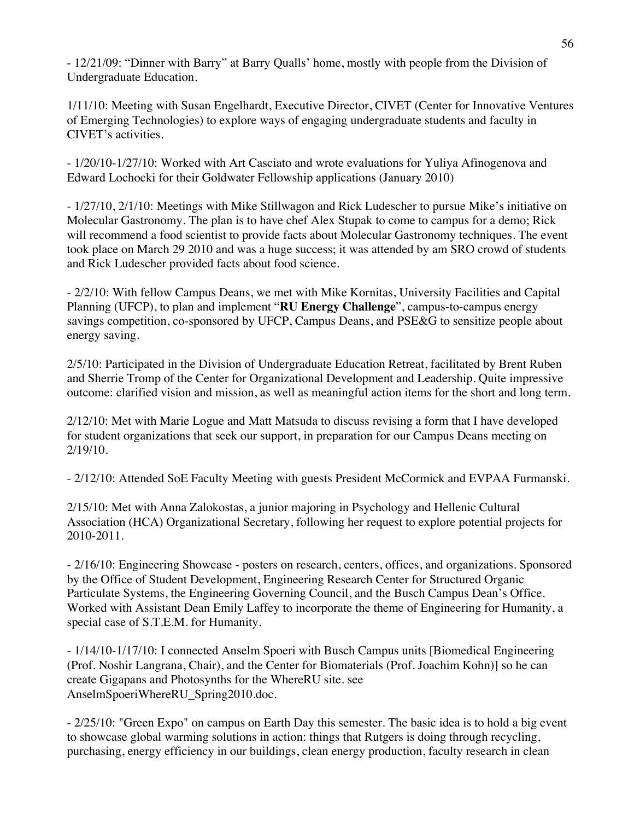- 12/21/09: "Dinner with Barry" at Barry Qualls' home, mostly with people from the Division of Undergraduate Education.

1/11/10: Meeting with Susan Engelhardt, Executive Director, CIVET (Center for Innovative Ventures of Emerging Technologies) to explore ways of engaging undergraduate students and faculty in CIVET's activities.

- 1/20/10-1/27/10: Worked with Art Casciato and wrote evaluations for Yuliya Afinogenova and Edward Lochocki for their Goldwater Fellowship applications (January 2010)

- 1/27/10, 2/1/10: Meetings with Mike Stillwagon and Rick Ludescher to pursue Mike's initiative on Molecular Gastronomy. The plan is to have chef Alex Stupak to come to campus for a demo; Rick will recommend a food scientist to provide facts about Molecular Gastronomy techniques. The event took place on March 29 2010 and was a huge success; it was attended by am SRO crowd of students and Rick Ludescher provided facts about food science.

- 2/2/10: With fellow Campus Deans, we met with Mike Kornitas, University Facilities and Capital Planning (UFCP), to plan and implement "**RU Energy Challenge**", campus-to-campus energy savings competition, co-sponsored by UFCP, Campus Deans, and PSE&G to sensitize people about energy saving.

2/5/10: Participated in the Division of Undergraduate Education Retreat, facilitated by Brent Ruben and Sherrie Tromp of the Center for Organizational Development and Leadership. Quite impressive outcome: clarified vision and mission, as well as meaningful action items for the short and long term.

2/12/10: Met with Marie Logue and Matt Matsuda to discuss revising a form that I have developed for student organizations that seek our support, in preparation for our Campus Deans meeting on 2/19/10.

- 2/12/10: Attended SoE Faculty Meeting with guests President McCormick and EVPAA Furmanski.

2/15/10: Met with Anna Zalokostas, a junior majoring in Psychology and Hellenic Cultural Association (HCA) Organizational Secretary, following her request to explore potential projects for 2010-2011.

- 2/16/10: Engineering Showcase - posters on research, centers, offices, and organizations. Sponsored by the Office of Student Development, Engineering Research Center for Structured Organic Particulate Systems, the Engineering Governing Council, and the Busch Campus Dean's Office. Worked with Assistant Dean Emily Laffey to incorporate the theme of Engineering for Humanity, a special case of S.T.E.M. for Humanity.

- 1/14/10-1/17/10: I connected Anselm Spoeri with Busch Campus units [Biomedical Engineering (Prof. Noshir Langrana, Chair), and the Center for Biomaterials (Prof. Joachim Kohn)] so he can create Gigapans and Photosynths for the WhereRU site. see AnselmSpoeriWhereRU\_Spring2010.doc.

- 2/25/10: "Green Expo" on campus on Earth Day this semester. The basic idea is to hold a big event to showcase global warming solutions in action: things that Rutgers is doing through recycling, purchasing, energy efficiency in our buildings, clean energy production, faculty research in clean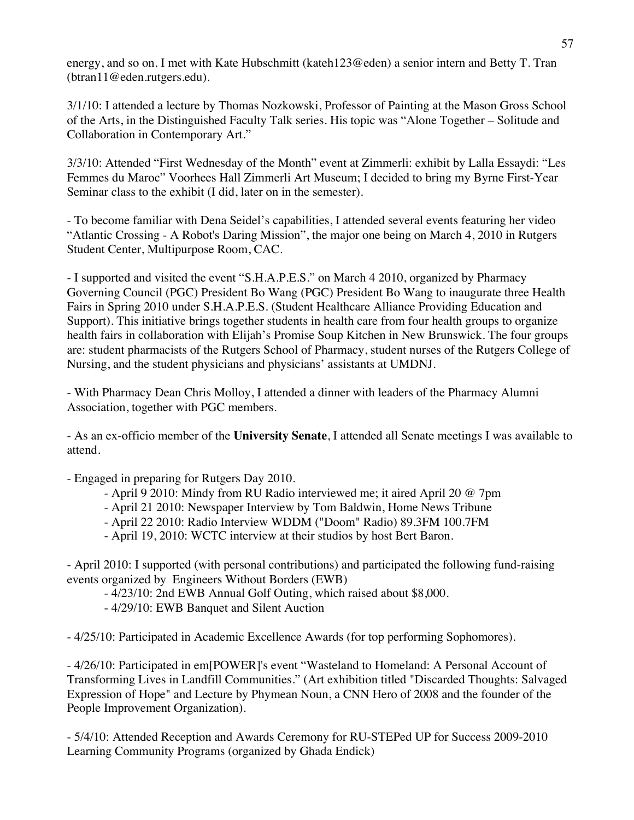energy, and so on. I met with Kate Hubschmitt (kateh123@eden) a senior intern and Betty T. Tran (btran11@eden.rutgers.edu).

3/1/10: I attended a lecture by Thomas Nozkowski, Professor of Painting at the Mason Gross School of the Arts, in the Distinguished Faculty Talk series. His topic was "Alone Together – Solitude and Collaboration in Contemporary Art."

3/3/10: Attended "First Wednesday of the Month" event at Zimmerli: exhibit by Lalla Essaydi: "Les Femmes du Maroc" Voorhees Hall Zimmerli Art Museum; I decided to bring my Byrne First-Year Seminar class to the exhibit (I did, later on in the semester).

- To become familiar with Dena Seidel's capabilities, I attended several events featuring her video "Atlantic Crossing - A Robot's Daring Mission", the major one being on March 4, 2010 in Rutgers Student Center, Multipurpose Room, CAC.

- I supported and visited the event "S.H.A.P.E.S." on March 4 2010, organized by Pharmacy Governing Council (PGC) President Bo Wang (PGC) President Bo Wang to inaugurate three Health Fairs in Spring 2010 under S.H.A.P.E.S. (Student Healthcare Alliance Providing Education and Support). This initiative brings together students in health care from four health groups to organize health fairs in collaboration with Elijah's Promise Soup Kitchen in New Brunswick. The four groups are: student pharmacists of the Rutgers School of Pharmacy, student nurses of the Rutgers College of Nursing, and the student physicians and physicians' assistants at UMDNJ.

- With Pharmacy Dean Chris Molloy, I attended a dinner with leaders of the Pharmacy Alumni Association, together with PGC members.

- As an ex-officio member of the **University Senate**, I attended all Senate meetings I was available to attend.

- Engaged in preparing for Rutgers Day 2010.

- April 9 2010: Mindy from RU Radio interviewed me; it aired April 20 @ 7pm
- April 21 2010: Newspaper Interview by Tom Baldwin, Home News Tribune
- April 22 2010: Radio Interview WDDM ("Doom" Radio) 89.3FM 100.7FM
- April 19, 2010: WCTC interview at their studios by host Bert Baron.

- April 2010: I supported (with personal contributions) and participated the following fund-raising events organized by Engineers Without Borders (EWB)

- 4/23/10: 2nd EWB Annual Golf Outing, which raised about \$8,000.
- 4/29/10: EWB Banquet and Silent Auction

- 4/25/10: Participated in Academic Excellence Awards (for top performing Sophomores).

- 4/26/10: Participated in em[POWER]'s event "Wasteland to Homeland: A Personal Account of Transforming Lives in Landfill Communities." (Art exhibition titled "Discarded Thoughts: Salvaged Expression of Hope" and Lecture by Phymean Noun, a CNN Hero of 2008 and the founder of the People Improvement Organization).

- 5/4/10: Attended Reception and Awards Ceremony for RU-STEPed UP for Success 2009-2010 Learning Community Programs (organized by Ghada Endick)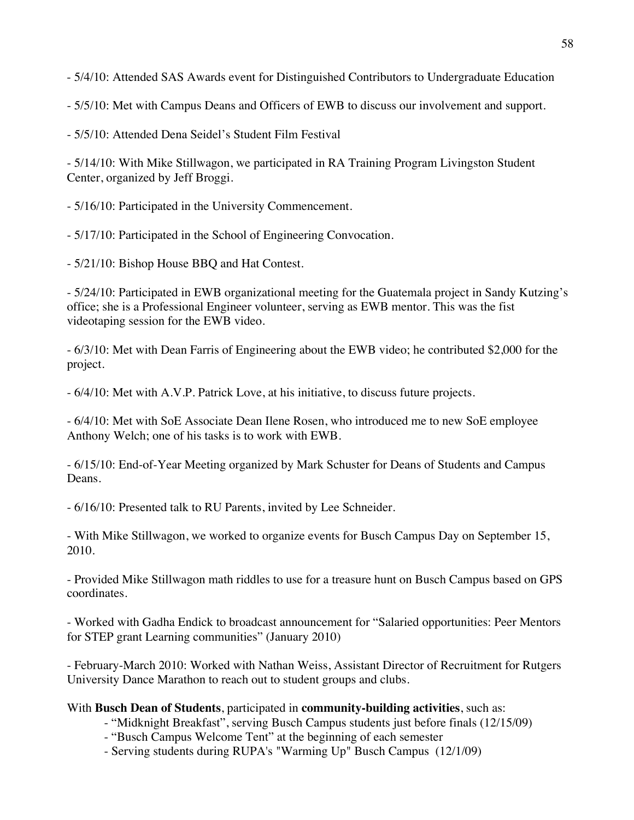- 5/4/10: Attended SAS Awards event for Distinguished Contributors to Undergraduate Education

- 5/5/10: Met with Campus Deans and Officers of EWB to discuss our involvement and support.

- 5/5/10: Attended Dena Seidel's Student Film Festival

- 5/14/10: With Mike Stillwagon, we participated in RA Training Program Livingston Student Center, organized by Jeff Broggi.

- 5/16/10: Participated in the University Commencement.

- 5/17/10: Participated in the School of Engineering Convocation.

- 5/21/10: Bishop House BBQ and Hat Contest.

- 5/24/10: Participated in EWB organizational meeting for the Guatemala project in Sandy Kutzing's office; she is a Professional Engineer volunteer, serving as EWB mentor. This was the fist videotaping session for the EWB video.

- 6/3/10: Met with Dean Farris of Engineering about the EWB video; he contributed \$2,000 for the project.

- 6/4/10: Met with A.V.P. Patrick Love, at his initiative, to discuss future projects.

- 6/4/10: Met with SoE Associate Dean Ilene Rosen, who introduced me to new SoE employee Anthony Welch; one of his tasks is to work with EWB.

- 6/15/10: End-of-Year Meeting organized by Mark Schuster for Deans of Students and Campus Deans.

- 6/16/10: Presented talk to RU Parents, invited by Lee Schneider.

- With Mike Stillwagon, we worked to organize events for Busch Campus Day on September 15, 2010.

- Provided Mike Stillwagon math riddles to use for a treasure hunt on Busch Campus based on GPS coordinates.

- Worked with Gadha Endick to broadcast announcement for "Salaried opportunities: Peer Mentors for STEP grant Learning communities" (January 2010)

- February-March 2010: Worked with Nathan Weiss, Assistant Director of Recruitment for Rutgers University Dance Marathon to reach out to student groups and clubs.

### With **Busch Dean of Students**, participated in **community-building activities**, such as:

- "Midknight Breakfast", serving Busch Campus students just before finals (12/15/09)

- "Busch Campus Welcome Tent" at the beginning of each semester
- Serving students during RUPA's "Warming Up" Busch Campus (12/1/09)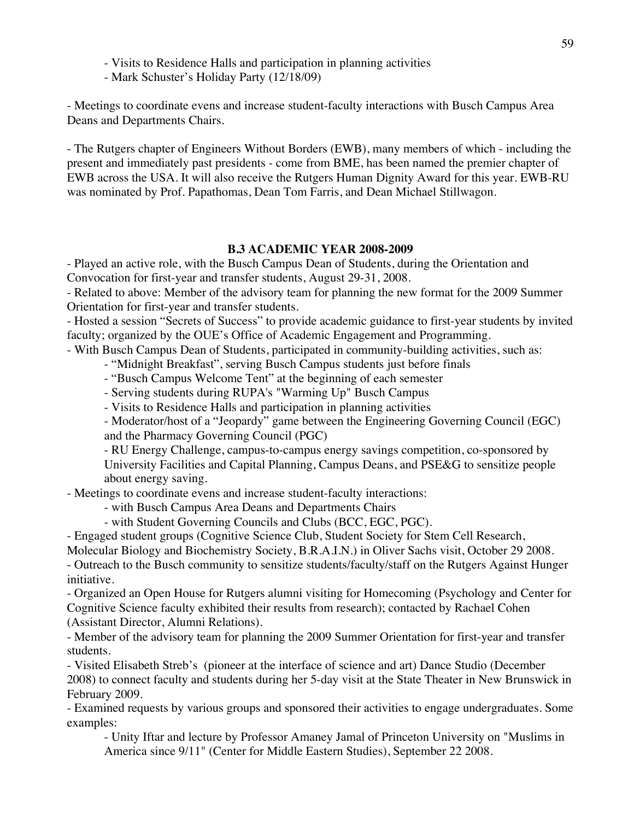- Visits to Residence Halls and participation in planning activities

- Mark Schuster's Holiday Party (12/18/09)

- Meetings to coordinate evens and increase student-faculty interactions with Busch Campus Area Deans and Departments Chairs.

- The Rutgers chapter of Engineers Without Borders (EWB), many members of which - including the present and immediately past presidents - come from BME, has been named the premier chapter of EWB across the USA. It will also receive the Rutgers Human Dignity Award for this year. EWB-RU was nominated by Prof. Papathomas, Dean Tom Farris, and Dean Michael Stillwagon.

#### **B.3 ACADEMIC YEAR 2008-2009**

- Played an active role, with the Busch Campus Dean of Students, during the Orientation and Convocation for first-year and transfer students, August 29-31, 2008.

- Related to above: Member of the advisory team for planning the new format for the 2009 Summer Orientation for first-year and transfer students.

- Hosted a session "Secrets of Success" to provide academic guidance to first-year students by invited faculty; organized by the OUE's Office of Academic Engagement and Programming.

- With Busch Campus Dean of Students, participated in community-building activities, such as:

- "Midnight Breakfast", serving Busch Campus students just before finals

- "Busch Campus Welcome Tent" at the beginning of each semester

- Serving students during RUPA's "Warming Up" Busch Campus

- Visits to Residence Halls and participation in planning activities

- Moderator/host of a "Jeopardy" game between the Engineering Governing Council (EGC) and the Pharmacy Governing Council (PGC)

- RU Energy Challenge, campus-to-campus energy savings competition, co-sponsored by University Facilities and Capital Planning, Campus Deans, and PSE&G to sensitize people about energy saving.

- Meetings to coordinate evens and increase student-faculty interactions:

- with Busch Campus Area Deans and Departments Chairs

- with Student Governing Councils and Clubs (BCC, EGC, PGC).

- Engaged student groups (Cognitive Science Club, Student Society for Stem Cell Research,

Molecular Biology and Biochemistry Society, B.R.A.I.N.) in Oliver Sachs visit, October 29 2008.

- Outreach to the Busch community to sensitize students/faculty/staff on the Rutgers Against Hunger initiative.

- Organized an Open House for Rutgers alumni visiting for Homecoming (Psychology and Center for Cognitive Science faculty exhibited their results from research); contacted by Rachael Cohen (Assistant Director, Alumni Relations).

- Member of the advisory team for planning the 2009 Summer Orientation for first-year and transfer students.

- Visited Elisabeth Streb's (pioneer at the interface of science and art) Dance Studio (December 2008) to connect faculty and students during her 5-day visit at the State Theater in New Brunswick in February 2009.

- Examined requests by various groups and sponsored their activities to engage undergraduates. Some examples:

- Unity Iftar and lecture by Professor Amaney Jamal of Princeton University on "Muslims in America since 9/11" (Center for Middle Eastern Studies), September 22 2008.